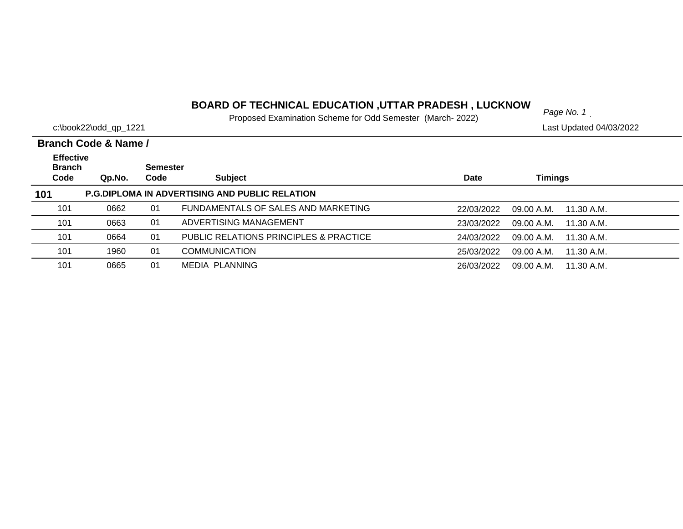# *Page No. 1* **BOARD OF TECHNICAL EDUCATION ,UTTAR PRADESH , LUCKNOW**

Proposed Examination Scheme for Odd Semester (March- 2022)

| c:\book22\odd_qp_1221<br>Last Updated 04/03/2022 |                      |                 |                                                       |             |                          |  |
|--------------------------------------------------|----------------------|-----------------|-------------------------------------------------------|-------------|--------------------------|--|
|                                                  | Branch Code & Name / |                 |                                                       |             |                          |  |
| <b>Effective</b><br><b>Branch</b>                |                      | <b>Semester</b> |                                                       |             |                          |  |
| Code                                             | Qp.No.               | Code            | <b>Subject</b>                                        | <b>Date</b> | <b>Timings</b>           |  |
| 101                                              |                      |                 | <b>P.G.DIPLOMA IN ADVERTISING AND PUBLIC RELATION</b> |             |                          |  |
| 101                                              | 0662                 | 01              | FUNDAMENTALS OF SALES AND MARKETING                   | 22/03/2022  | 09.00 A.M.<br>11.30 A.M. |  |
| 101                                              | 0663                 | 01              | ADVERTISING MANAGEMENT                                | 23/03/2022  | 09.00 A.M.<br>11.30 A.M. |  |
| 101                                              | 0664                 | 01              | <b>PUBLIC RELATIONS PRINCIPLES &amp; PRACTICE</b>     | 24/03/2022  | 09.00 A.M.<br>11.30 A.M. |  |
| 101                                              | 1960                 | 01              | <b>COMMUNICATION</b>                                  | 25/03/2022  | 09.00 A.M.<br>11.30 A.M. |  |
| 101                                              | 0665                 | 01              | MEDIA PLANNING                                        | 26/03/2022  | 09.00 A.M.<br>11.30 A.M. |  |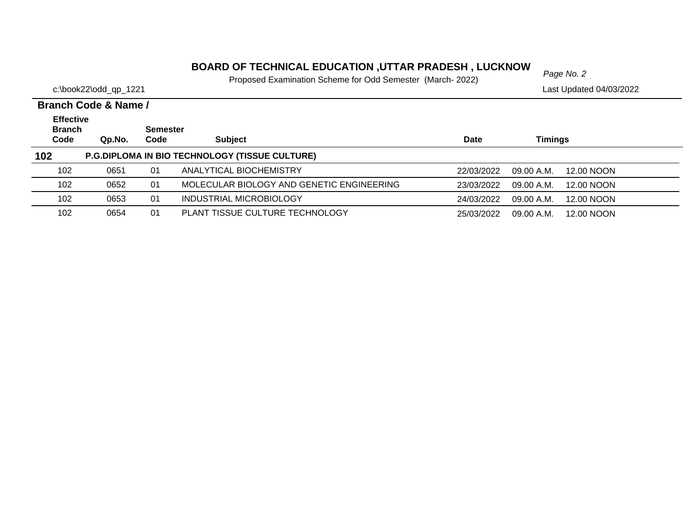# *Page No. 2* **BOARD OF TECHNICAL EDUCATION ,UTTAR PRADESH , LUCKNOW**

Proposed Examination Scheme for Odd Semester (March- 2022)

|                                           | Branch Code & Name / |                         |                                                       |             |                          |  |  |  |  |  |  |
|-------------------------------------------|----------------------|-------------------------|-------------------------------------------------------|-------------|--------------------------|--|--|--|--|--|--|
| <b>Effective</b><br><b>Branch</b><br>Code | Qp.No.               | <b>Semester</b><br>Code | <b>Subject</b>                                        | <b>Date</b> | Timings                  |  |  |  |  |  |  |
| 102                                       |                      |                         | <b>P.G.DIPLOMA IN BIO TECHNOLOGY (TISSUE CULTURE)</b> |             |                          |  |  |  |  |  |  |
| 102                                       | 0651                 | 01                      | ANALYTICAL BIOCHEMISTRY                               | 22/03/2022  | 09.00 A.M.<br>12.00 NOON |  |  |  |  |  |  |
| 102                                       | 0652                 | 01                      | MOLECULAR BIOLOGY AND GENETIC ENGINEERING             | 23/03/2022  | 09.00 A.M.<br>12.00 NOON |  |  |  |  |  |  |
| 102                                       | 0653                 | 01                      | INDUSTRIAL MICROBIOLOGY                               | 24/03/2022  | 09.00 A.M.<br>12.00 NOON |  |  |  |  |  |  |
| 102                                       | 0654                 | 01                      | PLANT TISSUE CULTURE TECHNOLOGY                       | 25/03/2022  | 12.00 NOON<br>09.00 A.M. |  |  |  |  |  |  |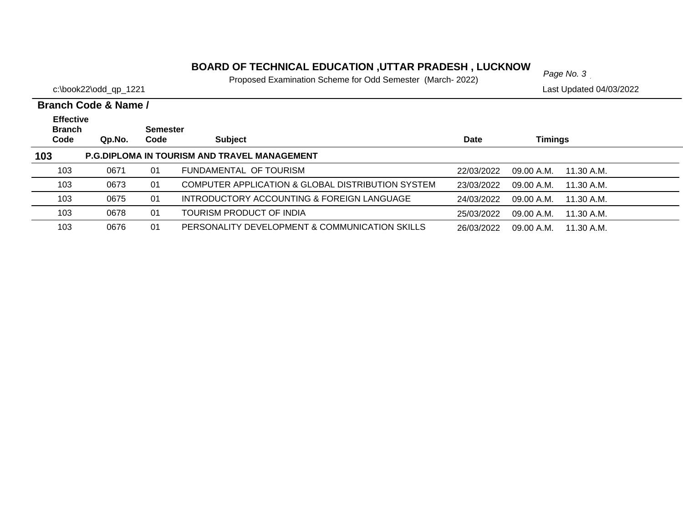# *Page No. 3* **BOARD OF TECHNICAL EDUCATION ,UTTAR PRADESH , LUCKNOW**

Proposed Examination Scheme for Odd Semester (March- 2022)

| Branch Code & Name /                      |        |                         |                                                     |            |                          |  |  |  |  |
|-------------------------------------------|--------|-------------------------|-----------------------------------------------------|------------|--------------------------|--|--|--|--|
| <b>Effective</b><br><b>Branch</b><br>Code | Qp.No. | <b>Semester</b><br>Code | <b>Subject</b>                                      | Date       | <b>Timings</b>           |  |  |  |  |
| 103                                       |        |                         | <b>P.G.DIPLOMA IN TOURISM AND TRAVEL MANAGEMENT</b> |            |                          |  |  |  |  |
| 103                                       | 0671   | 01                      | FUNDAMENTAL OF TOURISM                              | 22/03/2022 | 09.00 A.M.<br>11.30 A.M. |  |  |  |  |
| 103                                       | 0673   | 01                      | COMPUTER APPLICATION & GLOBAL DISTRIBUTION SYSTEM   | 23/03/2022 | 09.00 A.M.<br>11.30 A.M. |  |  |  |  |
| 103                                       | 0675   | 01                      | INTRODUCTORY ACCOUNTING & FOREIGN LANGUAGE          | 24/03/2022 | 09.00 A.M.<br>11.30 A.M. |  |  |  |  |
| 103                                       | 0678   | 01                      | TOURISM PRODUCT OF INDIA                            | 25/03/2022 | 09.00 A.M.<br>11.30 A.M. |  |  |  |  |
| 103                                       | 0676   | 01                      | PERSONALITY DEVELOPMENT & COMMUNICATION SKILLS      | 26/03/2022 | 09.00 A.M.<br>11.30 A.M. |  |  |  |  |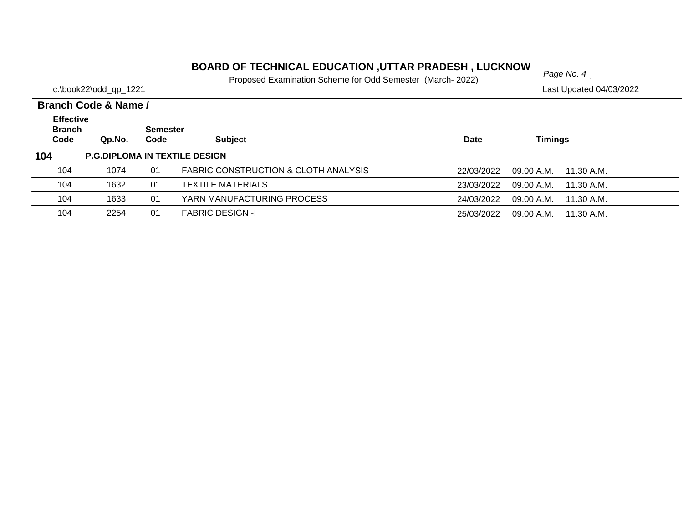# *Page No. 4* **BOARD OF TECHNICAL EDUCATION ,UTTAR PRADESH , LUCKNOW**

Proposed Examination Scheme for Odd Semester (March- 2022)

|                                           | <b>Branch Code &amp; Name /</b>      |                         |                                      |            |                          |  |
|-------------------------------------------|--------------------------------------|-------------------------|--------------------------------------|------------|--------------------------|--|
| <b>Effective</b><br><b>Branch</b><br>Code | Qp.No.                               | <b>Semester</b><br>Code | <b>Subject</b>                       | Date       | <b>Timings</b>           |  |
| 104                                       | <b>P.G.DIPLOMA IN TEXTILE DESIGN</b> |                         |                                      |            |                          |  |
| 104                                       | 1074                                 | 01                      | FABRIC CONSTRUCTION & CLOTH ANALYSIS | 22/03/2022 | 09.00 A.M.<br>11.30 A.M. |  |
| 104                                       | 1632                                 | 01                      | <b>TEXTILE MATERIALS</b>             | 23/03/2022 | 09.00 A.M.<br>11.30 A.M. |  |
| 104                                       | 1633                                 | 01                      | YARN MANUFACTURING PROCESS           | 24/03/2022 | 09.00 A.M.<br>11.30 A.M. |  |
| 104                                       | 2254                                 | 01                      | <b>FABRIC DESIGN -I</b>              | 25/03/2022 | 09.00 A.M.<br>11.30 A.M. |  |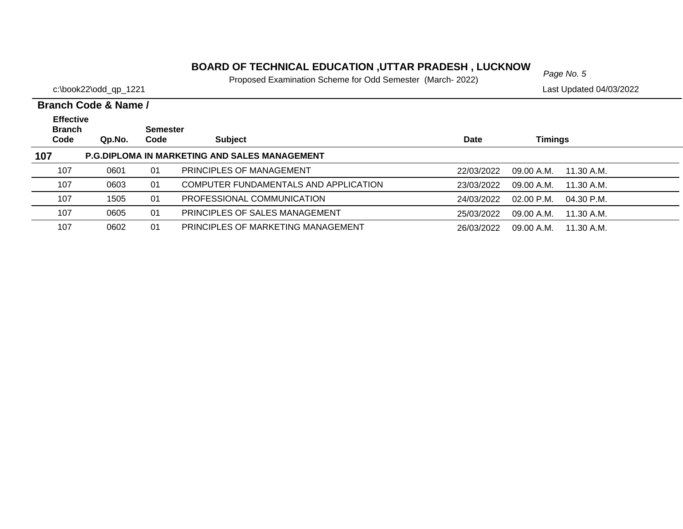# *Page No. 5* **BOARD OF TECHNICAL EDUCATION ,UTTAR PRADESH , LUCKNOW**

Proposed Examination Scheme for Odd Semester (March- 2022)

|                                           | <b>Branch Code &amp; Name /</b> |                         |                                                      |            |                            |  |  |  |  |  |
|-------------------------------------------|---------------------------------|-------------------------|------------------------------------------------------|------------|----------------------------|--|--|--|--|--|
| <b>Effective</b><br><b>Branch</b><br>Code | Qp.No.                          | <b>Semester</b><br>Code | <b>Subject</b>                                       | Date       | Timings                    |  |  |  |  |  |
| 107                                       |                                 |                         | <b>P.G.DIPLOMA IN MARKETING AND SALES MANAGEMENT</b> |            |                            |  |  |  |  |  |
|                                           |                                 |                         |                                                      |            |                            |  |  |  |  |  |
| 107                                       | 0601                            | 01                      | PRINCIPLES OF MANAGEMENT                             | 22/03/2022 | 09.00 A.M.<br>11.30 A.M.   |  |  |  |  |  |
| 107                                       | 0603                            | 01                      | COMPUTER FUNDAMENTALS AND APPLICATION                | 23/03/2022 | 09.00 A.M.<br>11.30 A.M.   |  |  |  |  |  |
| 107                                       | 1505                            | 01                      | PROFESSIONAL COMMUNICATION                           | 24/03/2022 | $02.00$ P.M.<br>04.30 P.M. |  |  |  |  |  |
| 107                                       | 0605                            | 01                      | PRINCIPLES OF SALES MANAGEMENT                       | 25/03/2022 | 09.00 A.M.<br>11.30 A.M.   |  |  |  |  |  |
| 107                                       | 0602                            | 01                      | PRINCIPLES OF MARKETING MANAGEMENT                   | 26/03/2022 | 09.00 A.M.<br>11.30 A.M.   |  |  |  |  |  |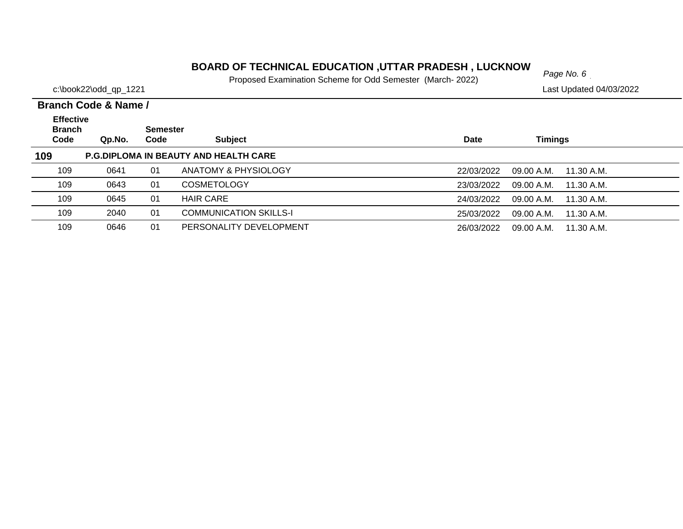## **BOARD OF TECHNICAL EDUCATION ,UTTAR PRADESH , LUCKNOW**  $_{Page No. 6}$

Proposed Examination Scheme for Odd Semester (March- 2022)

c:\book22\odd\_qp\_1221 Last Updated 04/03/2022

#### **Branch Code Qp.No. SemesterCode Subject Date Timings Branch Code & Name / Effective 109 P.G.DIPLOMA IN BEAUTY AND HEALTH CARE** 109 0641 01 ANATOMY & PHYSIOLOGY22/03/2022 09.00 A.M. 11.30 A.M. 109 0643 01 COSMETOLOGY23/03/2022 09.00 A.M. 11.30 A.M. 109 0645 01 HAIR CARE24/03/2022 09.00 A.M. 11.30 A.M. 1092040 01 COMMUNICATION SKILLS-I 25/03/2022 09.00 A.M. 11.30 A.M. 1090646 01 PERSONALITY DEVELOPMENT 26/03/2022 09.00 A.M. 11.30 A.M.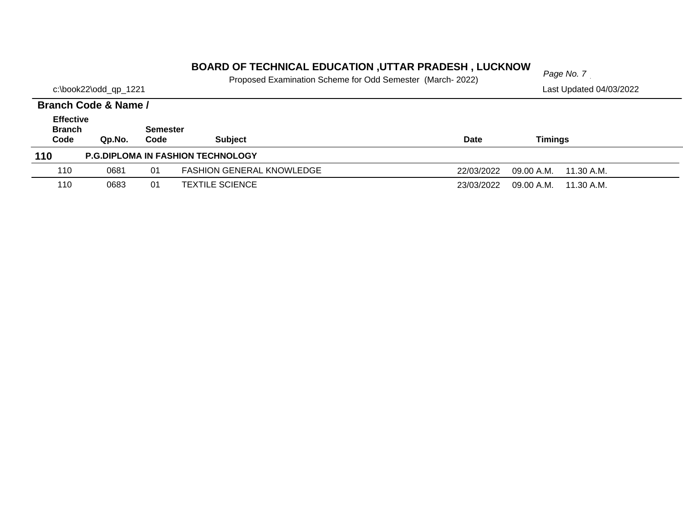# *Page No. 7* **BOARD OF TECHNICAL EDUCATION ,UTTAR PRADESH , LUCKNOW**

Proposed Examination Scheme for Odd Semester (March- 2022)

c:\book22\odd\_qp\_1221 Last Updated 04/03/2022

#### **Branch Code Qp.No. Semester Code Subject Date Timings Branch Code & Name / Effective 110 P.G.DIPLOMA IN FASHION TECHNOLOGY** 1100681 01 FASHION GENERAL KNOWLEDGE 22/03/2022 09.00 A.M. 11.30 A.M. 1100683 01 TEXTILE SCIENCE 23/03/2022 09.00 A.M. 11.30 A.M.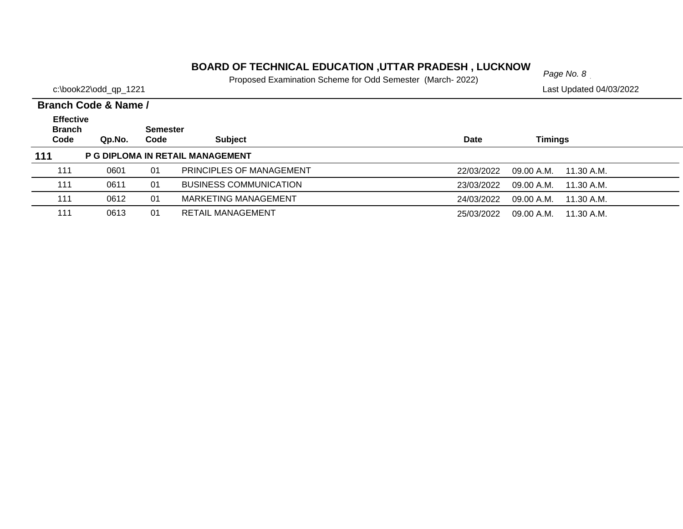# *Page No. 8* **BOARD OF TECHNICAL EDUCATION ,UTTAR PRADESH , LUCKNOW**

Proposed Examination Scheme for Odd Semester (March- 2022)

|                                           | Branch Code & Name / |                  |                               |                                        |  |  |
|-------------------------------------------|----------------------|------------------|-------------------------------|----------------------------------------|--|--|
| <b>Effective</b><br><b>Branch</b><br>Code | Qp.No.               | Semester<br>Code | <b>Subject</b>                | Timings<br><b>Date</b>                 |  |  |
| 111<br>P G DIPLOMA IN RETAIL MANAGEMENT   |                      |                  |                               |                                        |  |  |
| 111                                       | 0601                 | 01               | PRINCIPLES OF MANAGEMENT      | 22/03/2022<br>09.00 A.M.<br>11.30 A.M. |  |  |
| 111                                       | 0611                 | 01               | <b>BUSINESS COMMUNICATION</b> | 23/03/2022<br>09.00 A.M.<br>11.30 A.M. |  |  |
| 111                                       | 0612                 | 01               | MARKETING MANAGEMENT          | 24/03/2022<br>09.00 A.M.<br>11.30 A.M. |  |  |
| 111                                       | 0613                 | 01               | RETAIL MANAGEMENT             | 25/03/2022<br>09.00 A.M.<br>11.30 A.M. |  |  |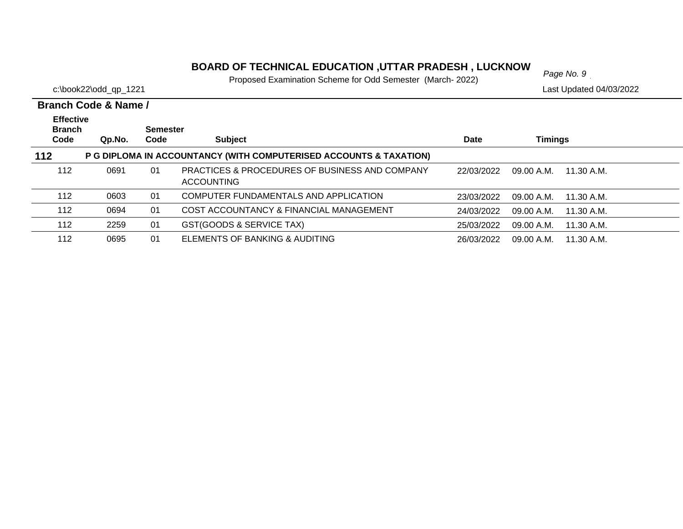## **BOARD OF TECHNICAL EDUCATION ,UTTAR PRADESH , LUCKNOW**

Proposed Examination Scheme for Odd Semester (March- 2022)

c:\book22\odd\_qp\_1221 Last Updated 04/03/2022

#### **Branch Code Qp.No. SemesterCode Subject Date Timings Branch Code & Name /Effective 112 P G DIPLOMA IN ACCOUNTANCY (WITH COMPUTERISED ACCOUNTS & TAXATION)** 01 PRACTICES & PROCEDURES OF BUSINESS AND COMPANY 0691 22/03/2022 09.00 A.M. 11.30 A.M.ACCOUNTING 112112 0603 01 COMPUTER FUNDAMENTALS AND APPLICATION23/03/2022 09.00 A.M. 11.30 A.M. 1120694 01 COST ACCOUNTANCY & FINANCIAL MANAGEMENT 24/03/2022 09.00 A.M. 11.30 A.M. 112 2259 01 GST(GOODS & SERVICE TAX) 25/03/2022 09.00 A.M. 11.30 A.M. 112 0695 01 ELEMENTS OF BANKING & AUDITING26/03/2022 09.00 A.M. 11.30 A.M.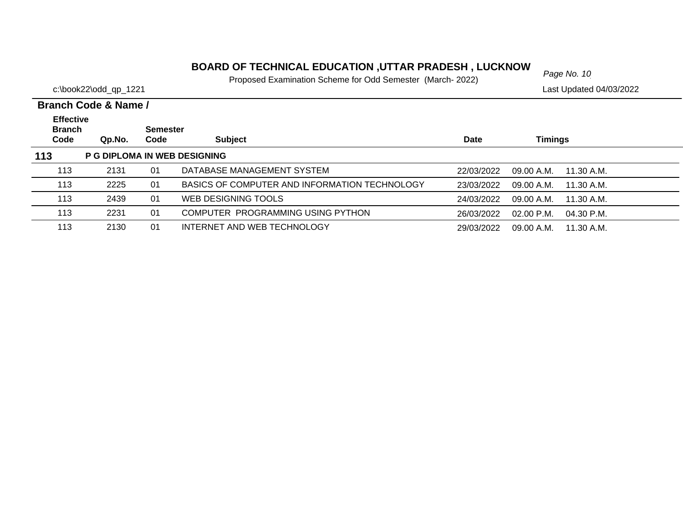# *Page No. 10* **BOARD OF TECHNICAL EDUCATION ,UTTAR PRADESH , LUCKNOW**

Proposed Examination Scheme for Odd Semester (March- 2022)

|                                   | Branch Code & Name / |                 |                                               |             |                            |  |  |  |  |  |
|-----------------------------------|----------------------|-----------------|-----------------------------------------------|-------------|----------------------------|--|--|--|--|--|
| <b>Effective</b><br><b>Branch</b> |                      | <b>Semester</b> |                                               |             |                            |  |  |  |  |  |
| Code                              | Qp.No.               | Code            | <b>Subject</b>                                | <b>Date</b> | Timings                    |  |  |  |  |  |
| 113                               |                      |                 | <b>P G DIPLOMA IN WEB DESIGNING</b>           |             |                            |  |  |  |  |  |
| 113                               | 2131                 | 01              | DATABASE MANAGEMENT SYSTEM                    | 22/03/2022  | 09.00 A.M.<br>11.30 A.M.   |  |  |  |  |  |
| 113                               | 2225                 | 01              | BASICS OF COMPUTER AND INFORMATION TECHNOLOGY | 23/03/2022  | 09.00 A.M.<br>11.30 A.M.   |  |  |  |  |  |
| 113                               | 2439                 | 01              | WEB DESIGNING TOOLS                           | 24/03/2022  | 09.00 A.M.<br>11.30 A.M.   |  |  |  |  |  |
| 113                               | 2231                 | 01              | COMPUTER PROGRAMMING USING PYTHON             | 26/03/2022  | $02.00$ P.M.<br>04.30 P.M. |  |  |  |  |  |
| 113                               | 2130                 | 01              | INTERNET AND WEB TECHNOLOGY                   | 29/03/2022  | 09.00 A.M.<br>11.30 A.M.   |  |  |  |  |  |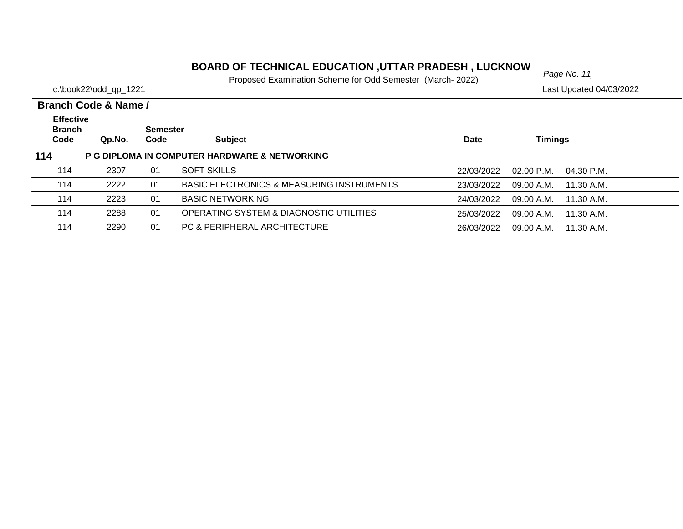# *Page No. 11* **BOARD OF TECHNICAL EDUCATION ,UTTAR PRADESH , LUCKNOW**

Proposed Examination Scheme for Odd Semester (March- 2022)

|                                           | Branch Code & Name / |                  |                                                      |            |                            |  |
|-------------------------------------------|----------------------|------------------|------------------------------------------------------|------------|----------------------------|--|
| <b>Effective</b><br><b>Branch</b><br>Code | Qp.No.               | Semester<br>Code | <b>Subject</b>                                       | Date       | Timings                    |  |
| 114                                       |                      |                  | P G DIPLOMA IN COMPUTER HARDWARE & NETWORKING        |            |                            |  |
| 114                                       | 2307                 | 01               | <b>SOFT SKILLS</b>                                   | 22/03/2022 | $02.00$ P.M.<br>04.30 P.M. |  |
| 114                                       | 2222                 | 01               | <b>BASIC ELECTRONICS &amp; MEASURING INSTRUMENTS</b> | 23/03/2022 | 09.00 A.M.<br>11.30 A.M.   |  |
| 114                                       | 2223                 | 01               | <b>BASIC NETWORKING</b>                              | 24/03/2022 | 09.00 A.M.<br>11.30 A.M.   |  |
| 114                                       | 2288                 | 01               | OPERATING SYSTEM & DIAGNOSTIC UTILITIES              | 25/03/2022 | 09.00 A.M.<br>11.30 A.M.   |  |
| 114                                       | 2290                 | 01               | PC & PERIPHERAL ARCHITECTURE                         | 26/03/2022 | $09.00$ A.M. $11.30$ A.M.  |  |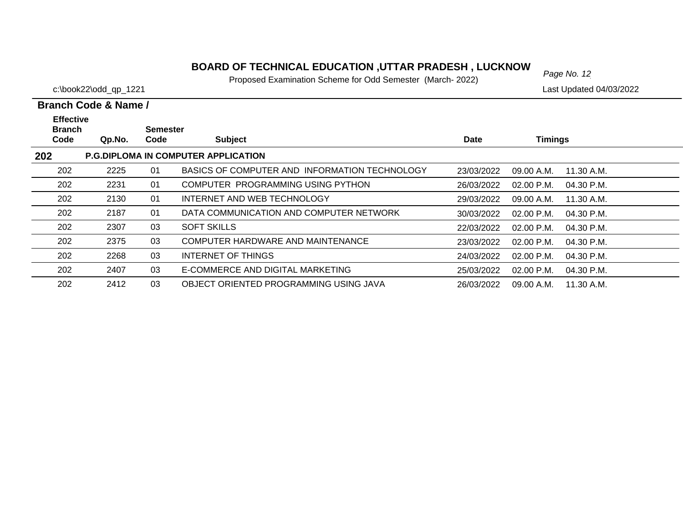## **BOARD OF TECHNICAL EDUCATION ,UTTAR PRADESH , LUCKNOW**  $_{Page No. 12}$

Proposed Examination Scheme for Odd Semester (March- 2022)

c:\book22\odd\_qp\_1221 Last Updated 04/03/2022

#### **Branch Code Qp.No. SemesterCode Subject Date Timings Branch Code & Name /Effective 202 P.G.DIPLOMA IN COMPUTER APPLICATION** 202 2225 01 BASICS OF COMPUTER AND INFORMATION TECHNOLOGY23/03/2022 09.00 A.M. 11.30 A.M. 202 2231 01 COMPUTER PROGRAMMING USING PYTHON26/03/2022 02.00 P.M. 04.30 P.M. 202 2130 01 INTERNET AND WEB TECHNOLOGY29/03/2022 09.00 A.M. 11.30 A.M. 202 2187 01 DATA COMMUNICATION AND COMPUTER NETWORK30/03/2022 02.00 P.M. 04.30 P.M. 202 2307 03 SOFT SKILLS22/03/2022 02.00 P.M. 04.30 P.M. 202 2375 03 COMPUTER HARDWARE AND MAINTENANCE23/03/2022 02.00 P.M. 04.30 P.M. 202 2268 03 INTERNET OF THINGS24/03/2022 02.00 P.M. 04.30 P.M. 202 2407 03 E-COMMERCE AND DIGITAL MARKETING 25/03/2022 02.00 P.M. 04.30 P.M.202 2412 03 OBJECT ORIENTED PROGRAMMING USING JAVA26/03/2022 09.00 A.M. 11.30 A.M.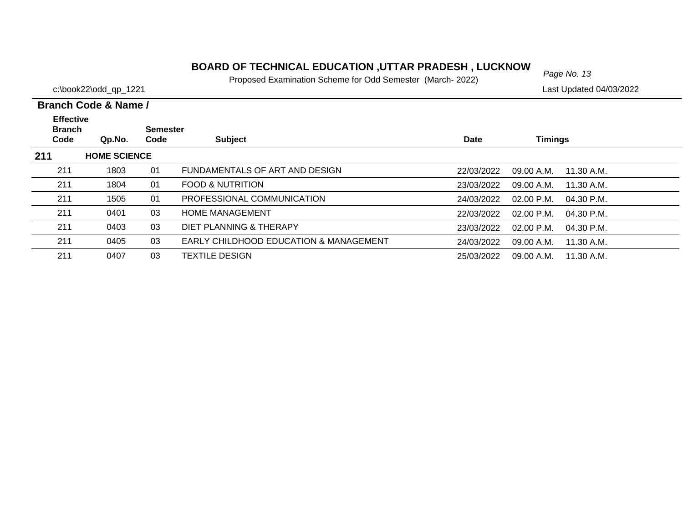# *Page No. 13* **BOARD OF TECHNICAL EDUCATION ,UTTAR PRADESH , LUCKNOW**

Proposed Examination Scheme for Odd Semester (March- 2022)

c:\book22\odd\_qp\_1221 Last Updated 04/03/2022

| <b>Effective</b><br><b>Branch</b><br>Code | Qp.No.              | <b>Semester</b><br>Code | <b>Subject</b>                                    | <b>Date</b> | <b>Timings</b>               |  |
|-------------------------------------------|---------------------|-------------------------|---------------------------------------------------|-------------|------------------------------|--|
| 211                                       | <b>HOME SCIENCE</b> |                         |                                                   |             |                              |  |
| 211                                       | 1803                | 01                      | FUNDAMENTALS OF ART AND DESIGN                    | 22/03/2022  | 09.00 A.M.<br>11.30 A.M.     |  |
| 211                                       | 1804                | 01                      | <b>FOOD &amp; NUTRITION</b>                       | 23/03/2022  | 09.00 A.M.<br>11.30 A.M.     |  |
| 211                                       | 1505                | 01                      | PROFESSIONAL COMMUNICATION                        | 24/03/2022  | $02.00$ P.M.<br>$04.30$ P.M. |  |
| 211                                       | 0401                | 03                      | <b>HOME MANAGEMENT</b>                            | 22/03/2022  | $02.00$ P.M.<br>$04.30$ P.M. |  |
| 211                                       | 0403                | 03                      | DIET PLANNING & THERAPY                           | 23/03/2022  | $02.00$ P.M.<br>04.30 P.M.   |  |
| 211                                       | 0405                | 03                      | <b>EARLY CHILDHOOD EDUCATION &amp; MANAGEMENT</b> | 24/03/2022  | 09.00 A.M.<br>11.30 A.M.     |  |
| 211                                       | 0407                | 03                      | TEXTILE DESIGN                                    | 25/03/2022  | 11.30 A.M.<br>09.00 A.M.     |  |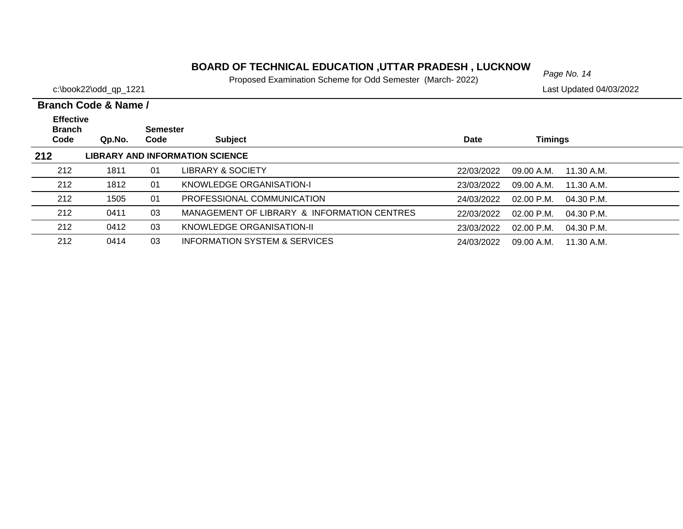# *Page No. 14* **BOARD OF TECHNICAL EDUCATION ,UTTAR PRADESH , LUCKNOW**

Proposed Examination Scheme for Odd Semester (March- 2022)

|                                           | Branch Code & Name / |                         |                                             |             |                              |  |
|-------------------------------------------|----------------------|-------------------------|---------------------------------------------|-------------|------------------------------|--|
| <b>Effective</b><br><b>Branch</b><br>Code | Qp.No.               | <b>Semester</b><br>Code | <b>Subject</b>                              | <b>Date</b> | <b>Timings</b>               |  |
| 212                                       |                      |                         | <b>LIBRARY AND INFORMATION SCIENCE</b>      |             |                              |  |
| 212                                       | 1811                 | 01                      | LIBRARY & SOCIETY                           | 22/03/2022  | 09.00 A.M.<br>11.30 A.M.     |  |
| 212                                       | 1812                 | 01                      | KNOWLEDGE ORGANISATION-I                    | 23/03/2022  | 09.00 A.M.<br>11.30 A.M.     |  |
| 212                                       | 1505                 | 01                      | PROFESSIONAL COMMUNICATION                  | 24/03/2022  | $02.00$ P.M.<br>$04.30$ P.M. |  |
| 212                                       | 0411                 | 03                      | MANAGEMENT OF LIBRARY & INFORMATION CENTRES | 22/03/2022  | $02.00$ P.M.<br>$04.30$ P.M. |  |
| 212                                       | 0412                 | 03                      | KNOWLEDGE ORGANISATION-II                   | 23/03/2022  | $02.00$ P.M.<br>$04.30$ P.M. |  |
| 212                                       | 0414                 | 03                      | INFORMATION SYSTEM & SERVICES               | 24/03/2022  | 09.00 A.M.<br>11.30 A.M.     |  |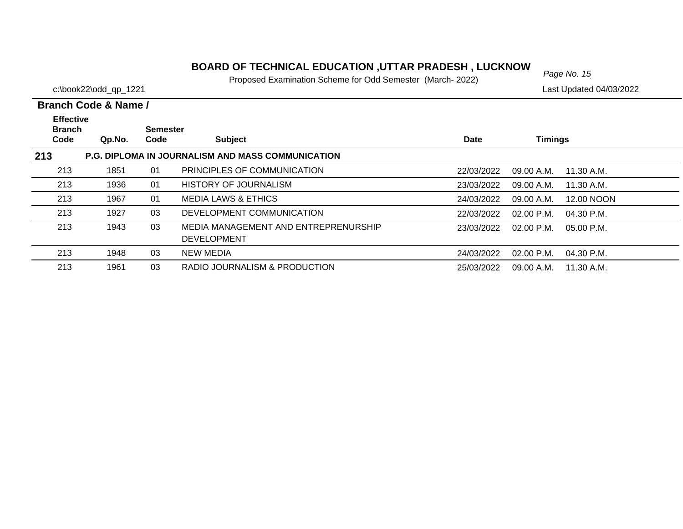## **BOARD OF TECHNICAL EDUCATION ,UTTAR PRADESH , LUCKNOW**<br>Page No. 15

Proposed Examination Scheme for Odd Semester (March- 2022)

|                                   | Branch Code & Name / |                 |                                                            |            |                |              |
|-----------------------------------|----------------------|-----------------|------------------------------------------------------------|------------|----------------|--------------|
| <b>Effective</b><br><b>Branch</b> |                      | <b>Semester</b> |                                                            |            |                |              |
| Code                              | Qp.No.               | Code            | <b>Subject</b>                                             | Date       | <b>Timings</b> |              |
| 213                               |                      |                 | <b>P.G. DIPLOMA IN JOURNALISM AND MASS COMMUNICATION</b>   |            |                |              |
| 213                               | 1851                 | 01              | PRINCIPLES OF COMMUNICATION                                | 22/03/2022 | 09.00 A.M.     | 11.30 A.M.   |
| 213                               | 1936                 | 01              | <b>HISTORY OF JOURNALISM</b>                               | 23/03/2022 | 09.00 A.M.     | 11.30 A.M.   |
| 213                               | 1967                 | 01              | <b>MEDIA LAWS &amp; ETHICS</b>                             | 24/03/2022 | 09.00 A.M.     | 12.00 NOON   |
| 213                               | 1927                 | 03              | DEVELOPMENT COMMUNICATION                                  | 22/03/2022 | $02.00$ P.M.   | $04.30$ P.M. |
| 213                               | 1943                 | 03              | MEDIA MANAGEMENT AND ENTREPRENURSHIP<br><b>DEVELOPMENT</b> | 23/03/2022 | $02.00$ P.M.   | 05.00 P.M.   |
| 213                               | 1948                 | 03              | <b>NEW MEDIA</b>                                           | 24/03/2022 | $02.00$ P.M.   | 04.30 P.M.   |
| 213                               | 1961                 | 03              | RADIO JOURNALISM & PRODUCTION                              | 25/03/2022 | 09.00 A.M.     | 11.30 A.M.   |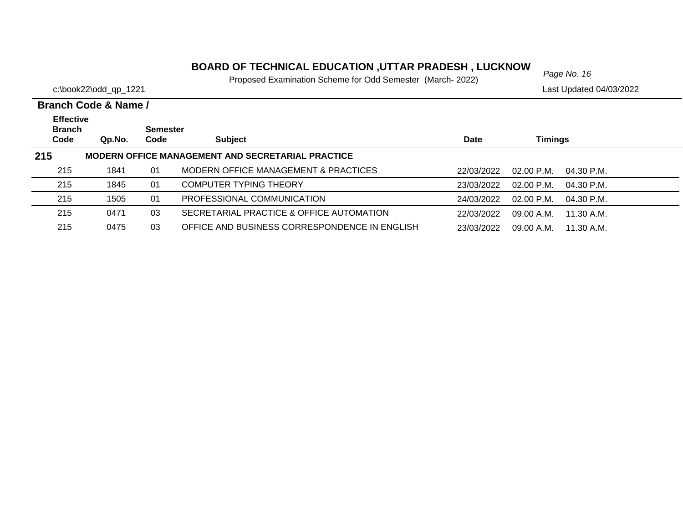# *Page No. 16* **BOARD OF TECHNICAL EDUCATION ,UTTAR PRADESH , LUCKNOW**

Proposed Examination Scheme for Odd Semester (March- 2022)

|                                   | <b>Branch Code &amp; Name /</b> |          |                                                          |            |                      |              |
|-----------------------------------|---------------------------------|----------|----------------------------------------------------------|------------|----------------------|--------------|
| <b>Effective</b><br><b>Branch</b> |                                 | Semester |                                                          |            |                      |              |
| Code                              | Qp.No.                          | Code     | <b>Subject</b>                                           | Date       | <b>Timings</b>       |              |
| 215                               |                                 |          | <b>MODERN OFFICE MANAGEMENT AND SECRETARIAL PRACTICE</b> |            |                      |              |
| 215                               | 1841                            | 01       | MODERN OFFICE MANAGEMENT & PRACTICES                     | 22/03/2022 | $02.00 \text{ P.M.}$ | $04.30$ P.M. |
| 215                               | 1845                            | 01       | <b>COMPUTER TYPING THEORY</b>                            | 23/03/2022 | $02.00 \text{ P.M.}$ | $04.30$ P.M. |
| 215                               | 1505                            | 01       | PROFESSIONAL COMMUNICATION                               | 24/03/2022 | $02.00$ P.M.         | $04.30$ P.M. |
| 215                               | 0471                            | 03       | SECRETARIAL PRACTICE & OFFICE AUTOMATION                 | 22/03/2022 | 09.00 A.M.           | 11.30 A.M.   |
| 215                               | 0475                            | 03       | OFFICE AND BUSINESS CORRESPONDENCE IN ENGLISH            | 23/03/2022 | 09.00 A.M.           | 11.30 A.M.   |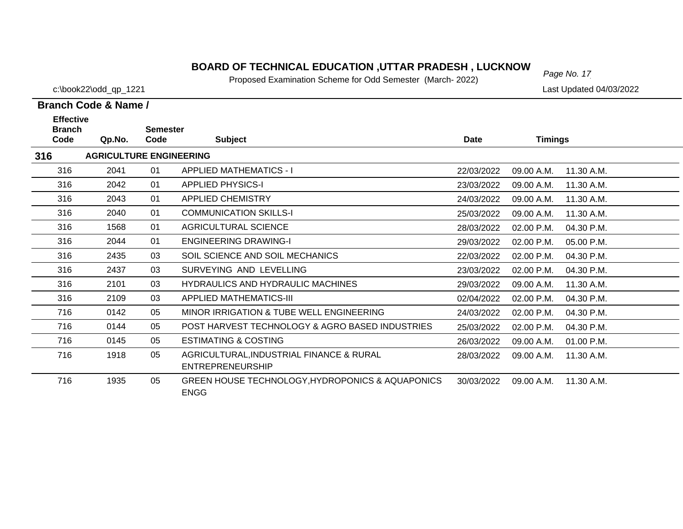# *Page No. 17* **BOARD OF TECHNICAL EDUCATION ,UTTAR PRADESH , LUCKNOW**

Proposed Examination Scheme for Odd Semester (March- 2022)

c:\book22\odd\_qp\_1221 Last Updated 04/03/2022

| <b>Effective</b><br><b>Branch</b><br>Code | Qp.No.                         | <b>Semester</b><br>Code | <b>Subject</b>                                                      | <b>Date</b> | <b>Timings</b> |              |
|-------------------------------------------|--------------------------------|-------------------------|---------------------------------------------------------------------|-------------|----------------|--------------|
| 316                                       | <b>AGRICULTURE ENGINEERING</b> |                         |                                                                     |             |                |              |
| 316                                       | 2041                           | 01                      | <b>APPLIED MATHEMATICS - I</b>                                      | 22/03/2022  | 09.00 A.M.     | 11.30 A.M.   |
| 316                                       | 2042                           | 01                      | <b>APPLIED PHYSICS-I</b>                                            | 23/03/2022  | 09.00 A.M.     | 11.30 A.M.   |
| 316                                       | 2043                           | 01                      | <b>APPLIED CHEMISTRY</b>                                            | 24/03/2022  | 09.00 A.M.     | 11.30 A.M.   |
| 316                                       | 2040                           | 01                      | <b>COMMUNICATION SKILLS-I</b>                                       | 25/03/2022  | 09.00 A.M.     | 11.30 A.M.   |
| 316                                       | 1568                           | 01                      | <b>AGRICULTURAL SCIENCE</b>                                         | 28/03/2022  | 02.00 P.M.     | 04.30 P.M.   |
| 316                                       | 2044                           | 01                      | <b>ENGINEERING DRAWING-I</b>                                        | 29/03/2022  | 02.00 P.M.     | 05.00 P.M.   |
| 316                                       | 2435                           | 03                      | SOIL SCIENCE AND SOIL MECHANICS                                     | 22/03/2022  | 02.00 P.M.     | 04.30 P.M.   |
| 316                                       | 2437                           | 03                      | SURVEYING AND LEVELLING                                             | 23/03/2022  | $02.00$ P.M.   | $04.30$ P.M. |
| 316                                       | 2101                           | 03                      | <b>HYDRAULICS AND HYDRAULIC MACHINES</b>                            | 29/03/2022  | 09.00 A.M.     | 11.30 A.M.   |
| 316                                       | 2109                           | 03                      | <b>APPLIED MATHEMATICS-III</b>                                      | 02/04/2022  | 02.00 P.M.     | 04.30 P.M.   |
| 716                                       | 0142                           | 05                      | MINOR IRRIGATION & TUBE WELL ENGINEERING                            | 24/03/2022  | $02.00$ P.M.   | 04.30 P.M.   |
| 716                                       | 0144                           | 05                      | POST HARVEST TECHNOLOGY & AGRO BASED INDUSTRIES                     | 25/03/2022  | 02.00 P.M.     | 04.30 P.M.   |
| 716                                       | 0145                           | 05                      | <b>ESTIMATING &amp; COSTING</b>                                     | 26/03/2022  | 09.00 A.M.     | 01.00 P.M.   |
| 716                                       | 1918                           | 05                      | AGRICULTURAL, INDUSTRIAL FINANCE & RURAL<br><b>ENTREPRENEURSHIP</b> | 28/03/2022  | 09.00 A.M.     | 11.30 A.M.   |
| 716                                       | 1935                           | 05                      | GREEN HOUSE TECHNOLOGY, HYDROPONICS & AQUAPONICS<br><b>ENGG</b>     | 30/03/2022  | 09.00 A.M.     | 11.30 A.M.   |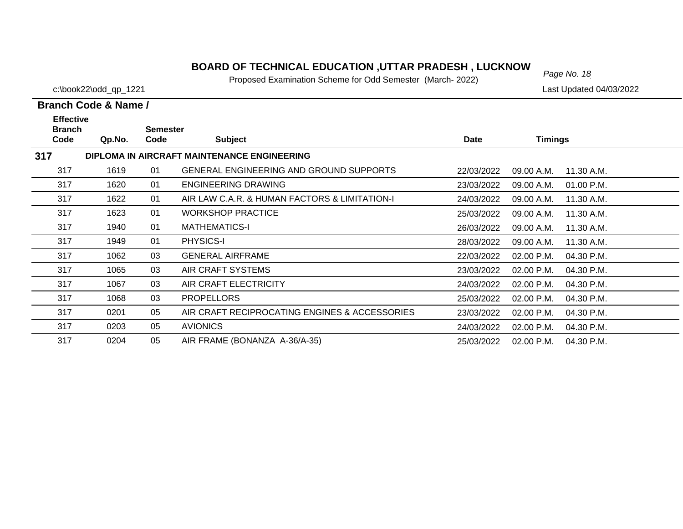## **BOARD OF TECHNICAL EDUCATION ,UTTAR PRADESH , LUCKNOW**  $_{Page No. 18}$

Proposed Examination Scheme for Odd Semester (March- 2022)

317

c:\book22\odd\_qp\_1221 Last Updated 04/03/2022

#### **Branch Code Qp.No. SemesterCode Subject Date Timings Branch Code & Name /Effective 317 DIPLOMA IN AIRCRAFT MAINTENANCE ENGINEERING** 317 1619 01 GENERAL ENGINEERING AND GROUND SUPPORTS 22/03/2022 09.00 A.M. 11.30 A.M.317 1620 01 ENGINEERING DRAWING23/03/2022 09.00 A.M. 01.00 P.M. 3171622 01 AIR LAW C.A.R. & HUMAN FACTORS & LIMITATION-I 24/03/2022 09.00 A.M. 11.30 A.M. 317 1623 01 WORKSHOP PRACTICE25/03/2022 09.00 A.M. 11.30 A.M. 3171940 01 MATHEMATICS-I 26/03/2022 09.00 A.M. 11.30 A.M. 317 1949 01 PHYSICS-I 28/03/2022 09.00 A.M. 11.30 A.M.11.30 A.M. 317 1062 03 GENERAL AIRFRAME22/03/2022 02.00 P.M. 04.30 P.M. 317 1065 03 AIR CRAFT SYSTEMS 23/03/2022 02.00 P.M. 04.30 P.M.317 1067 03 AIR CRAFT ELECTRICITY 24/03/2022 02.00 P.M. 04.30 P.M.317 1068 03 PROPELLORS25/03/2022 02.00 P.M. 04.30 P.M. 317 0201 05 AIR CRAFT RECIPROCATING ENGINES & ACCESSORIES 23/03/2022 02.00 P.M. 04.30 P.M.317 0203 05 AVIONICS24/03/2022 02.00 P.M. 04.30 P.M.

0204 05 AIR FRAME (BONANZA A-36/A-35) 25/03/2022 02.00 P.M. 04.30 P.M.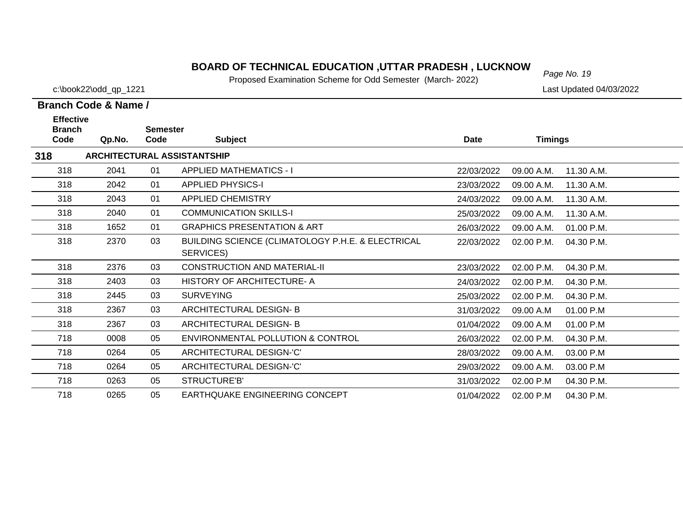# *Page No. 19* **BOARD OF TECHNICAL EDUCATION ,UTTAR PRADESH , LUCKNOW**

Proposed Examination Scheme for Odd Semester (March- 2022)

c:\book22\odd\_qp\_1221 Last Updated 04/03/2022

| <b>Effective</b><br><b>Branch</b><br>Code | Qp.No. | <b>Semester</b><br>Code | <b>Subject</b>                                                 | <b>Date</b> | <b>Timings</b> |            |
|-------------------------------------------|--------|-------------------------|----------------------------------------------------------------|-------------|----------------|------------|
|                                           |        |                         |                                                                |             |                |            |
| 318                                       |        |                         | <b>ARCHITECTURAL ASSISTANTSHIP</b>                             |             |                |            |
| 318                                       | 2041   | 01                      | <b>APPLIED MATHEMATICS - I</b>                                 | 22/03/2022  | 09.00 A.M.     | 11.30 A.M. |
| 318                                       | 2042   | 01                      | <b>APPLIED PHYSICS-I</b>                                       | 23/03/2022  | 09.00 A.M.     | 11.30 A.M. |
| 318                                       | 2043   | 01                      | <b>APPLIED CHEMISTRY</b>                                       | 24/03/2022  | 09.00 A.M.     | 11.30 A.M. |
| 318                                       | 2040   | 01                      | <b>COMMUNICATION SKILLS-I</b>                                  | 25/03/2022  | 09.00 A.M.     | 11.30 A.M. |
| 318                                       | 1652   | 01                      | <b>GRAPHICS PRESENTATION &amp; ART</b>                         | 26/03/2022  | 09.00 A.M.     | 01.00 P.M. |
| 318                                       | 2370   | 03                      | BUILDING SCIENCE (CLIMATOLOGY P.H.E. & ELECTRICAL<br>SERVICES) | 22/03/2022  | 02.00 P.M.     | 04.30 P.M. |
| 318                                       | 2376   | 03                      | <b>CONSTRUCTION AND MATERIAL-II</b>                            | 23/03/2022  | 02.00 P.M.     | 04.30 P.M. |
| 318                                       | 2403   | 03                      | HISTORY OF ARCHITECTURE- A                                     | 24/03/2022  | 02.00 P.M.     | 04.30 P.M. |
| 318                                       | 2445   | 03                      | <b>SURVEYING</b>                                               | 25/03/2022  | 02.00 P.M.     | 04.30 P.M. |
| 318                                       | 2367   | 03                      | ARCHITECTURAL DESIGN-B                                         | 31/03/2022  | 09.00 A.M      | 01.00 P.M  |
| 318                                       | 2367   | 03                      | ARCHITECTURAL DESIGN-B                                         | 01/04/2022  | 09.00 A.M      | 01.00 P.M  |
| 718                                       | 0008   | 05                      | <b>ENVIRONMENTAL POLLUTION &amp; CONTROL</b>                   | 26/03/2022  | 02.00 P.M.     | 04.30 P.M. |
| 718                                       | 0264   | 05                      | ARCHITECTURAL DESIGN-'C'                                       | 28/03/2022  | 09.00 A.M.     | 03.00 P.M  |
| 718                                       | 0264   | 05                      | ARCHITECTURAL DESIGN-'C'                                       | 29/03/2022  | 09.00 A.M.     | 03.00 P.M  |
| 718                                       | 0263   | 05                      | STRUCTURE'B'                                                   | 31/03/2022  | 02.00 P.M      | 04.30 P.M. |
| 718                                       | 0265   | 05                      | <b>EARTHQUAKE ENGINEERING CONCEPT</b>                          | 01/04/2022  | 02.00 P.M      | 04.30 P.M. |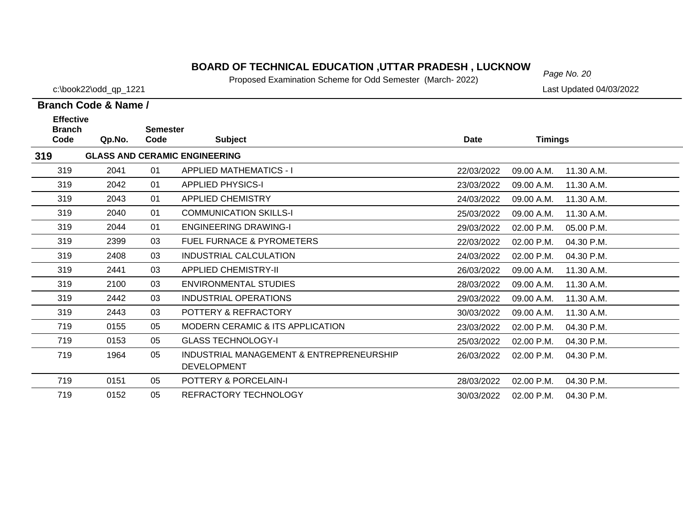## **BOARD OF TECHNICAL EDUCATION ,UTTAR PRADESH , LUCKNOW** Page No. 20

Proposed Examination Scheme for Odd Semester (March- 2022)

**319**

c:\book22\odd\_qp\_1221 Last Updated 04/03/2022

#### **Branch Code Qp.No. SemesterCode Subject Date Timings Effective GLASS AND CERAMIC ENGINEERING** 3192041 01 APPLIED MATHEMATICS - I 22/03/2022 09.00 A.M. 11.30 A.M. 3192042 01 APPLIED PHYSICS-I 23/03/2022 09.00 A.M. 11.30 A.M. 319 2043 01 APPLIED CHEMISTRY24/03/2022 09.00 A.M. 11.30 A.M. 3192040 01 COMMUNICATION SKILLS-I 25/03/2022 09.00 A.M. 11.30 A.M. 3192044 01 ENGINEERING DRAWING-I 29/03/2022 02.00 P.M. 05.00 P.M. 319 2399 03 FUEL FURNACE & PYROMETERS22/03/2022 02.00 P.M. 04.30 P.M. 319 2408 03 INDUSTRIAL CALCULATION24/03/2022 02.00 P.M. 04.30 P.M. 319 2441 03 APPLIED CHEMISTRY-II 26/03/2022 09.00 A.M. 11.30 A.M.319 2100 03 ENVIRONMENTAL STUDIES28/03/2022 09.00 A.M. 11.30 A.M. 319 2442 03 INDUSTRIAL OPERATIONS29/03/2022 09.00 A.M. 11.30 A.M. 319 2443 03 POTTERY & REFRACTORY 30/03/2022 09.00 A.M. 11.30 A.M.719 0155 05 MODERN CERAMIC & ITS APPLICATION 23/03/2022 02.00 P.M. 04.30 P.M.7190153 05 GLASS TECHNOLOGY-I 25/03/2022 02.00 P.M. 04.30 P.M. 05 INDUSTRIAL MANAGEMENT & ENTREPRENEURSHIP 1964 26/03/2022 02.00 P.M. 04.30 P.M.719

|     |      |    | <b>DEVELOPMENT</b>    |            |            |            |
|-----|------|----|-----------------------|------------|------------|------------|
| 719 | 0151 | 05 | POTTERY & PORCELAIN-I | 28/03/2022 | 02.00 P.M. | 04.30 P.M. |
| 719 | 0152 | 05 | REFRACTORY TECHNOLOGY | 30/03/2022 | 02.00 P.M. | 04.30 P.M. |

| Branch Code & Name / |       |                 |  |  |  |  |
|----------------------|-------|-----------------|--|--|--|--|
| <b>Effective</b>     |       |                 |  |  |  |  |
| <b>Branch</b>        |       | <b>Semester</b> |  |  |  |  |
| Code                 | On No | Code            |  |  |  |  |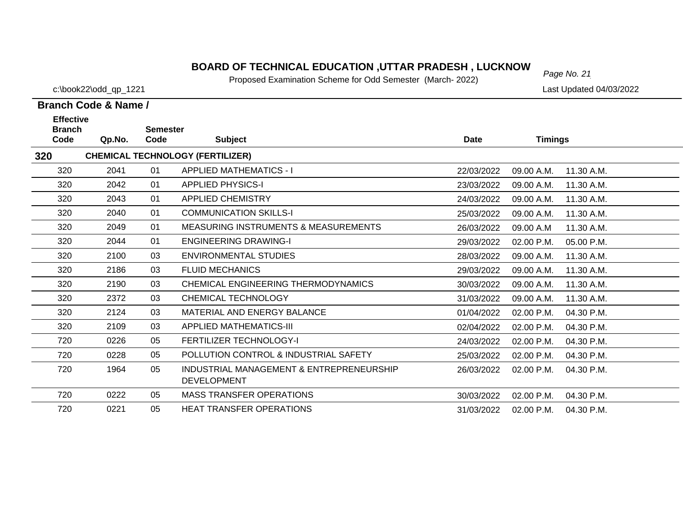## **BOARD OF TECHNICAL EDUCATION ,UTTAR PRADESH , LUCKNOW**  $_{Page No. 21}$

Proposed Examination Scheme for Odd Semester (March- 2022)

25/03/2022 02.00 P.M. 04.30 P.M.

31/03/2022 02.00 P.M. 04.30 P.M.

04.30 P.M.

30/03/2022 02.00 P.M.

**Branch Code & Name /**

**320**

720

720

720

720

720

c:\book22\odd\_qp\_1221 Last Updated 04/03/2022

#### **Branch Code Qp.No. SemesterCode Subject Date Timings Effective CHEMICAL TECHNOLOGY (FERTILIZER)** 320 2041 01 APPLIED MATHEMATICS - I 22/03/2022 09.00 A.M. 11.30 A.M.320 2042 01 APPLIED PHYSICS-I 23/03/2022 09.00 A.M. 11.30 A.M.320 2043 01 APPLIED CHEMISTRY 24/03/2022 09.00 A.M. 11.30 A.M.3202040 01 COMMUNICATION SKILLS-I 25/03/2022 09.00 A.M. 11.30 A.M. 320 2049 01 MEASURING INSTRUMENTS & MEASUREMENTS26/03/2022 09.00 A.M. 11.30 A.M. 320 2044 01 ENGINEERING DRAWING-I 29/03/2022 02.00 P.M. 05.00 P.M.320 2100 03 ENVIRONMENTAL STUDIES28/03/2022 09.00 A.M. 11.30 A.M. 320 2186 03 FLUID MECHANICS 29/03/2022 09.00 A.M. 11.30 A.M.320 2190 03 CHEMICAL ENGINEERING THERMODYNAMICS 30/03/2022 09.00 A.M. 11.30 A.M.320 2372 03 CHEMICAL TECHNOLOGY 31/03/2022 09.00 A.M. 11.30 A.M.320 2124 03 MATERIAL AND ENERGY BALANCE 01/04/2022 02.00 P.M. 04.30 P.M.3202109 03 APPLIED MATHEMATICS-III 02/04/2022 02.00 P.M. 04.30 P.M.

0228 05 POLLUTION CONTROL & INDUSTRIAL SAFETY

DEVELOPMENT

0222 05 MASS TRANSFER OPERATIONS

0221 05 HEAT TRANSFER OPERATIONS

0226 05 FERTILIZER TECHNOLOGY-I 24/03/2022 02.00 P.M. 04.30 P.M.

0 1964 05 INDUSTRIAL MANAGEMENT & ENTREPRENEURSHIP 26/03/2022 02.00 P.M. 04.30 P.M.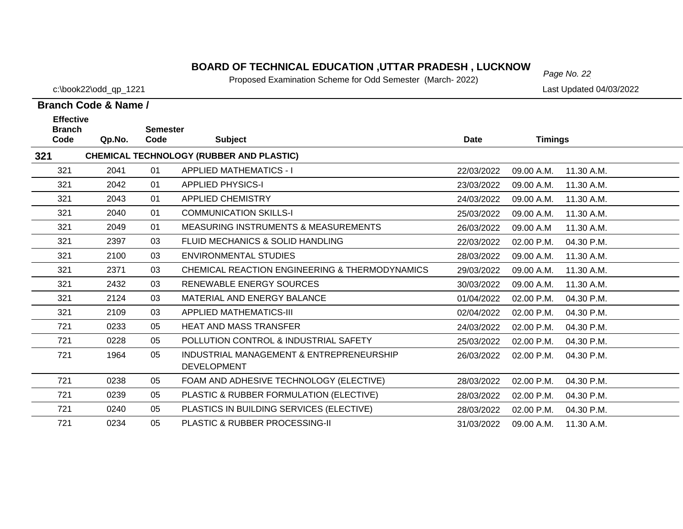# *Page No. 22* **BOARD OF TECHNICAL EDUCATION ,UTTAR PRADESH , LUCKNOW**

Proposed Examination Scheme for Odd Semester (March- 2022)

**Branch Code & Name /**

| <b>Effective</b>      |        | <b>Semester</b> |                                                                |             |                |            |
|-----------------------|--------|-----------------|----------------------------------------------------------------|-------------|----------------|------------|
| <b>Branch</b><br>Code | Qp.No. | Code            | <b>Subject</b>                                                 | <b>Date</b> | <b>Timings</b> |            |
| 321                   |        |                 | <b>CHEMICAL TECHNOLOGY (RUBBER AND PLASTIC)</b>                |             |                |            |
| 321                   | 2041   | 01              | <b>APPLIED MATHEMATICS - I</b>                                 | 22/03/2022  | 09.00 A.M.     | 11.30 A.M. |
| 321                   | 2042   | 01              | <b>APPLIED PHYSICS-I</b>                                       | 23/03/2022  | 09.00 A.M.     | 11.30 A.M. |
| 321                   | 2043   | 01              | <b>APPLIED CHEMISTRY</b>                                       | 24/03/2022  | 09.00 A.M.     | 11.30 A.M. |
| 321                   | 2040   | 01              | <b>COMMUNICATION SKILLS-I</b>                                  | 25/03/2022  | 09.00 A.M.     | 11.30 A.M. |
| 321                   | 2049   | 01              | <b>MEASURING INSTRUMENTS &amp; MEASUREMENTS</b>                | 26/03/2022  | 09.00 A.M      | 11.30 A.M. |
| 321                   | 2397   | 03              | FLUID MECHANICS & SOLID HANDLING                               | 22/03/2022  | 02.00 P.M.     | 04.30 P.M. |
| 321                   | 2100   | 03              | ENVIRONMENTAL STUDIES                                          | 28/03/2022  | 09.00 A.M.     | 11.30 A.M. |
| 321                   | 2371   | 03              | CHEMICAL REACTION ENGINEERING & THERMODYNAMICS                 | 29/03/2022  | 09.00 A.M.     | 11.30 A.M. |
| 321                   | 2432   | 03              | RENEWABLE ENERGY SOURCES                                       | 30/03/2022  | 09.00 A.M.     | 11.30 A.M. |
| 321                   | 2124   | 03              | MATERIAL AND ENERGY BALANCE                                    | 01/04/2022  | 02.00 P.M.     | 04.30 P.M. |
| 321                   | 2109   | 03              | <b>APPLIED MATHEMATICS-III</b>                                 | 02/04/2022  | 02.00 P.M.     | 04.30 P.M. |
| 721                   | 0233   | 05              | <b>HEAT AND MASS TRANSFER</b>                                  | 24/03/2022  | 02.00 P.M.     | 04.30 P.M. |
| 721                   | 0228   | 05              | POLLUTION CONTROL & INDUSTRIAL SAFETY                          | 25/03/2022  | 02.00 P.M.     | 04.30 P.M. |
| 721                   | 1964   | 05              | INDUSTRIAL MANAGEMENT & ENTREPRENEURSHIP<br><b>DEVELOPMENT</b> | 26/03/2022  | 02.00 P.M.     | 04.30 P.M. |
| 721                   | 0238   | 05              | FOAM AND ADHESIVE TECHNOLOGY (ELECTIVE)                        | 28/03/2022  | 02.00 P.M.     | 04.30 P.M. |
| 721                   | 0239   | 05              | PLASTIC & RUBBER FORMULATION (ELECTIVE)                        | 28/03/2022  | 02.00 P.M.     | 04.30 P.M. |
| 721                   | 0240   | 05              | PLASTICS IN BUILDING SERVICES (ELECTIVE)                       | 28/03/2022  | 02.00 P.M.     | 04.30 P.M. |
| 721                   | 0234   | 05              | PLASTIC & RUBBER PROCESSING-II                                 | 31/03/2022  | 09.00 A.M.     | 11.30 A.M. |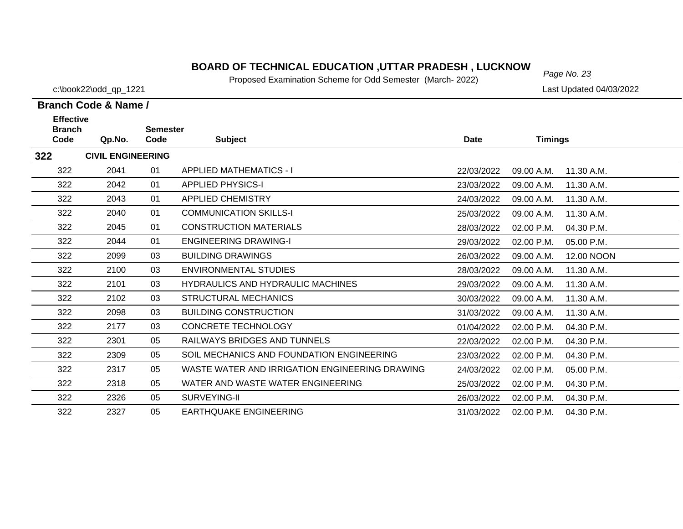# *Page No. 23* **BOARD OF TECHNICAL EDUCATION ,UTTAR PRADESH , LUCKNOW**

Proposed Examination Scheme for Odd Semester (March- 2022)

c:\book22\odd\_qp\_1221 Last Updated 04/03/2022

| <b>Effective</b>      |                          |                         |                                                |            |                |            |
|-----------------------|--------------------------|-------------------------|------------------------------------------------|------------|----------------|------------|
| <b>Branch</b><br>Code | Qp.No.                   | <b>Semester</b><br>Code | <b>Subject</b>                                 | Date       | <b>Timings</b> |            |
| 322                   | <b>CIVIL ENGINEERING</b> |                         |                                                |            |                |            |
| 322                   | 2041                     | 01                      | <b>APPLIED MATHEMATICS - I</b>                 | 22/03/2022 | 09.00 A.M.     | 11.30 A.M. |
| 322                   | 2042                     | 01                      | <b>APPLIED PHYSICS-I</b>                       | 23/03/2022 | 09.00 A.M.     | 11.30 A.M. |
| 322                   | 2043                     | 01                      | <b>APPLIED CHEMISTRY</b>                       | 24/03/2022 | 09.00 A.M.     | 11.30 A.M. |
| 322                   | 2040                     | 01                      | <b>COMMUNICATION SKILLS-I</b>                  | 25/03/2022 | 09.00 A.M.     | 11.30 A.M. |
| 322                   | 2045                     | 01                      | <b>CONSTRUCTION MATERIALS</b>                  | 28/03/2022 | 02.00 P.M.     | 04.30 P.M. |
| 322                   | 2044                     | 01                      | <b>ENGINEERING DRAWING-I</b>                   | 29/03/2022 | 02.00 P.M.     | 05.00 P.M. |
| 322                   | 2099                     | 03                      | <b>BUILDING DRAWINGS</b>                       | 26/03/2022 | 09.00 A.M.     | 12.00 NOON |
| 322                   | 2100                     | 03                      | <b>ENVIRONMENTAL STUDIES</b>                   | 28/03/2022 | 09.00 A.M.     | 11.30 A.M. |
| 322                   | 2101                     | 03                      | HYDRAULICS AND HYDRAULIC MACHINES              | 29/03/2022 | 09.00 A.M.     | 11.30 A.M. |
| 322                   | 2102                     | 03                      | <b>STRUCTURAL MECHANICS</b>                    | 30/03/2022 | 09.00 A.M.     | 11.30 A.M. |
| 322                   | 2098                     | 03                      | <b>BUILDING CONSTRUCTION</b>                   | 31/03/2022 | 09.00 A.M.     | 11.30 A.M. |
| 322                   | 2177                     | 03                      | <b>CONCRETE TECHNOLOGY</b>                     | 01/04/2022 | 02.00 P.M.     | 04.30 P.M. |
| 322                   | 2301                     | 05                      | RAILWAYS BRIDGES AND TUNNELS                   | 22/03/2022 | 02.00 P.M.     | 04.30 P.M. |
| 322                   | 2309                     | 05                      | SOIL MECHANICS AND FOUNDATION ENGINEERING      | 23/03/2022 | 02.00 P.M.     | 04.30 P.M. |
| 322                   | 2317                     | 05                      | WASTE WATER AND IRRIGATION ENGINEERING DRAWING | 24/03/2022 | 02.00 P.M.     | 05.00 P.M. |
| 322                   | 2318                     | 05                      | WATER AND WASTE WATER ENGINEERING              | 25/03/2022 | 02.00 P.M.     | 04.30 P.M. |
| 322                   | 2326                     | 05                      | SURVEYING-II                                   | 26/03/2022 | 02.00 P.M.     | 04.30 P.M. |
| 322                   | 2327                     | 05                      | <b>EARTHQUAKE ENGINEERING</b>                  | 31/03/2022 | 02.00 P.M.     | 04.30 P.M. |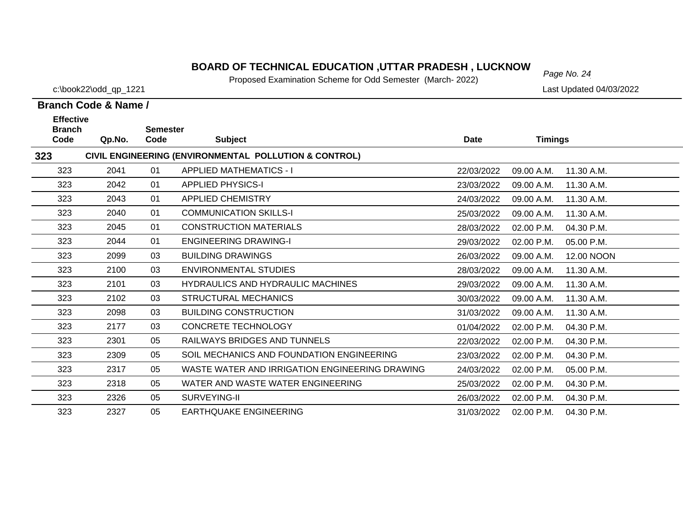# *Page No. 24* **BOARD OF TECHNICAL EDUCATION ,UTTAR PRADESH , LUCKNOW**

Proposed Examination Scheme for Odd Semester (March- 2022)

c:\book22\odd\_qp\_1221 Last Updated 04/03/2022

|                       | <b>Effective</b><br><b>Semester</b> |      |                                                       |             |                |            |  |  |
|-----------------------|-------------------------------------|------|-------------------------------------------------------|-------------|----------------|------------|--|--|
| <b>Branch</b><br>Code | Qp.No.                              | Code | <b>Subject</b>                                        | <b>Date</b> | <b>Timings</b> |            |  |  |
| 323                   |                                     |      | CIVIL ENGINEERING (ENVIRONMENTAL POLLUTION & CONTROL) |             |                |            |  |  |
| 323                   | 2041                                | 01   | <b>APPLIED MATHEMATICS - I</b>                        | 22/03/2022  | 09.00 A.M.     | 11.30 A.M. |  |  |
| 323                   | 2042                                | 01   | <b>APPLIED PHYSICS-I</b>                              | 23/03/2022  | 09.00 A.M.     | 11.30 A.M. |  |  |
| 323                   | 2043                                | 01   | <b>APPLIED CHEMISTRY</b>                              | 24/03/2022  | 09.00 A.M.     | 11.30 A.M. |  |  |
| 323                   | 2040                                | 01   | <b>COMMUNICATION SKILLS-I</b>                         | 25/03/2022  | 09.00 A.M.     | 11.30 A.M. |  |  |
| 323                   | 2045                                | 01   | <b>CONSTRUCTION MATERIALS</b>                         | 28/03/2022  | 02.00 P.M.     | 04.30 P.M. |  |  |
| 323                   | 2044                                | 01   | <b>ENGINEERING DRAWING-I</b>                          | 29/03/2022  | 02.00 P.M.     | 05.00 P.M. |  |  |
| 323                   | 2099                                | 03   | <b>BUILDING DRAWINGS</b>                              | 26/03/2022  | 09.00 A.M.     | 12.00 NOON |  |  |
| 323                   | 2100                                | 03   | <b>ENVIRONMENTAL STUDIES</b>                          | 28/03/2022  | 09.00 A.M.     | 11.30 A.M. |  |  |
| 323                   | 2101                                | 03   | <b>HYDRAULICS AND HYDRAULIC MACHINES</b>              | 29/03/2022  | 09.00 A.M.     | 11.30 A.M. |  |  |
| 323                   | 2102                                | 03   | <b>STRUCTURAL MECHANICS</b>                           | 30/03/2022  | 09.00 A.M.     | 11.30 A.M. |  |  |
| 323                   | 2098                                | 03   | <b>BUILDING CONSTRUCTION</b>                          | 31/03/2022  | 09.00 A.M.     | 11.30 A.M. |  |  |
| 323                   | 2177                                | 03   | <b>CONCRETE TECHNOLOGY</b>                            | 01/04/2022  | 02.00 P.M.     | 04.30 P.M. |  |  |
| 323                   | 2301                                | 05   | <b>RAILWAYS BRIDGES AND TUNNELS</b>                   | 22/03/2022  | 02.00 P.M.     | 04.30 P.M. |  |  |
| 323                   | 2309                                | 05   | SOIL MECHANICS AND FOUNDATION ENGINEERING             | 23/03/2022  | 02.00 P.M.     | 04.30 P.M. |  |  |
| 323                   | 2317                                | 05   | WASTE WATER AND IRRIGATION ENGINEERING DRAWING        | 24/03/2022  | 02.00 P.M.     | 05.00 P.M. |  |  |
| 323                   | 2318                                | 05   | WATER AND WASTE WATER ENGINEERING                     | 25/03/2022  | 02.00 P.M.     | 04.30 P.M. |  |  |
| 323                   | 2326                                | 05   | SURVEYING-II                                          | 26/03/2022  | 02.00 P.M.     | 04.30 P.M. |  |  |
| 323                   | 2327                                | 05   | <b>EARTHQUAKE ENGINEERING</b>                         | 31/03/2022  | 02.00 P.M.     | 04.30 P.M. |  |  |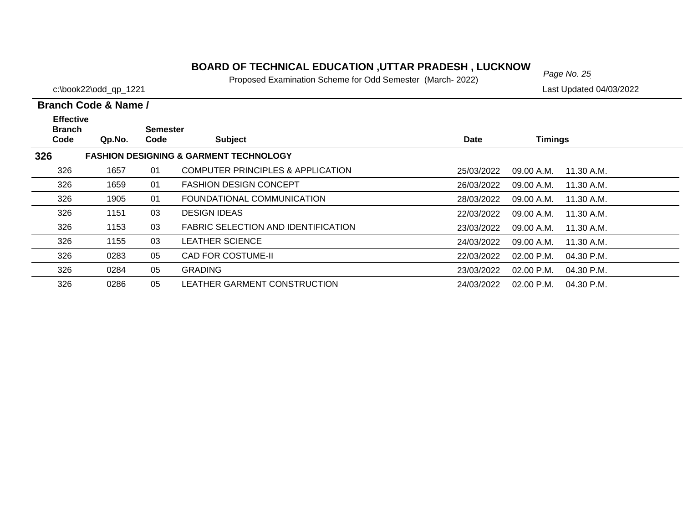# *Page No. 25* **BOARD OF TECHNICAL EDUCATION ,UTTAR PRADESH , LUCKNOW**

Proposed Examination Scheme for Odd Semester (March- 2022)

c:\book22\odd\_qp\_1221 Last Updated 04/03/2022

| <b>Effective</b><br><b>Branch</b> |        | Semester |                                                   |             |                              |  |
|-----------------------------------|--------|----------|---------------------------------------------------|-------------|------------------------------|--|
| Code                              | Qp.No. | Code     | <b>Subject</b>                                    | <b>Date</b> | <b>Timings</b>               |  |
| 326                               |        |          | <b>FASHION DESIGNING &amp; GARMENT TECHNOLOGY</b> |             |                              |  |
| 326                               | 1657   | 01       | COMPUTER PRINCIPLES & APPLICATION                 | 25/03/2022  | 09.00 A.M.<br>11.30 A.M.     |  |
| 326                               | 1659   | 01       | <b>FASHION DESIGN CONCEPT</b>                     | 26/03/2022  | 09.00 A.M.<br>11.30 A.M.     |  |
| 326                               | 1905   | 01       | FOUNDATIONAL COMMUNICATION                        | 28/03/2022  | 09.00 A.M.<br>11.30 A.M.     |  |
| 326                               | 1151   | 03       | <b>DESIGN IDEAS</b>                               | 22/03/2022  | 09.00 A.M.<br>11.30 A.M.     |  |
| 326                               | 1153   | 03       | <b>FABRIC SELECTION AND IDENTIFICATION</b>        | 23/03/2022  | 09.00 A.M.<br>11.30 A.M.     |  |
| 326                               | 1155   | 03       | <b>LEATHER SCIENCE</b>                            | 24/03/2022  | 09.00 A.M.<br>11.30 A.M.     |  |
| 326                               | 0283   | 05       | <b>CAD FOR COSTUME-II</b>                         | 22/03/2022  | 02.00 P.M.<br>04.30 P.M.     |  |
| 326                               | 0284   | 05       | <b>GRADING</b>                                    | 23/03/2022  | $02.00$ P.M.<br>04.30 P.M.   |  |
| 326                               | 0286   | 05       | LEATHER GARMENT CONSTRUCTION                      | 24/03/2022  | $02.00$ P.M.<br>$04.30$ P.M. |  |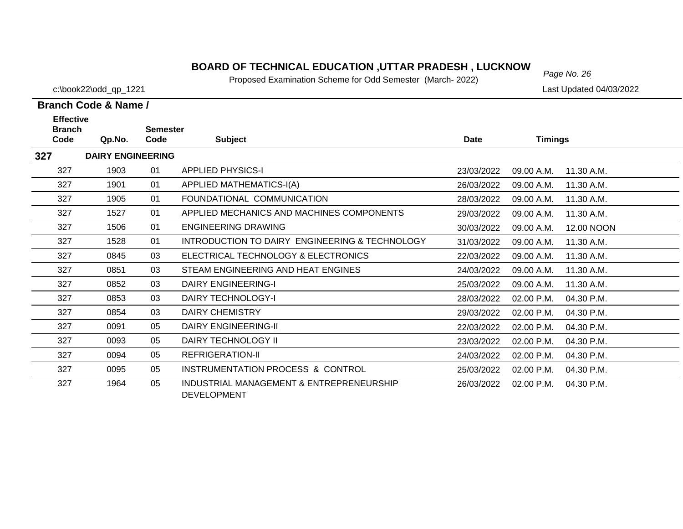# *Page No. 26* **BOARD OF TECHNICAL EDUCATION ,UTTAR PRADESH , LUCKNOW**

Proposed Examination Scheme for Odd Semester (March- 2022)

c:\book22\odd\_qp\_1221 Last Updated 04/03/2022

| <b>Effective</b>      |                          |                         |                                                                |             |                |            |
|-----------------------|--------------------------|-------------------------|----------------------------------------------------------------|-------------|----------------|------------|
| <b>Branch</b><br>Code | Qp.No.                   | <b>Semester</b><br>Code | <b>Subject</b>                                                 | <b>Date</b> | <b>Timings</b> |            |
| 327                   | <b>DAIRY ENGINEERING</b> |                         |                                                                |             |                |            |
| 327                   | 1903                     | 01                      | <b>APPLIED PHYSICS-I</b>                                       | 23/03/2022  | 09.00 A.M.     | 11.30 A.M. |
| 327                   | 1901                     | 01                      | <b>APPLIED MATHEMATICS-I(A)</b>                                | 26/03/2022  | 09.00 A.M.     | 11.30 A.M. |
| 327                   | 1905                     | 01                      | FOUNDATIONAL COMMUNICATION                                     | 28/03/2022  | 09.00 A.M.     | 11.30 A.M. |
| 327                   | 1527                     | 01                      | APPLIED MECHANICS AND MACHINES COMPONENTS                      | 29/03/2022  | 09.00 A.M.     | 11.30 A.M. |
| 327                   | 1506                     | 01                      | <b>ENGINEERING DRAWING</b>                                     | 30/03/2022  | 09.00 A.M.     | 12.00 NOON |
| 327                   | 1528                     | 01                      | INTRODUCTION TO DAIRY ENGINEERING & TECHNOLOGY                 | 31/03/2022  | 09.00 A.M.     | 11.30 A.M. |
| 327                   | 0845                     | 03                      | ELECTRICAL TECHNOLOGY & ELECTRONICS                            | 22/03/2022  | 09.00 A.M.     | 11.30 A.M. |
| 327                   | 0851                     | 03                      | STEAM ENGINEERING AND HEAT ENGINES                             | 24/03/2022  | 09.00 A.M.     | 11.30 A.M. |
| 327                   | 0852                     | 03                      | <b>DAIRY ENGINEERING-I</b>                                     | 25/03/2022  | 09.00 A.M.     | 11.30 A.M. |
| 327                   | 0853                     | 03                      | DAIRY TECHNOLOGY-I                                             | 28/03/2022  | 02.00 P.M.     | 04.30 P.M. |
| 327                   | 0854                     | 03                      | <b>DAIRY CHEMISTRY</b>                                         | 29/03/2022  | 02.00 P.M.     | 04.30 P.M. |
| 327                   | 0091                     | 05                      | <b>DAIRY ENGINEERING-II</b>                                    | 22/03/2022  | 02.00 P.M.     | 04.30 P.M. |
| 327                   | 0093                     | 05                      | DAIRY TECHNOLOGY II                                            | 23/03/2022  | 02.00 P.M.     | 04.30 P.M. |
| 327                   | 0094                     | 05                      | REFRIGERATION-II                                               | 24/03/2022  | 02.00 P.M.     | 04.30 P.M. |
| 327                   | 0095                     | 05                      | INSTRUMENTATION PROCESS & CONTROL                              | 25/03/2022  | 02.00 P.M.     | 04.30 P.M. |
| 327                   | 1964                     | 05                      | INDUSTRIAL MANAGEMENT & ENTREPRENEURSHIP<br><b>DEVELOPMENT</b> | 26/03/2022  | 02.00 P.M.     | 04.30 P.M. |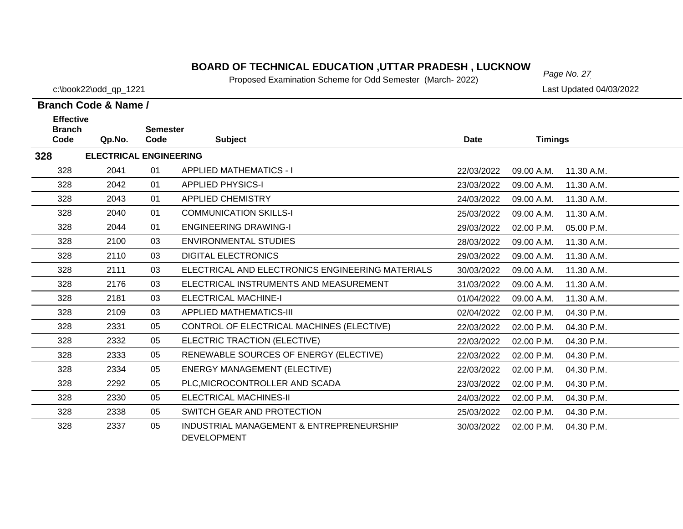# *Page No. 27* **BOARD OF TECHNICAL EDUCATION ,UTTAR PRADESH , LUCKNOW**

Proposed Examination Scheme for Odd Semester (March- 2022)

c:\book22\odd\_qp\_1221 Last Updated 04/03/2022

| <b>Effective</b><br><b>Branch</b> |                               |                         |                                                                |             |                |            |
|-----------------------------------|-------------------------------|-------------------------|----------------------------------------------------------------|-------------|----------------|------------|
| Code                              | Qp.No.                        | <b>Semester</b><br>Code | <b>Subject</b>                                                 | <b>Date</b> | <b>Timings</b> |            |
| 328                               | <b>ELECTRICAL ENGINEERING</b> |                         |                                                                |             |                |            |
| 328                               | 2041                          | 01                      | <b>APPLIED MATHEMATICS - I</b>                                 | 22/03/2022  | 09.00 A.M.     | 11.30 A.M. |
| 328                               | 2042                          | 01                      | <b>APPLIED PHYSICS-I</b>                                       | 23/03/2022  | 09.00 A.M.     | 11.30 A.M. |
| 328                               | 2043                          | 01                      | APPLIED CHEMISTRY                                              | 24/03/2022  | 09.00 A.M.     | 11.30 A.M. |
| 328                               | 2040                          | 01                      | <b>COMMUNICATION SKILLS-I</b>                                  | 25/03/2022  | 09.00 A.M.     | 11.30 A.M. |
| 328                               | 2044                          | 01                      | <b>ENGINEERING DRAWING-I</b>                                   | 29/03/2022  | 02.00 P.M.     | 05.00 P.M. |
| 328                               | 2100                          | 03                      | <b>ENVIRONMENTAL STUDIES</b>                                   | 28/03/2022  | 09.00 A.M.     | 11.30 A.M. |
| 328                               | 2110                          | 03                      | <b>DIGITAL ELECTRONICS</b>                                     | 29/03/2022  | 09.00 A.M.     | 11.30 A.M. |
| 328                               | 2111                          | 03                      | ELECTRICAL AND ELECTRONICS ENGINEERING MATERIALS               | 30/03/2022  | 09.00 A.M.     | 11.30 A.M. |
| 328                               | 2176                          | 03                      | ELECTRICAL INSTRUMENTS AND MEASUREMENT                         | 31/03/2022  | 09.00 A.M.     | 11.30 A.M. |
| 328                               | 2181                          | 03                      | <b>ELECTRICAL MACHINE-I</b>                                    | 01/04/2022  | 09.00 A.M.     | 11.30 A.M. |
| 328                               | 2109                          | 03                      | <b>APPLIED MATHEMATICS-III</b>                                 | 02/04/2022  | 02.00 P.M.     | 04.30 P.M. |
| 328                               | 2331                          | 05                      | CONTROL OF ELECTRICAL MACHINES (ELECTIVE)                      | 22/03/2022  | 02.00 P.M.     | 04.30 P.M. |
| 328                               | 2332                          | 05                      | ELECTRIC TRACTION (ELECTIVE)                                   | 22/03/2022  | 02.00 P.M.     | 04.30 P.M. |
| 328                               | 2333                          | 05                      | RENEWABLE SOURCES OF ENERGY (ELECTIVE)                         | 22/03/2022  | 02.00 P.M.     | 04.30 P.M. |
| 328                               | 2334                          | 05                      | <b>ENERGY MANAGEMENT (ELECTIVE)</b>                            | 22/03/2022  | 02.00 P.M.     | 04.30 P.M. |
| 328                               | 2292                          | 05                      | PLC, MICROCONTROLLER AND SCADA                                 | 23/03/2022  | 02.00 P.M.     | 04.30 P.M. |
| 328                               | 2330                          | 05                      | <b>ELECTRICAL MACHINES-II</b>                                  | 24/03/2022  | 02.00 P.M.     | 04.30 P.M. |
| 328                               | 2338                          | 05                      | SWITCH GEAR AND PROTECTION                                     | 25/03/2022  | 02.00 P.M.     | 04.30 P.M. |
| 328                               | 2337                          | 05                      | INDUSTRIAL MANAGEMENT & ENTREPRENEURSHIP<br><b>DEVELOPMENT</b> | 30/03/2022  | 02.00 P.M.     | 04.30 P.M. |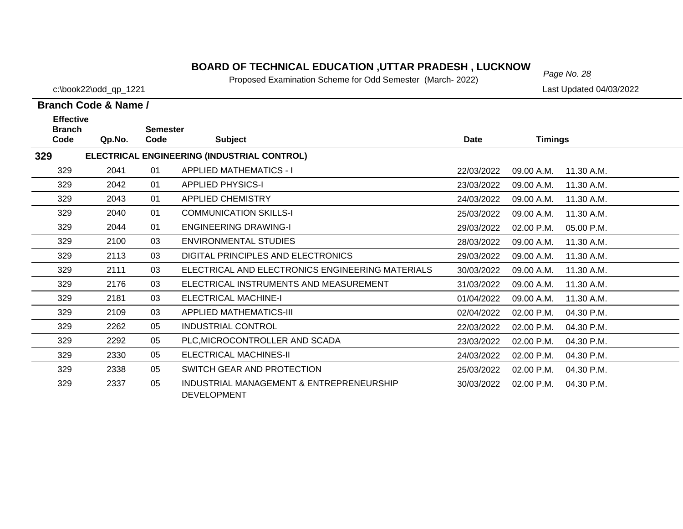# *Page No. 28* **BOARD OF TECHNICAL EDUCATION ,UTTAR PRADESH , LUCKNOW**

Proposed Examination Scheme for Odd Semester (March- 2022)

c:\book22\odd\_qp\_1221 Last Updated 04/03/2022

| <b>Effective</b>      |        |                         |                                                                |             |                |            |
|-----------------------|--------|-------------------------|----------------------------------------------------------------|-------------|----------------|------------|
| <b>Branch</b><br>Code | Qp.No. | <b>Semester</b><br>Code | <b>Subject</b>                                                 | <b>Date</b> | <b>Timings</b> |            |
| 329                   |        |                         | ELECTRICAL ENGINEERING (INDUSTRIAL CONTROL)                    |             |                |            |
| 329                   | 2041   | 01                      | <b>APPLIED MATHEMATICS - I</b>                                 | 22/03/2022  | 09.00 A.M.     | 11.30 A.M. |
| 329                   | 2042   | 01                      | <b>APPLIED PHYSICS-I</b>                                       | 23/03/2022  | 09.00 A.M.     | 11.30 A.M. |
| 329                   | 2043   | 01                      | <b>APPLIED CHEMISTRY</b>                                       | 24/03/2022  | 09.00 A.M.     | 11.30 A.M. |
| 329                   | 2040   | 01                      | <b>COMMUNICATION SKILLS-I</b>                                  | 25/03/2022  | 09.00 A.M.     | 11.30 A.M. |
| 329                   | 2044   | 01                      | <b>ENGINEERING DRAWING-I</b>                                   | 29/03/2022  | 02.00 P.M.     | 05.00 P.M. |
| 329                   | 2100   | 03                      | <b>ENVIRONMENTAL STUDIES</b>                                   | 28/03/2022  | 09.00 A.M.     | 11.30 A.M. |
| 329                   | 2113   | 03                      | DIGITAL PRINCIPLES AND ELECTRONICS                             | 29/03/2022  | 09.00 A.M.     | 11.30 A.M. |
| 329                   | 2111   | 03                      | ELECTRICAL AND ELECTRONICS ENGINEERING MATERIALS               | 30/03/2022  | 09.00 A.M.     | 11.30 A.M. |
| 329                   | 2176   | 03                      | ELECTRICAL INSTRUMENTS AND MEASUREMENT                         | 31/03/2022  | 09.00 A.M.     | 11.30 A.M. |
| 329                   | 2181   | 03                      | <b>ELECTRICAL MACHINE-I</b>                                    | 01/04/2022  | 09.00 A.M.     | 11.30 A.M. |
| 329                   | 2109   | 03                      | <b>APPLIED MATHEMATICS-III</b>                                 | 02/04/2022  | 02.00 P.M.     | 04.30 P.M. |
| 329                   | 2262   | 05                      | <b>INDUSTRIAL CONTROL</b>                                      | 22/03/2022  | 02.00 P.M.     | 04.30 P.M. |
| 329                   | 2292   | 05                      | PLC, MICROCONTROLLER AND SCADA                                 | 23/03/2022  | 02.00 P.M.     | 04.30 P.M. |
| 329                   | 2330   | 05                      | <b>ELECTRICAL MACHINES-II</b>                                  | 24/03/2022  | 02.00 P.M.     | 04.30 P.M. |
| 329                   | 2338   | 05                      | SWITCH GEAR AND PROTECTION                                     | 25/03/2022  | 02.00 P.M.     | 04.30 P.M. |
| 329                   | 2337   | 05                      | INDUSTRIAL MANAGEMENT & ENTREPRENEURSHIP<br><b>DEVELOPMENT</b> | 30/03/2022  | 02.00 P.M.     | 04.30 P.M. |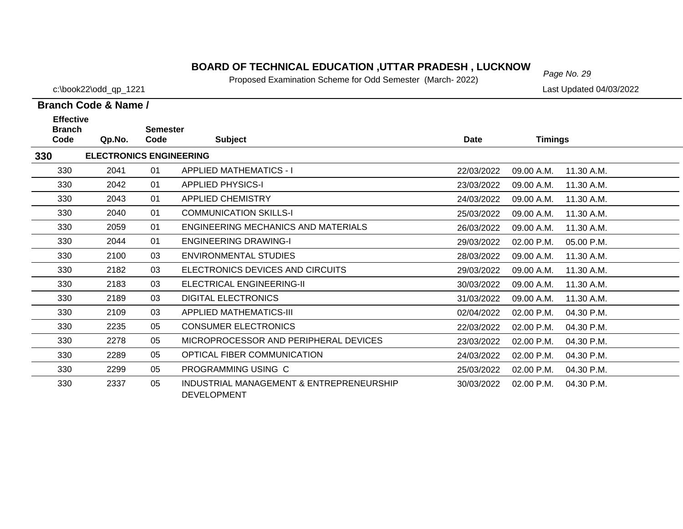# *Page No. 29* **BOARD OF TECHNICAL EDUCATION ,UTTAR PRADESH , LUCKNOW**

Proposed Examination Scheme for Odd Semester (March- 2022)

c:\book22\odd\_qp\_1221 Last Updated 04/03/2022

| <b>Effective</b><br><b>Branch</b> |                                | <b>Semester</b> |                                                                |             |                |            |
|-----------------------------------|--------------------------------|-----------------|----------------------------------------------------------------|-------------|----------------|------------|
| Code                              | Qp.No.                         | Code            | <b>Subject</b>                                                 | <b>Date</b> | <b>Timings</b> |            |
| 330                               | <b>ELECTRONICS ENGINEERING</b> |                 |                                                                |             |                |            |
| 330                               | 2041                           | 01              | <b>APPLIED MATHEMATICS - I</b>                                 | 22/03/2022  | 09.00 A.M.     | 11.30 A.M. |
| 330                               | 2042                           | 01              | <b>APPLIED PHYSICS-I</b>                                       | 23/03/2022  | 09.00 A.M.     | 11.30 A.M. |
| 330                               | 2043                           | 01              | <b>APPLIED CHEMISTRY</b>                                       | 24/03/2022  | 09.00 A.M.     | 11.30 A.M. |
| 330                               | 2040                           | 01              | <b>COMMUNICATION SKILLS-I</b>                                  | 25/03/2022  | 09.00 A.M.     | 11.30 A.M. |
| 330                               | 2059                           | 01              | ENGINEERING MECHANICS AND MATERIALS                            | 26/03/2022  | 09.00 A.M.     | 11.30 A.M. |
| 330                               | 2044                           | 01              | <b>ENGINEERING DRAWING-I</b>                                   | 29/03/2022  | 02.00 P.M.     | 05.00 P.M. |
| 330                               | 2100                           | 03              | <b>ENVIRONMENTAL STUDIES</b>                                   | 28/03/2022  | 09.00 A.M.     | 11.30 A.M. |
| 330                               | 2182                           | 03              | ELECTRONICS DEVICES AND CIRCUITS                               | 29/03/2022  | 09.00 A.M.     | 11.30 A.M. |
| 330                               | 2183                           | 03              | ELECTRICAL ENGINEERING-II                                      | 30/03/2022  | 09.00 A.M.     | 11.30 A.M. |
| 330                               | 2189                           | 03              | <b>DIGITAL ELECTRONICS</b>                                     | 31/03/2022  | 09.00 A.M.     | 11.30 A.M. |
| 330                               | 2109                           | 03              | <b>APPLIED MATHEMATICS-III</b>                                 | 02/04/2022  | 02.00 P.M.     | 04.30 P.M. |
| 330                               | 2235                           | 05              | <b>CONSUMER ELECTRONICS</b>                                    | 22/03/2022  | 02.00 P.M.     | 04.30 P.M. |
| 330                               | 2278                           | 05              | MICROPROCESSOR AND PERIPHERAL DEVICES                          | 23/03/2022  | 02.00 P.M.     | 04.30 P.M. |
| 330                               | 2289                           | 05              | OPTICAL FIBER COMMUNICATION                                    | 24/03/2022  | 02.00 P.M.     | 04.30 P.M. |
| 330                               | 2299                           | 05              | PROGRAMMING USING C                                            | 25/03/2022  | 02.00 P.M.     | 04.30 P.M. |
| 330                               | 2337                           | 05              | INDUSTRIAL MANAGEMENT & ENTREPRENEURSHIP<br><b>DEVELOPMENT</b> | 30/03/2022  | 02.00 P.M.     | 04.30 P.M. |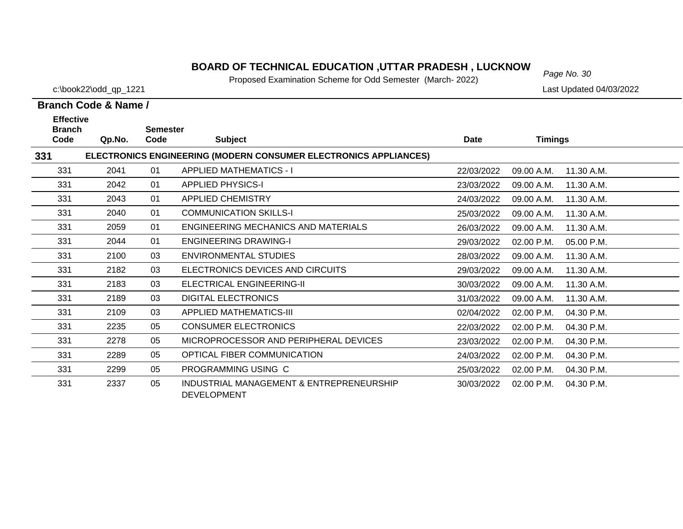# *Page No. 30* **BOARD OF TECHNICAL EDUCATION ,UTTAR PRADESH , LUCKNOW**

Proposed Examination Scheme for Odd Semester (March- 2022)

c:\book22\odd\_qp\_1221 Last Updated 04/03/2022

| <b>Effective</b>      |        | <b>Semester</b> |                                                                  |             |                |            |
|-----------------------|--------|-----------------|------------------------------------------------------------------|-------------|----------------|------------|
| <b>Branch</b><br>Code | Qp.No. | Code            | <b>Subject</b>                                                   | <b>Date</b> | <b>Timings</b> |            |
| 331                   |        |                 | ELECTRONICS ENGINEERING (MODERN CONSUMER ELECTRONICS APPLIANCES) |             |                |            |
| 331                   | 2041   | 01              | <b>APPLIED MATHEMATICS - I</b>                                   | 22/03/2022  | 09.00 A.M.     | 11.30 A.M. |
| 331                   | 2042   | 01              | <b>APPLIED PHYSICS-I</b>                                         | 23/03/2022  | 09.00 A.M.     | 11.30 A.M. |
| 331                   | 2043   | 01              | <b>APPLIED CHEMISTRY</b>                                         | 24/03/2022  | 09.00 A.M.     | 11.30 A.M. |
| 331                   | 2040   | 01              | <b>COMMUNICATION SKILLS-I</b>                                    | 25/03/2022  | 09.00 A.M.     | 11.30 A.M. |
| 331                   | 2059   | 01              | ENGINEERING MECHANICS AND MATERIALS                              | 26/03/2022  | 09.00 A.M.     | 11.30 A.M. |
| 331                   | 2044   | 01              | <b>ENGINEERING DRAWING-I</b>                                     | 29/03/2022  | 02.00 P.M.     | 05.00 P.M. |
| 331                   | 2100   | 03              | <b>ENVIRONMENTAL STUDIES</b>                                     | 28/03/2022  | 09.00 A.M.     | 11.30 A.M. |
| 331                   | 2182   | 03              | ELECTRONICS DEVICES AND CIRCUITS                                 | 29/03/2022  | 09.00 A.M.     | 11.30 A.M. |
| 331                   | 2183   | 03              | ELECTRICAL ENGINEERING-II                                        | 30/03/2022  | 09.00 A.M.     | 11.30 A.M. |
| 331                   | 2189   | 03              | <b>DIGITAL ELECTRONICS</b>                                       | 31/03/2022  | 09.00 A.M.     | 11.30 A.M. |
| 331                   | 2109   | 03              | <b>APPLIED MATHEMATICS-III</b>                                   | 02/04/2022  | 02.00 P.M.     | 04.30 P.M. |
| 331                   | 2235   | 05              | <b>CONSUMER ELECTRONICS</b>                                      | 22/03/2022  | 02.00 P.M.     | 04.30 P.M. |
| 331                   | 2278   | 05              | MICROPROCESSOR AND PERIPHERAL DEVICES                            | 23/03/2022  | 02.00 P.M.     | 04.30 P.M. |
| 331                   | 2289   | 05              | OPTICAL FIBER COMMUNICATION                                      | 24/03/2022  | 02.00 P.M.     | 04.30 P.M. |
| 331                   | 2299   | 05              | PROGRAMMING USING C                                              | 25/03/2022  | 02.00 P.M.     | 04.30 P.M. |
| 331                   | 2337   | 05              | INDUSTRIAL MANAGEMENT & ENTREPRENEURSHIP<br><b>DEVELOPMENT</b>   | 30/03/2022  | 02.00 P.M.     | 04.30 P.M. |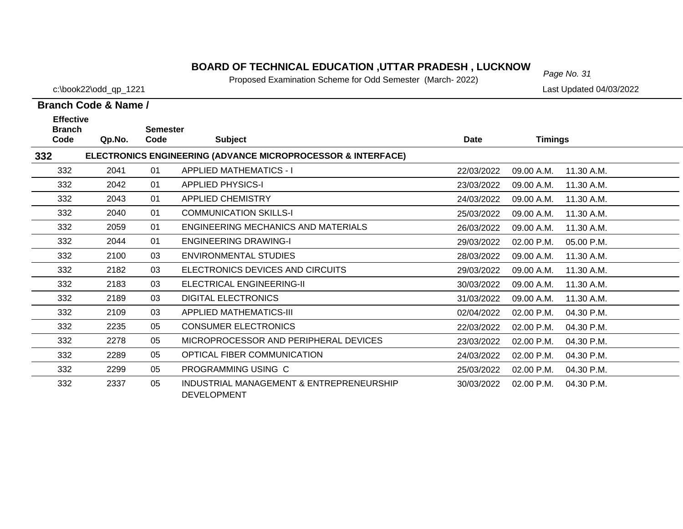# *Page No. 31* **BOARD OF TECHNICAL EDUCATION ,UTTAR PRADESH , LUCKNOW**

Proposed Examination Scheme for Odd Semester (March- 2022)

c:\book22\odd\_qp\_1221 Last Updated 04/03/2022

| <b>Effective</b><br><b>Branch</b> |        | <b>Semester</b> |                                                                         |             |                |            |
|-----------------------------------|--------|-----------------|-------------------------------------------------------------------------|-------------|----------------|------------|
| Code                              | Qp.No. | Code            | <b>Subject</b>                                                          | <b>Date</b> | <b>Timings</b> |            |
| 332                               |        |                 | <b>ELECTRONICS ENGINEERING (ADVANCE MICROPROCESSOR &amp; INTERFACE)</b> |             |                |            |
| 332                               | 2041   | 01              | <b>APPLIED MATHEMATICS - I</b>                                          | 22/03/2022  | 09.00 A.M.     | 11.30 A.M. |
| 332                               | 2042   | 01              | <b>APPLIED PHYSICS-I</b>                                                | 23/03/2022  | 09.00 A.M.     | 11.30 A.M. |
| 332                               | 2043   | 01              | <b>APPLIED CHEMISTRY</b>                                                | 24/03/2022  | 09.00 A.M.     | 11.30 A.M. |
| 332                               | 2040   | 01              | <b>COMMUNICATION SKILLS-I</b>                                           | 25/03/2022  | 09.00 A.M.     | 11.30 A.M. |
| 332                               | 2059   | 01              | <b>ENGINEERING MECHANICS AND MATERIALS</b>                              | 26/03/2022  | 09.00 A.M.     | 11.30 A.M. |
| 332                               | 2044   | 01              | <b>ENGINEERING DRAWING-I</b>                                            | 29/03/2022  | 02.00 P.M.     | 05.00 P.M. |
| 332                               | 2100   | 03              | <b>ENVIRONMENTAL STUDIES</b>                                            | 28/03/2022  | 09.00 A.M.     | 11.30 A.M. |
| 332                               | 2182   | 03              | ELECTRONICS DEVICES AND CIRCUITS                                        | 29/03/2022  | 09.00 A.M.     | 11.30 A.M. |
| 332                               | 2183   | 03              | ELECTRICAL ENGINEERING-II                                               | 30/03/2022  | 09.00 A.M.     | 11.30 A.M. |
| 332                               | 2189   | 03              | <b>DIGITAL ELECTRONICS</b>                                              | 31/03/2022  | 09.00 A.M.     | 11.30 A.M. |
| 332                               | 2109   | 03              | APPLIED MATHEMATICS-III                                                 | 02/04/2022  | 02.00 P.M.     | 04.30 P.M. |
| 332                               | 2235   | 05              | <b>CONSUMER ELECTRONICS</b>                                             | 22/03/2022  | 02.00 P.M.     | 04.30 P.M. |
| 332                               | 2278   | 05              | MICROPROCESSOR AND PERIPHERAL DEVICES                                   | 23/03/2022  | 02.00 P.M.     | 04.30 P.M. |
| 332                               | 2289   | 05              | OPTICAL FIBER COMMUNICATION                                             | 24/03/2022  | 02.00 P.M.     | 04.30 P.M. |
| 332                               | 2299   | 05              | PROGRAMMING USING C                                                     | 25/03/2022  | 02.00 P.M.     | 04.30 P.M. |
| 332                               | 2337   | 05              | INDUSTRIAL MANAGEMENT & ENTREPRENEURSHIP<br><b>DEVELOPMENT</b>          | 30/03/2022  | 02.00 P.M.     | 04.30 P.M. |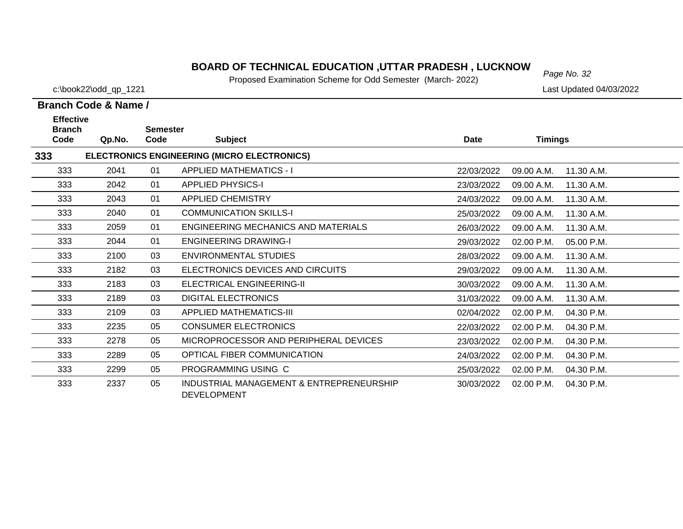# *Page No. 32* **BOARD OF TECHNICAL EDUCATION ,UTTAR PRADESH , LUCKNOW**

Proposed Examination Scheme for Odd Semester (March- 2022)

c:\book22\odd\_qp\_1221 Last Updated 04/03/2022

| <b>Effective</b><br><b>Branch</b>                  |        | <b>Semester</b> |                                                                |            |                |            |  |  |
|----------------------------------------------------|--------|-----------------|----------------------------------------------------------------|------------|----------------|------------|--|--|
| Code                                               | Qp.No. | Code            | <b>Subject</b>                                                 | Date       | <b>Timings</b> |            |  |  |
| ELECTRONICS ENGINEERING (MICRO ELECTRONICS)<br>333 |        |                 |                                                                |            |                |            |  |  |
| 333                                                | 2041   | 01              | <b>APPLIED MATHEMATICS - I</b>                                 | 22/03/2022 | 09.00 A.M.     | 11.30 A.M. |  |  |
| 333                                                | 2042   | 01              | <b>APPLIED PHYSICS-I</b>                                       | 23/03/2022 | 09.00 A.M.     | 11.30 A.M. |  |  |
| 333                                                | 2043   | 01              | <b>APPLIED CHEMISTRY</b>                                       | 24/03/2022 | 09.00 A.M.     | 11.30 A.M. |  |  |
| 333                                                | 2040   | 01              | <b>COMMUNICATION SKILLS-I</b>                                  | 25/03/2022 | 09.00 A.M.     | 11.30 A.M. |  |  |
| 333                                                | 2059   | 01              | ENGINEERING MECHANICS AND MATERIALS                            | 26/03/2022 | 09.00 A.M.     | 11.30 A.M. |  |  |
| 333                                                | 2044   | 01              | <b>ENGINEERING DRAWING-I</b>                                   | 29/03/2022 | 02.00 P.M.     | 05.00 P.M. |  |  |
| 333                                                | 2100   | 03              | <b>ENVIRONMENTAL STUDIES</b>                                   | 28/03/2022 | 09.00 A.M.     | 11.30 A.M. |  |  |
| 333                                                | 2182   | 03              | ELECTRONICS DEVICES AND CIRCUITS                               | 29/03/2022 | 09.00 A.M.     | 11.30 A.M. |  |  |
| 333                                                | 2183   | 03              | ELECTRICAL ENGINEERING-II                                      | 30/03/2022 | 09.00 A.M.     | 11.30 A.M. |  |  |
| 333                                                | 2189   | 03              | <b>DIGITAL ELECTRONICS</b>                                     | 31/03/2022 | 09.00 A.M.     | 11.30 A.M. |  |  |
| 333                                                | 2109   | 03              | APPLIED MATHEMATICS-III                                        | 02/04/2022 | 02.00 P.M.     | 04.30 P.M. |  |  |
| 333                                                | 2235   | 05              | <b>CONSUMER ELECTRONICS</b>                                    | 22/03/2022 | 02.00 P.M.     | 04.30 P.M. |  |  |
| 333                                                | 2278   | 05              | MICROPROCESSOR AND PERIPHERAL DEVICES                          | 23/03/2022 | 02.00 P.M.     | 04.30 P.M. |  |  |
| 333                                                | 2289   | 05              | OPTICAL FIBER COMMUNICATION                                    | 24/03/2022 | 02.00 P.M.     | 04.30 P.M. |  |  |
| 333                                                | 2299   | 05              | PROGRAMMING USING C                                            | 25/03/2022 | 02.00 P.M.     | 04.30 P.M. |  |  |
| 333                                                | 2337   | 05              | INDUSTRIAL MANAGEMENT & ENTREPRENEURSHIP<br><b>DEVELOPMENT</b> | 30/03/2022 | 02.00 P.M.     | 04.30 P.M. |  |  |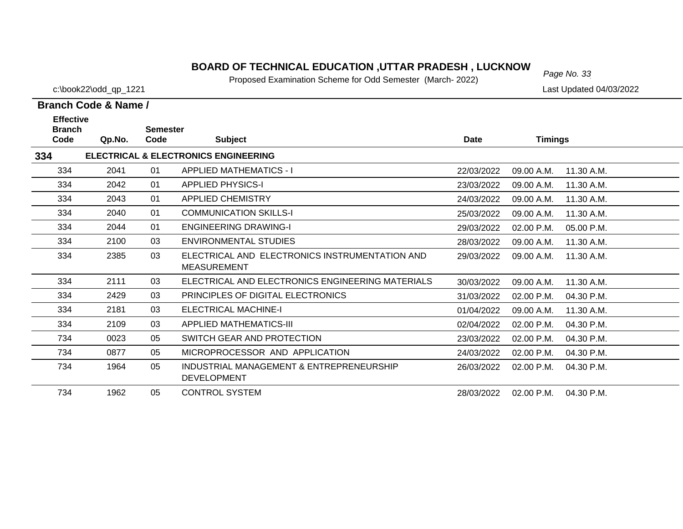# *Page No. 33* **BOARD OF TECHNICAL EDUCATION ,UTTAR PRADESH , LUCKNOW**

Proposed Examination Scheme for Odd Semester (March- 2022)

c:\book22\odd\_qp\_1221 Last Updated 04/03/2022

|                                                      | Branch Code & Name / |      |                                                                      |            |                |            |  |
|------------------------------------------------------|----------------------|------|----------------------------------------------------------------------|------------|----------------|------------|--|
| <b>Effective</b><br><b>Branch</b><br><b>Semester</b> |                      |      |                                                                      |            |                |            |  |
| Code                                                 | Qp.No.               | Code | <b>Subject</b>                                                       | Date       | <b>Timings</b> |            |  |
| 334                                                  |                      |      | <b>ELECTRICAL &amp; ELECTRONICS ENGINEERING</b>                      |            |                |            |  |
| 334                                                  | 2041                 | 01   | <b>APPLIED MATHEMATICS - I</b>                                       | 22/03/2022 | 09.00 A.M.     | 11.30 A.M. |  |
| 334                                                  | 2042                 | 01   | <b>APPLIED PHYSICS-I</b>                                             | 23/03/2022 | 09.00 A.M.     | 11.30 A.M. |  |
| 334                                                  | 2043                 | 01   | <b>APPLIED CHEMISTRY</b>                                             | 24/03/2022 | 09.00 A.M.     | 11.30 A.M. |  |
| 334                                                  | 2040                 | 01   | <b>COMMUNICATION SKILLS-I</b>                                        | 25/03/2022 | 09.00 A.M.     | 11.30 A.M. |  |
| 334                                                  | 2044                 | 01   | <b>ENGINEERING DRAWING-I</b>                                         | 29/03/2022 | 02.00 P.M.     | 05.00 P.M. |  |
| 334                                                  | 2100                 | 03   | ENVIRONMENTAL STUDIES                                                | 28/03/2022 | 09.00 A.M.     | 11.30 A.M. |  |
| 334                                                  | 2385                 | 03   | ELECTRICAL AND ELECTRONICS INSTRUMENTATION AND<br><b>MEASUREMENT</b> | 29/03/2022 | 09.00 A.M.     | 11.30 A.M. |  |
| 334                                                  | 2111                 | 03   | ELECTRICAL AND ELECTRONICS ENGINEERING MATERIALS                     | 30/03/2022 | 09.00 A.M.     | 11.30 A.M. |  |
| 334                                                  | 2429                 | 03   | PRINCIPLES OF DIGITAL ELECTRONICS                                    | 31/03/2022 | 02.00 P.M.     | 04.30 P.M. |  |
| 334                                                  | 2181                 | 03   | <b>ELECTRICAL MACHINE-I</b>                                          | 01/04/2022 | 09.00 A.M.     | 11.30 A.M. |  |
| 334                                                  | 2109                 | 03   | APPLIED MATHEMATICS-III                                              | 02/04/2022 | 02.00 P.M.     | 04.30 P.M. |  |
| 734                                                  | 0023                 | 05   | SWITCH GEAR AND PROTECTION                                           | 23/03/2022 | 02.00 P.M.     | 04.30 P.M. |  |
| 734                                                  | 0877                 | 05   | MICROPROCESSOR AND APPLICATION                                       | 24/03/2022 | 02.00 P.M.     | 04.30 P.M. |  |
| 734                                                  | 1964                 | 05   | INDUSTRIAL MANAGEMENT & ENTREPRENEURSHIP<br><b>DEVELOPMENT</b>       | 26/03/2022 | 02.00 P.M.     | 04.30 P.M. |  |

734 1962 05 CONTROL SYSTEM28/03/2022 02.00 P.M. 04.30 P.M.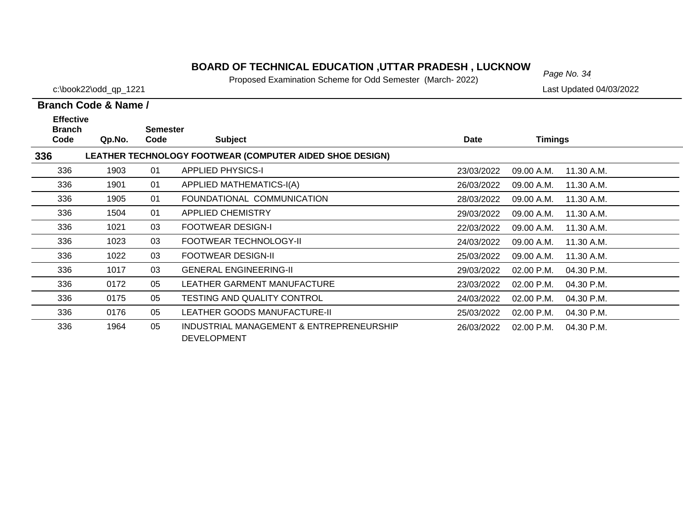# *Page No. 34* **BOARD OF TECHNICAL EDUCATION ,UTTAR PRADESH , LUCKNOW**

Proposed Examination Scheme for Odd Semester (March- 2022)

c:\book22\odd\_qp\_1221 Last Updated 04/03/2022

|      | <b>Effective</b><br><b>Branch</b> |      | <b>Semester</b>                                                |            |                          |  |
|------|-----------------------------------|------|----------------------------------------------------------------|------------|--------------------------|--|
| Code | Qp.No.                            | Code | <b>Subject</b>                                                 | Date       | Timings                  |  |
| 336  |                                   |      | LEATHER TECHNOLOGY FOOTWEAR (COMPUTER AIDED SHOE DESIGN)       |            |                          |  |
| 336  | 1903                              | 01   | <b>APPLIED PHYSICS-I</b>                                       | 23/03/2022 | 11.30 A.M.<br>09.00 A.M. |  |
| 336  | 1901                              | 01   | APPLIED MATHEMATICS-I(A)                                       | 26/03/2022 | 09.00 A.M.<br>11.30 A.M. |  |
| 336  | 1905                              | 01   | FOUNDATIONAL COMMUNICATION                                     | 28/03/2022 | 11.30 A.M.<br>09.00 A.M. |  |
| 336  | 1504                              | 01   | <b>APPLIED CHEMISTRY</b>                                       | 29/03/2022 | 11.30 A.M.<br>09.00 A.M. |  |
| 336  | 1021                              | 03   | <b>FOOTWEAR DESIGN-I</b>                                       | 22/03/2022 | 09.00 A.M.<br>11.30 A.M. |  |
| 336  | 1023                              | 03   | FOOTWEAR TECHNOLOGY-II                                         | 24/03/2022 | 09.00 A.M.<br>11.30 A.M. |  |
| 336  | 1022                              | 03   | <b>FOOTWEAR DESIGN-II</b>                                      | 25/03/2022 | 11.30 A.M.<br>09.00 A.M. |  |
| 336  | 1017                              | 03   | <b>GENERAL ENGINEERING-II</b>                                  | 29/03/2022 | 02.00 P.M.<br>04.30 P.M. |  |
| 336  | 0172                              | 05   | LEATHER GARMENT MANUFACTURE                                    | 23/03/2022 | 02.00 P.M.<br>04.30 P.M. |  |
| 336  | 0175                              | 05   | <b>TESTING AND QUALITY CONTROL</b>                             | 24/03/2022 | 02.00 P.M.<br>04.30 P.M. |  |
| 336  | 0176                              | 05   | <b>LEATHER GOODS MANUFACTURE-II</b>                            | 25/03/2022 | 04.30 P.M.<br>02.00 P.M. |  |
| 336  | 1964                              | 05   | INDUSTRIAL MANAGEMENT & ENTREPRENEURSHIP<br><b>DEVELOPMENT</b> | 26/03/2022 | 02.00 P.M.<br>04.30 P.M. |  |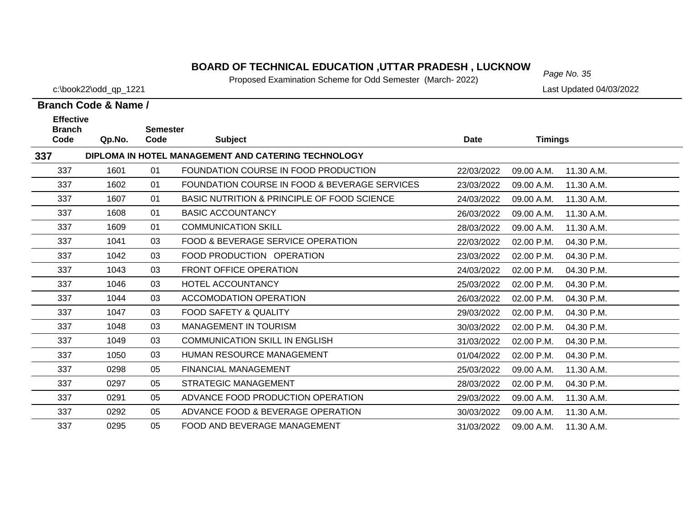# *Page No. 35* **BOARD OF TECHNICAL EDUCATION ,UTTAR PRADESH , LUCKNOW**

Proposed Examination Scheme for Odd Semester (March- 2022)

c:\book22\odd\_qp\_1221 Last Updated 04/03/2022

| <b>Effective</b><br><b>Branch</b>                          |        | <b>Semester</b> |                                               |             |                |            |  |  |  |
|------------------------------------------------------------|--------|-----------------|-----------------------------------------------|-------------|----------------|------------|--|--|--|
| Code                                                       | Qp.No. | Code            | <b>Subject</b>                                | <b>Date</b> | <b>Timings</b> |            |  |  |  |
| 337<br>DIPLOMA IN HOTEL MANAGEMENT AND CATERING TECHNOLOGY |        |                 |                                               |             |                |            |  |  |  |
| 337                                                        | 1601   | 01              | FOUNDATION COURSE IN FOOD PRODUCTION          | 22/03/2022  | 09.00 A.M.     | 11.30 A.M. |  |  |  |
| 337                                                        | 1602   | 01              | FOUNDATION COURSE IN FOOD & BEVERAGE SERVICES | 23/03/2022  | 09.00 A.M.     | 11.30 A.M. |  |  |  |
| 337                                                        | 1607   | 01              | BASIC NUTRITION & PRINCIPLE OF FOOD SCIENCE   | 24/03/2022  | 09.00 A.M.     | 11.30 A.M. |  |  |  |
| 337                                                        | 1608   | 01              | <b>BASIC ACCOUNTANCY</b>                      | 26/03/2022  | 09.00 A.M.     | 11.30 A.M. |  |  |  |
| 337                                                        | 1609   | 01              | <b>COMMUNICATION SKILL</b>                    | 28/03/2022  | 09.00 A.M.     | 11.30 A.M. |  |  |  |
| 337                                                        | 1041   | 03              | <b>FOOD &amp; BEVERAGE SERVICE OPERATION</b>  | 22/03/2022  | 02.00 P.M.     | 04.30 P.M. |  |  |  |
| 337                                                        | 1042   | 03              | FOOD PRODUCTION OPERATION                     | 23/03/2022  | 02.00 P.M.     | 04.30 P.M. |  |  |  |
| 337                                                        | 1043   | 03              | <b>FRONT OFFICE OPERATION</b>                 | 24/03/2022  | 02.00 P.M.     | 04.30 P.M. |  |  |  |
| 337                                                        | 1046   | 03              | HOTEL ACCOUNTANCY                             | 25/03/2022  | 02.00 P.M.     | 04.30 P.M. |  |  |  |
| 337                                                        | 1044   | 03              | <b>ACCOMODATION OPERATION</b>                 | 26/03/2022  | 02.00 P.M.     | 04.30 P.M. |  |  |  |
| 337                                                        | 1047   | 03              | <b>FOOD SAFETY &amp; QUALITY</b>              | 29/03/2022  | 02.00 P.M.     | 04.30 P.M. |  |  |  |
| 337                                                        | 1048   | 03              | <b>MANAGEMENT IN TOURISM</b>                  | 30/03/2022  | 02.00 P.M.     | 04.30 P.M. |  |  |  |
| 337                                                        | 1049   | 03              | <b>COMMUNICATION SKILL IN ENGLISH</b>         | 31/03/2022  | 02.00 P.M.     | 04.30 P.M. |  |  |  |
| 337                                                        | 1050   | 03              | <b>HUMAN RESOURCE MANAGEMENT</b>              | 01/04/2022  | 02.00 P.M.     | 04.30 P.M. |  |  |  |
| 337                                                        | 0298   | 05              | <b>FINANCIAL MANAGEMENT</b>                   | 25/03/2022  | 09.00 A.M.     | 11.30 A.M. |  |  |  |
| 337                                                        | 0297   | 05              | <b>STRATEGIC MANAGEMENT</b>                   | 28/03/2022  | 02.00 P.M.     | 04.30 P.M. |  |  |  |
| 337                                                        | 0291   | 05              | ADVANCE FOOD PRODUCTION OPERATION             | 29/03/2022  | 09.00 A.M.     | 11.30 A.M. |  |  |  |
| 337                                                        | 0292   | 05              | ADVANCE FOOD & BEVERAGE OPERATION             | 30/03/2022  | 09.00 A.M.     | 11.30 A.M. |  |  |  |
| 337                                                        | 0295   | 05              | FOOD AND BEVERAGE MANAGEMENT                  | 31/03/2022  | 09.00 A.M.     | 11.30 A.M. |  |  |  |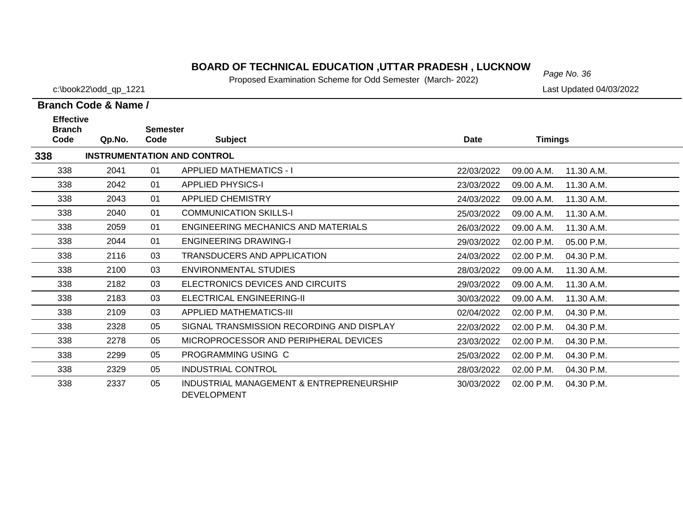## **BOARD OF TECHNICAL EDUCATION ,UTTAR PRADESH , LUCKNOW** Page No. 36

Proposed Examination Scheme for Odd Semester (March- 2022)

2329 05 INDUSTRIAL CONTROL 28/03/2022 02.00 P.M. 04.30 P.M.

05 INDUSTRIAL MANAGEMENT & ENTREPRENEURSHIP 2337 30/03/2022 02.00 P.M. 04.30 P.M.

25/03/2022 02.00 P.M. 04.30 P.M.

**Branch Code & Name /**

**338**

338

338

338

2299 05 PROGRAMMING USING C

DEVELOPMENT

c:\book22\odd\_qp\_1221 Last Updated 04/03/2022

#### **Branch Code Qp.No. SemesterCode Subject Date Timings Effective INSTRUMENTATION AND CONTROL** 338 2041 01 APPLIED MATHEMATICS - I 22/03/2022 09.00 A.M. 11.30 A.M.338 2042 01 APPLIED PHYSICS-I 23/03/2022 09.00 A.M. 11.30 A.M.338 2043 01 APPLIED CHEMISTRY 24/03/2022 09.00 A.M. 11.30 A.M.3382040 01 COMMUNICATION SKILLS-I 25/03/2022 09.00 A.M. 11.30 A.M. 338 2059 01 ENGINEERING MECHANICS AND MATERIALS26/03/2022 09.00 A.M. 11.30 A.M. 338 2044 01 ENGINEERING DRAWING-I 29/03/2022 02.00 P.M. 05.00 P.M.338 2116 03 TRANSDUCERS AND APPLICATION24/03/2022 02.00 P.M. 04.30 P.M. 338 2100 03 ENVIRONMENTAL STUDIES 28/03/2022 09.00 A.M. 11.30 A.M.338 2182 03 ELECTRONICS DEVICES AND CIRCUITS 29/03/2022 09.00 A.M. 11.30 A.M.338 2183 03 ELECTRICAL ENGINEERING-II 30/03/2022 09.00 A.M. 11.30 A.M.338 2109 03 APPLIED MATHEMATICS-III 02/04/2022 02.00 P.M. 04.30 P.M.338 2328 05 SIGNAL TRANSMISSION RECORDING AND DISPLAY 22/03/2022 02.00 P.M. 04.30 P.M.338 2278 05 MICROPROCESSOR AND PERIPHERAL DEVICES23/03/2022 02.00 P.M. 04.30 P.M.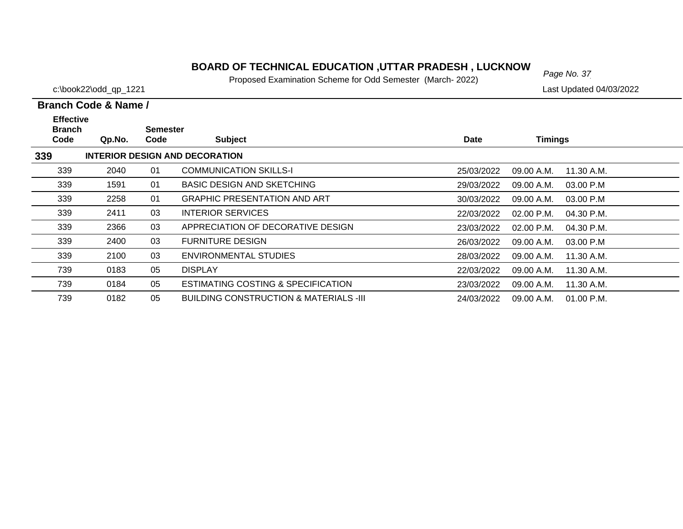#### **BOARD OF TECHNICAL EDUCATION ,UTTAR PRADESH , LUCKNOW**<br>Page No. 37

Proposed Examination Scheme for Odd Semester (March- 2022)

c:\book22\odd\_qp\_1221 Last Updated 04/03/2022

#### **Branch Code Qp.No. Semester Code Subject Date Timings Branch Code & Name / Effective 339 INTERIOR DESIGN AND DECORATION** 339 2040 01 COMMUNICATION SKILLS-I 25/03/2022 09.00 A.M. 11.30 A.M.3391591 01 BASIC DESIGN AND SKETCHING

| ააყ | 2040. | υı | <u>UUMMUNIUATIUN ƏNILLƏ-I</u>          | 25/03/2022 | -09.00 A.M. | 11.30 A.M. |
|-----|-------|----|----------------------------------------|------------|-------------|------------|
| 339 | 1591  | 01 | <b>BASIC DESIGN AND SKETCHING</b>      | 29/03/2022 | 09.00 A.M.  | 03.00 P.M  |
| 339 | 2258  | 01 | <b>GRAPHIC PRESENTATION AND ART</b>    | 30/03/2022 | 09.00 A.M.  | 03.00 P.M  |
| 339 | 2411  | 03 | INTERIOR SERVICES                      | 22/03/2022 | 02.00 P.M.  | 04.30 P.M. |
| 339 | 2366  | 03 | APPRECIATION OF DECORATIVE DESIGN      | 23/03/2022 | 02.00 P.M.  | 04.30 P.M. |
| 339 | 2400  | 03 | <b>FURNITURE DESIGN</b>                | 26/03/2022 | 09.00 A.M.  | 03.00 P.M  |
| 339 | 2100  | 03 | ENVIRONMENTAL STUDIES                  | 28/03/2022 | 09.00 A.M.  | 11.30 A.M. |
| 739 | 0183  | 05 | <b>DISPLAY</b>                         | 22/03/2022 | 09.00 A.M.  | 11.30 A.M. |
| 739 | 0184  | 05 | ESTIMATING COSTING & SPECIFICATION     | 23/03/2022 | 09.00 A.M.  | 11.30 A.M. |
| 739 | 0182  | 05 | BUILDING CONSTRUCTION & MATERIALS -III | 24/03/2022 | 09.00 A.M.  | 01.00 P.M. |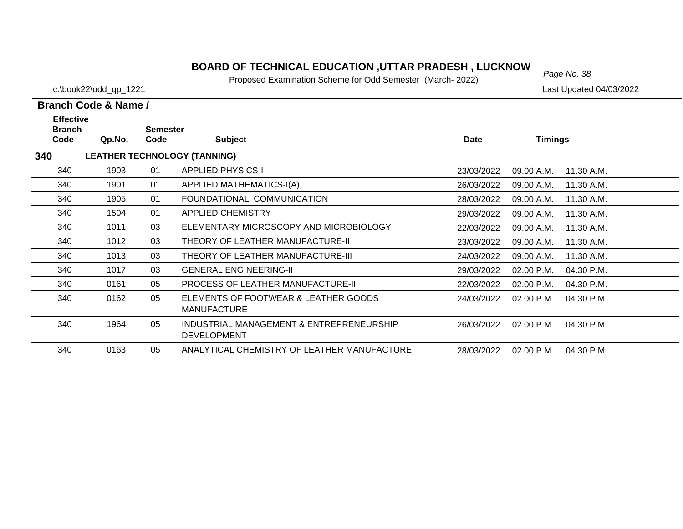# *Page No. 38* **BOARD OF TECHNICAL EDUCATION ,UTTAR PRADESH , LUCKNOW**

Proposed Examination Scheme for Odd Semester (March- 2022)

| Branch Code & Name / |  |  |
|----------------------|--|--|

| <b>Effective</b><br><b>Branch</b> |        | <b>Semester</b> |                                                                |            |                          |  |
|-----------------------------------|--------|-----------------|----------------------------------------------------------------|------------|--------------------------|--|
| Code                              | Qp.No. | Code            | <b>Subject</b>                                                 | Date       | <b>Timings</b>           |  |
| 340                               |        |                 | <b>LEATHER TECHNOLOGY (TANNING)</b>                            |            |                          |  |
| 340                               | 1903   | 01              | <b>APPLIED PHYSICS-I</b>                                       | 23/03/2022 | 11.30 A.M.<br>09.00 A.M. |  |
| 340                               | 1901   | 01              | APPLIED MATHEMATICS-I(A)                                       | 26/03/2022 | 09.00 A.M.<br>11.30 A.M. |  |
| 340                               | 1905   | 01              | FOUNDATIONAL COMMUNICATION                                     | 28/03/2022 | 09.00 A.M.<br>11.30 A.M. |  |
| 340                               | 1504   | 01              | <b>APPLIED CHEMISTRY</b>                                       | 29/03/2022 | 09.00 A.M.<br>11.30 A.M. |  |
| 340                               | 1011   | 03              | ELEMENTARY MICROSCOPY AND MICROBIOLOGY                         | 22/03/2022 | 09.00 A.M.<br>11.30 A.M. |  |
| 340                               | 1012   | 03              | THEORY OF LEATHER MANUFACTURE-II                               | 23/03/2022 | 09.00 A.M.<br>11.30 A.M. |  |
| 340                               | 1013   | 03              | THEORY OF LEATHER MANUFACTURE-III                              | 24/03/2022 | 11.30 A.M.<br>09.00 A.M. |  |
| 340                               | 1017   | 03              | <b>GENERAL ENGINEERING-II</b>                                  | 29/03/2022 | 02.00 P.M.<br>04.30 P.M. |  |
| 340                               | 0161   | 05              | <b>PROCESS OF LEATHER MANUFACTURE-III</b>                      | 22/03/2022 | 02.00 P.M.<br>04.30 P.M. |  |
| 340                               | 0162   | 05              | ELEMENTS OF FOOTWEAR & LEATHER GOODS<br><b>MANUFACTURE</b>     | 24/03/2022 | 02.00 P.M.<br>04.30 P.M. |  |
| 340                               | 1964   | 05              | INDUSTRIAL MANAGEMENT & ENTREPRENEURSHIP<br><b>DEVELOPMENT</b> | 26/03/2022 | 04.30 P.M.<br>02.00 P.M. |  |
| 340                               | 0163   | 05              | ANALYTICAL CHEMISTRY OF LEATHER MANUFACTURE                    | 28/03/2022 | 04.30 P.M.<br>02.00 P.M. |  |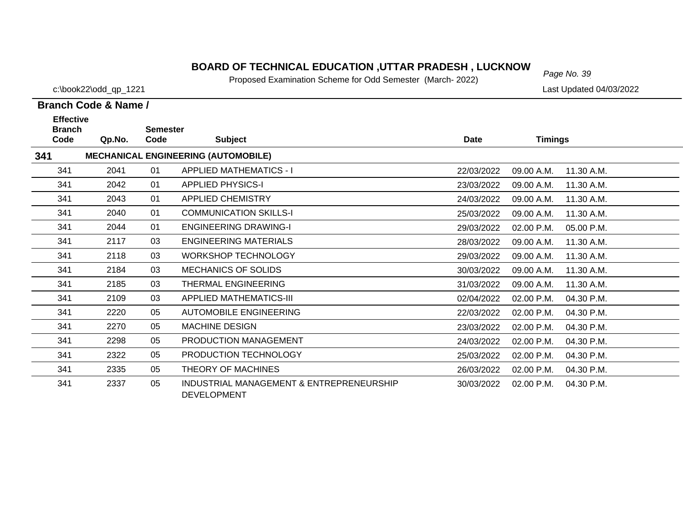# *Page No. 39* **BOARD OF TECHNICAL EDUCATION ,UTTAR PRADESH , LUCKNOW**

Proposed Examination Scheme for Odd Semester (March- 2022)

c:\book22\odd\_qp\_1221 Last Updated 04/03/2022

| <b>Effective</b>      |        |                         |                                                                |            |                          |  |
|-----------------------|--------|-------------------------|----------------------------------------------------------------|------------|--------------------------|--|
| <b>Branch</b><br>Code | Qp.No. | <b>Semester</b><br>Code | <b>Subject</b>                                                 | Date       | <b>Timings</b>           |  |
| 341                   |        |                         | <b>MECHANICAL ENGINEERING (AUTOMOBILE)</b>                     |            |                          |  |
| 341                   | 2041   | 01                      | <b>APPLIED MATHEMATICS - I</b>                                 | 22/03/2022 | 09.00 A.M.<br>11.30 A.M. |  |
| 341                   | 2042   | 01                      | <b>APPLIED PHYSICS-I</b>                                       | 23/03/2022 | 09.00 A.M.<br>11.30 A.M. |  |
| 341                   | 2043   | 01                      | APPLIED CHEMISTRY                                              | 24/03/2022 | 09.00 A.M.<br>11.30 A.M. |  |
| 341                   | 2040   | 01                      | <b>COMMUNICATION SKILLS-I</b>                                  | 25/03/2022 | 09.00 A.M.<br>11.30 A.M. |  |
| 341                   | 2044   | 01                      | <b>ENGINEERING DRAWING-I</b>                                   | 29/03/2022 | 02.00 P.M.<br>05.00 P.M. |  |
| 341                   | 2117   | 03                      | <b>ENGINEERING MATERIALS</b>                                   | 28/03/2022 | 09.00 A.M.<br>11.30 A.M. |  |
| 341                   | 2118   | 03                      | <b>WORKSHOP TECHNOLOGY</b>                                     | 29/03/2022 | 09.00 A.M.<br>11.30 A.M. |  |
| 341                   | 2184   | 03                      | <b>MECHANICS OF SOLIDS</b>                                     | 30/03/2022 | 09.00 A.M.<br>11.30 A.M. |  |
| 341                   | 2185   | 03                      | THERMAL ENGINEERING                                            | 31/03/2022 | 09.00 A.M.<br>11.30 A.M. |  |
| 341                   | 2109   | 03                      | <b>APPLIED MATHEMATICS-III</b>                                 | 02/04/2022 | 02.00 P.M.<br>04.30 P.M. |  |
| 341                   | 2220   | 05                      | AUTOMOBILE ENGINEERING                                         | 22/03/2022 | 02.00 P.M.<br>04.30 P.M. |  |
| 341                   | 2270   | 05                      | <b>MACHINE DESIGN</b>                                          | 23/03/2022 | 02.00 P.M.<br>04.30 P.M. |  |
| 341                   | 2298   | 05                      | PRODUCTION MANAGEMENT                                          | 24/03/2022 | 02.00 P.M.<br>04.30 P.M. |  |
| 341                   | 2322   | 05                      | PRODUCTION TECHNOLOGY                                          | 25/03/2022 | 02.00 P.M.<br>04.30 P.M. |  |
| 341                   | 2335   | 05                      | THEORY OF MACHINES                                             | 26/03/2022 | 02.00 P.M.<br>04.30 P.M. |  |
| 341                   | 2337   | 05                      | INDUSTRIAL MANAGEMENT & ENTREPRENEURSHIP<br><b>DEVELOPMENT</b> | 30/03/2022 | 04.30 P.M.<br>02.00 P.M. |  |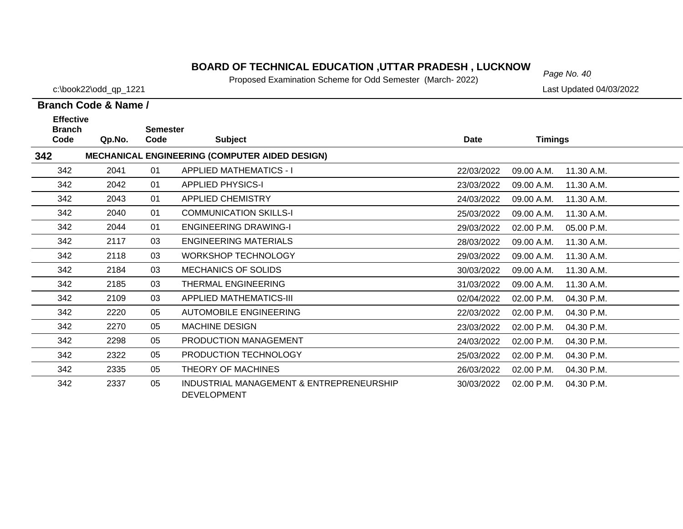# *Page No. 40* **BOARD OF TECHNICAL EDUCATION ,UTTAR PRADESH , LUCKNOW**

Proposed Examination Scheme for Odd Semester (March- 2022)

c:\book22\odd\_qp\_1221 Last Updated 04/03/2022

| <b>Effective</b>      |        |                         |                                                                |             |                |            |
|-----------------------|--------|-------------------------|----------------------------------------------------------------|-------------|----------------|------------|
| <b>Branch</b><br>Code | Qp.No. | <b>Semester</b><br>Code | <b>Subject</b>                                                 | <b>Date</b> | <b>Timings</b> |            |
| 342                   |        |                         | <b>MECHANICAL ENGINEERING (COMPUTER AIDED DESIGN)</b>          |             |                |            |
| 342                   | 2041   | 01                      | <b>APPLIED MATHEMATICS - I</b>                                 | 22/03/2022  | 09.00 A.M.     | 11.30 A.M. |
| 342                   | 2042   | 01                      | <b>APPLIED PHYSICS-I</b>                                       | 23/03/2022  | 09.00 A.M.     | 11.30 A.M. |
| 342                   | 2043   | 01                      | <b>APPLIED CHEMISTRY</b>                                       | 24/03/2022  | 09.00 A.M.     | 11.30 A.M. |
| 342                   | 2040   | 01                      | <b>COMMUNICATION SKILLS-I</b>                                  | 25/03/2022  | 09.00 A.M.     | 11.30 A.M. |
| 342                   | 2044   | 01                      | <b>ENGINEERING DRAWING-I</b>                                   | 29/03/2022  | 02.00 P.M.     | 05.00 P.M. |
| 342                   | 2117   | 03                      | <b>ENGINEERING MATERIALS</b>                                   | 28/03/2022  | 09.00 A.M.     | 11.30 A.M. |
| 342                   | 2118   | 03                      | <b>WORKSHOP TECHNOLOGY</b>                                     | 29/03/2022  | 09.00 A.M.     | 11.30 A.M. |
| 342                   | 2184   | 03                      | MECHANICS OF SOLIDS                                            | 30/03/2022  | 09.00 A.M.     | 11.30 A.M. |
| 342                   | 2185   | 03                      | <b>THERMAL ENGINEERING</b>                                     | 31/03/2022  | 09.00 A.M.     | 11.30 A.M. |
| 342                   | 2109   | 03                      | <b>APPLIED MATHEMATICS-III</b>                                 | 02/04/2022  | 02.00 P.M.     | 04.30 P.M. |
| 342                   | 2220   | 05                      | <b>AUTOMOBILE ENGINEERING</b>                                  | 22/03/2022  | 02.00 P.M.     | 04.30 P.M. |
| 342                   | 2270   | 05                      | <b>MACHINE DESIGN</b>                                          | 23/03/2022  | 02.00 P.M.     | 04.30 P.M. |
| 342                   | 2298   | 05                      | PRODUCTION MANAGEMENT                                          | 24/03/2022  | 02.00 P.M.     | 04.30 P.M. |
| 342                   | 2322   | 05                      | PRODUCTION TECHNOLOGY                                          | 25/03/2022  | 02.00 P.M.     | 04.30 P.M. |
| 342                   | 2335   | 05                      | THEORY OF MACHINES                                             | 26/03/2022  | 02.00 P.M.     | 04.30 P.M. |
| 342                   | 2337   | 05                      | INDUSTRIAL MANAGEMENT & ENTREPRENEURSHIP<br><b>DEVELOPMENT</b> | 30/03/2022  | 02.00 P.M.     | 04.30 P.M. |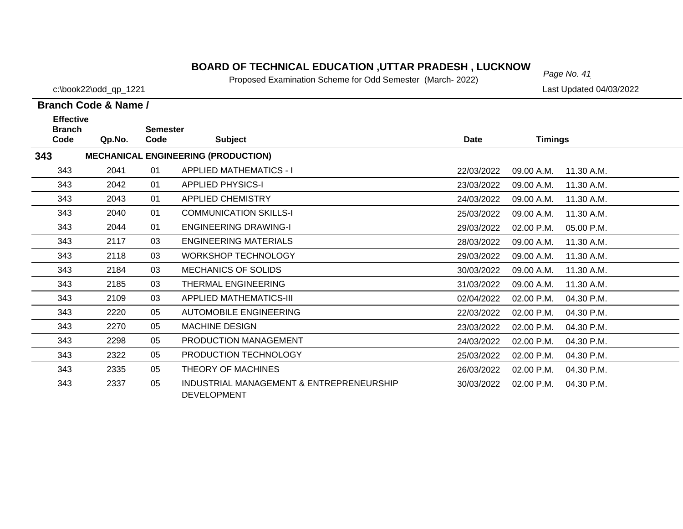# *Page No. 41* **BOARD OF TECHNICAL EDUCATION ,UTTAR PRADESH , LUCKNOW**

Proposed Examination Scheme for Odd Semester (March- 2022)

c:\book22\odd\_qp\_1221 Last Updated 04/03/2022

| <b>Effective</b><br><b>Branch</b> |        | <b>Semester</b> |                                                                |             |                          |  |
|-----------------------------------|--------|-----------------|----------------------------------------------------------------|-------------|--------------------------|--|
| Code                              | Qp.No. | Code            | <b>Subject</b>                                                 | <b>Date</b> | <b>Timings</b>           |  |
| 343                               |        |                 | <b>MECHANICAL ENGINEERING (PRODUCTION)</b>                     |             |                          |  |
| 343                               | 2041   | 01              | <b>APPLIED MATHEMATICS - I</b>                                 | 22/03/2022  | 11.30 A.M.<br>09.00 A.M. |  |
| 343                               | 2042   | 01              | <b>APPLIED PHYSICS-I</b>                                       | 23/03/2022  | 09.00 A.M.<br>11.30 A.M. |  |
| 343                               | 2043   | 01              | <b>APPLIED CHEMISTRY</b>                                       | 24/03/2022  | 09.00 A.M.<br>11.30 A.M. |  |
| 343                               | 2040   | 01              | <b>COMMUNICATION SKILLS-I</b>                                  | 25/03/2022  | 09.00 A.M.<br>11.30 A.M. |  |
| 343                               | 2044   | 01              | <b>ENGINEERING DRAWING-I</b>                                   | 29/03/2022  | 02.00 P.M.<br>05.00 P.M. |  |
| 343                               | 2117   | 03              | <b>ENGINEERING MATERIALS</b>                                   | 28/03/2022  | 09.00 A.M.<br>11.30 A.M. |  |
| 343                               | 2118   | 03              | <b>WORKSHOP TECHNOLOGY</b>                                     | 29/03/2022  | 09.00 A.M.<br>11.30 A.M. |  |
| 343                               | 2184   | 03              | <b>MECHANICS OF SOLIDS</b>                                     | 30/03/2022  | 09.00 A.M.<br>11.30 A.M. |  |
| 343                               | 2185   | 03              | <b>THERMAL ENGINEERING</b>                                     | 31/03/2022  | 11.30 A.M.<br>09.00 A.M. |  |
| 343                               | 2109   | 03              | <b>APPLIED MATHEMATICS-III</b>                                 | 02/04/2022  | 02.00 P.M.<br>04.30 P.M. |  |
| 343                               | 2220   | 05              | <b>AUTOMOBILE ENGINEERING</b>                                  | 22/03/2022  | 02.00 P.M.<br>04.30 P.M. |  |
| 343                               | 2270   | 05              | <b>MACHINE DESIGN</b>                                          | 23/03/2022  | 02.00 P.M.<br>04.30 P.M. |  |
| 343                               | 2298   | 05              | PRODUCTION MANAGEMENT                                          | 24/03/2022  | 02.00 P.M.<br>04.30 P.M. |  |
| 343                               | 2322   | 05              | PRODUCTION TECHNOLOGY                                          | 25/03/2022  | 02.00 P.M.<br>04.30 P.M. |  |
| 343                               | 2335   | 05              | THEORY OF MACHINES                                             | 26/03/2022  | 02.00 P.M.<br>04.30 P.M. |  |
| 343                               | 2337   | 05              | INDUSTRIAL MANAGEMENT & ENTREPRENEURSHIP<br><b>DEVELOPMENT</b> | 30/03/2022  | 04.30 P.M.<br>02.00 P.M. |  |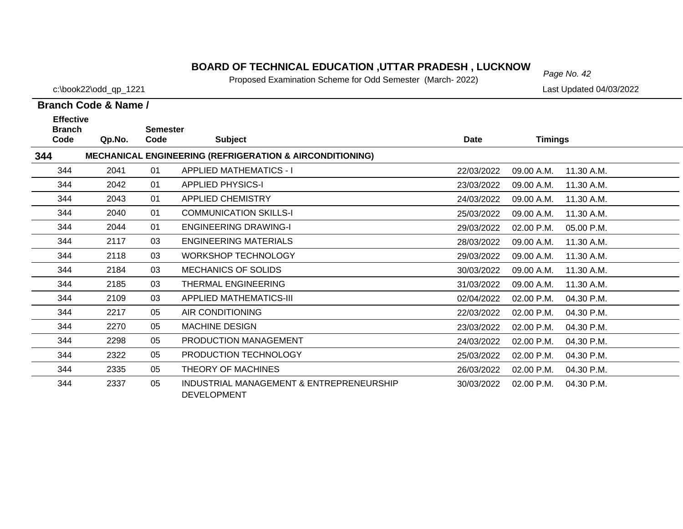# *Page No. 42* **BOARD OF TECHNICAL EDUCATION ,UTTAR PRADESH , LUCKNOW**

Proposed Examination Scheme for Odd Semester (March- 2022)

#### **Branch Code & Name /**

| <b>Effective</b>      |        |                         |                                                                     |            |                |            |
|-----------------------|--------|-------------------------|---------------------------------------------------------------------|------------|----------------|------------|
| <b>Branch</b><br>Code | Qp.No. | <b>Semester</b><br>Code | <b>Subject</b>                                                      | Date       | <b>Timings</b> |            |
| 344                   |        |                         | <b>MECHANICAL ENGINEERING (REFRIGERATION &amp; AIRCONDITIONING)</b> |            |                |            |
| 344                   | 2041   | 01                      | <b>APPLIED MATHEMATICS - I</b>                                      | 22/03/2022 | 09.00 A.M.     | 11.30 A.M. |
| 344                   | 2042   | 01                      | <b>APPLIED PHYSICS-I</b>                                            | 23/03/2022 | 09.00 A.M.     | 11.30 A.M. |
| 344                   | 2043   | 01                      | <b>APPLIED CHEMISTRY</b>                                            | 24/03/2022 | 09.00 A.M.     | 11.30 A.M. |
| 344                   | 2040   | 01                      | <b>COMMUNICATION SKILLS-I</b>                                       | 25/03/2022 | 09.00 A.M.     | 11.30 A.M. |
| 344                   | 2044   | 01                      | <b>ENGINEERING DRAWING-I</b>                                        | 29/03/2022 | 02.00 P.M.     | 05.00 P.M. |
| 344                   | 2117   | 03                      | ENGINEERING MATERIALS                                               | 28/03/2022 | 09.00 A.M.     | 11.30 A.M. |
| 344                   | 2118   | 03                      | <b>WORKSHOP TECHNOLOGY</b>                                          | 29/03/2022 | 09.00 A.M.     | 11.30 A.M. |
| 344                   | 2184   | 03                      | <b>MECHANICS OF SOLIDS</b>                                          | 30/03/2022 | 09.00 A.M.     | 11.30 A.M. |
| 344                   | 2185   | 03                      | <b>THERMAL ENGINEERING</b>                                          | 31/03/2022 | 09.00 A.M.     | 11.30 A.M. |
| 344                   | 2109   | 03                      | APPLIED MATHEMATICS-III                                             | 02/04/2022 | 02.00 P.M.     | 04.30 P.M. |
| 344                   | 2217   | 05                      | AIR CONDITIONING                                                    | 22/03/2022 | 02.00 P.M.     | 04.30 P.M. |
| 344                   | 2270   | 05                      | <b>MACHINE DESIGN</b>                                               | 23/03/2022 | 02.00 P.M.     | 04.30 P.M. |
| 344                   | 2298   | 05                      | <b>PRODUCTION MANAGEMENT</b>                                        | 24/03/2022 | 02.00 P.M.     | 04.30 P.M. |
| 344                   | 2322   | 05                      | PRODUCTION TECHNOLOGY                                               | 25/03/2022 | 02.00 P.M.     | 04.30 P.M. |
| 344                   | 2335   | 05                      | THEORY OF MACHINES                                                  | 26/03/2022 | 02.00 P.M.     | 04.30 P.M. |
| 344                   | 2337   | 05                      | INDUSTRIAL MANAGEMENT & ENTREPRENEURSHIP<br><b>DEVELOPMENT</b>      | 30/03/2022 | 02.00 P.M.     | 04.30 P.M. |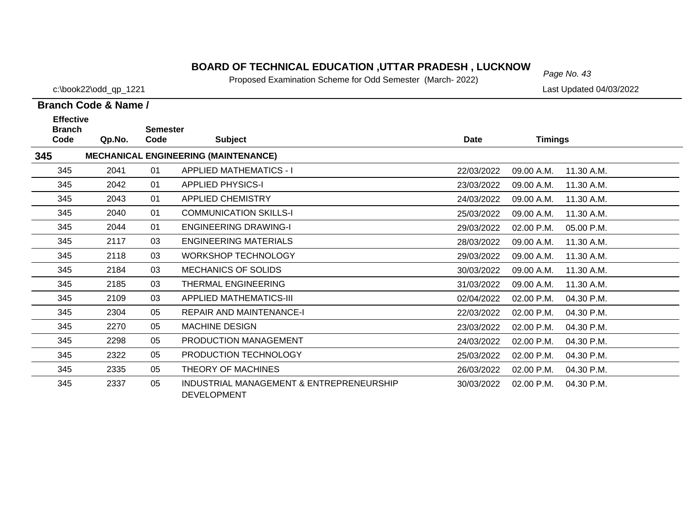# *Page No. 43* **BOARD OF TECHNICAL EDUCATION ,UTTAR PRADESH , LUCKNOW**

Proposed Examination Scheme for Odd Semester (March- 2022)

c:\book22\odd\_qp\_1221 Last Updated 04/03/2022

| <b>Effective</b><br><b>Branch</b> |        | <b>Semester</b> |                                                                |             |                |            |
|-----------------------------------|--------|-----------------|----------------------------------------------------------------|-------------|----------------|------------|
| Code                              | Qp.No. | Code            | <b>Subject</b>                                                 | <b>Date</b> | <b>Timings</b> |            |
| 345                               |        |                 | <b>MECHANICAL ENGINEERING (MAINTENANCE)</b>                    |             |                |            |
| 345                               | 2041   | 01              | <b>APPLIED MATHEMATICS - I</b>                                 | 22/03/2022  | 09.00 A.M.     | 11.30 A.M. |
| 345                               | 2042   | 01              | <b>APPLIED PHYSICS-I</b>                                       | 23/03/2022  | 09.00 A.M.     | 11.30 A.M. |
| 345                               | 2043   | 01              | <b>APPLIED CHEMISTRY</b>                                       | 24/03/2022  | 09.00 A.M.     | 11.30 A.M. |
| 345                               | 2040   | 01              | <b>COMMUNICATION SKILLS-I</b>                                  | 25/03/2022  | 09.00 A.M.     | 11.30 A.M. |
| 345                               | 2044   | 01              | <b>ENGINEERING DRAWING-I</b>                                   | 29/03/2022  | 02.00 P.M.     | 05.00 P.M. |
| 345                               | 2117   | 03              | <b>ENGINEERING MATERIALS</b>                                   | 28/03/2022  | 09.00 A.M.     | 11.30 A.M. |
| 345                               | 2118   | 03              | <b>WORKSHOP TECHNOLOGY</b>                                     | 29/03/2022  | 09.00 A.M.     | 11.30 A.M. |
| 345                               | 2184   | 03              | <b>MECHANICS OF SOLIDS</b>                                     | 30/03/2022  | 09.00 A.M.     | 11.30 A.M. |
| 345                               | 2185   | 03              | THERMAL ENGINEERING                                            | 31/03/2022  | 09.00 A.M.     | 11.30 A.M. |
| 345                               | 2109   | 03              | APPLIED MATHEMATICS-III                                        | 02/04/2022  | 02.00 P.M.     | 04.30 P.M. |
| 345                               | 2304   | 05              | <b>REPAIR AND MAINTENANCE-I</b>                                | 22/03/2022  | 02.00 P.M.     | 04.30 P.M. |
| 345                               | 2270   | 05              | <b>MACHINE DESIGN</b>                                          | 23/03/2022  | 02.00 P.M.     | 04.30 P.M. |
| 345                               | 2298   | 05              | PRODUCTION MANAGEMENT                                          | 24/03/2022  | 02.00 P.M.     | 04.30 P.M. |
| 345                               | 2322   | 05              | PRODUCTION TECHNOLOGY                                          | 25/03/2022  | 02.00 P.M.     | 04.30 P.M. |
| 345                               | 2335   | 05              | THEORY OF MACHINES                                             | 26/03/2022  | 02.00 P.M.     | 04.30 P.M. |
| 345                               | 2337   | 05              | INDUSTRIAL MANAGEMENT & ENTREPRENEURSHIP<br><b>DEVELOPMENT</b> | 30/03/2022  | 02.00 P.M.     | 04.30 P.M. |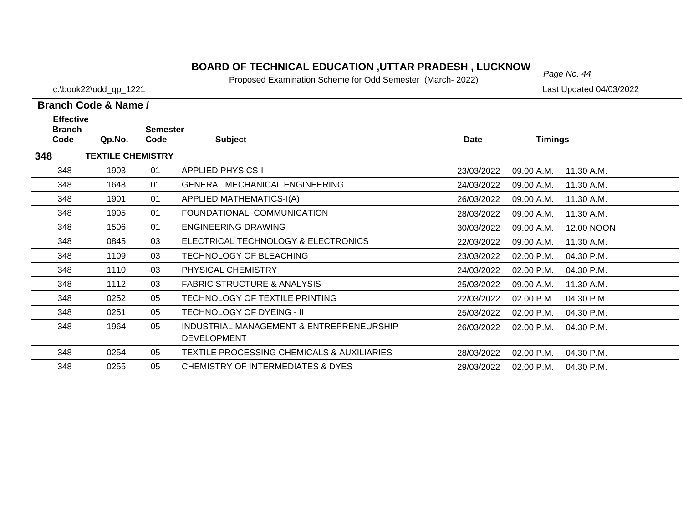# *Page No. 44* **BOARD OF TECHNICAL EDUCATION ,UTTAR PRADESH , LUCKNOW**

Proposed Examination Scheme for Odd Semester (March- 2022)

c:\book22\odd\_qp\_1221 Last Updated 04/03/2022

| <b>Effective</b>      |                          |                         |                                                                |            |                |            |
|-----------------------|--------------------------|-------------------------|----------------------------------------------------------------|------------|----------------|------------|
| <b>Branch</b><br>Code | Qp.No.                   | <b>Semester</b><br>Code | <b>Subject</b>                                                 | Date       | <b>Timings</b> |            |
| 348                   | <b>TEXTILE CHEMISTRY</b> |                         |                                                                |            |                |            |
| 348                   | 1903                     | 01                      | <b>APPLIED PHYSICS-I</b>                                       | 23/03/2022 | 09.00 A.M.     | 11.30 A.M. |
| 348                   | 1648                     | 01                      | <b>GENERAL MECHANICAL ENGINEERING</b>                          | 24/03/2022 | 09.00 A.M.     | 11.30 A.M. |
| 348                   | 1901                     | 01                      | <b>APPLIED MATHEMATICS-I(A)</b>                                | 26/03/2022 | 09.00 A.M.     | 11.30 A.M. |
| 348                   | 1905                     | 01                      | FOUNDATIONAL COMMUNICATION                                     | 28/03/2022 | 09.00 A.M.     | 11.30 A.M. |
| 348                   | 1506                     | 01                      | <b>ENGINEERING DRAWING</b>                                     | 30/03/2022 | 09.00 A.M.     | 12.00 NOON |
| 348                   | 0845                     | 03                      | ELECTRICAL TECHNOLOGY & ELECTRONICS                            | 22/03/2022 | 09.00 A.M.     | 11.30 A.M. |
| 348                   | 1109                     | 03                      | TECHNOLOGY OF BLEACHING                                        | 23/03/2022 | 02.00 P.M.     | 04.30 P.M. |
| 348                   | 1110                     | 03                      | PHYSICAL CHEMISTRY                                             | 24/03/2022 | 02.00 P.M.     | 04.30 P.M. |
| 348                   | 1112                     | 03                      | <b>FABRIC STRUCTURE &amp; ANALYSIS</b>                         | 25/03/2022 | 09.00 A.M.     | 11.30 A.M. |
| 348                   | 0252                     | 05                      | TECHNOLOGY OF TEXTILE PRINTING                                 | 22/03/2022 | 02.00 P.M.     | 04.30 P.M. |
| 348                   | 0251                     | 05                      | <b>TECHNOLOGY OF DYEING - II</b>                               | 25/03/2022 | 02.00 P.M.     | 04.30 P.M. |
| 348                   | 1964                     | 05                      | INDUSTRIAL MANAGEMENT & ENTREPRENEURSHIP<br><b>DEVELOPMENT</b> | 26/03/2022 | 02.00 P.M.     | 04.30 P.M. |
| 348                   | 0254                     | 05                      | <b>TEXTILE PROCESSING CHEMICALS &amp; AUXILIARIES</b>          | 28/03/2022 | 02.00 P.M.     | 04.30 P.M. |
| 348                   | 0255                     | 05                      | <b>CHEMISTRY OF INTERMEDIATES &amp; DYES</b>                   | 29/03/2022 | 02.00 P.M.     | 04.30 P.M. |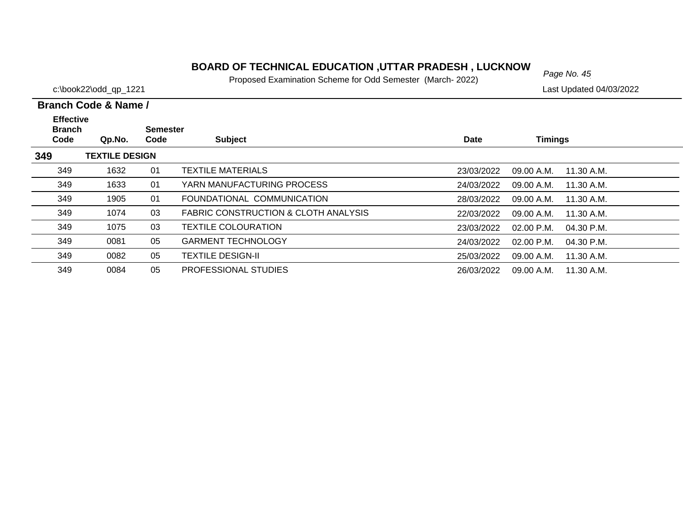# *Page No. 45* **BOARD OF TECHNICAL EDUCATION ,UTTAR PRADESH , LUCKNOW**

Proposed Examination Scheme for Odd Semester (March- 2022)

c:\book22\odd\_qp\_1221 Last Updated 04/03/2022

| <b>Effective</b><br><b>Branch</b> |                       | Semester |                                      |             |                              |  |
|-----------------------------------|-----------------------|----------|--------------------------------------|-------------|------------------------------|--|
| Code                              | Qp.No.                | Code     | <b>Subject</b>                       | <b>Date</b> | <b>Timings</b>               |  |
| 349                               | <b>TEXTILE DESIGN</b> |          |                                      |             |                              |  |
| 349                               | 1632                  | 01       | <b>TEXTILE MATERIALS</b>             | 23/03/2022  | 09.00 A.M.<br>11.30 A.M.     |  |
| 349                               | 1633                  | 01       | YARN MANUFACTURING PROCESS           | 24/03/2022  | 09.00 A.M.<br>11.30 A.M.     |  |
| 349                               | 1905                  | 01       | FOUNDATIONAL COMMUNICATION           | 28/03/2022  | 09.00 A.M.<br>11.30 A.M.     |  |
| 349                               | 1074                  | 03       | FABRIC CONSTRUCTION & CLOTH ANALYSIS | 22/03/2022  | 09.00 A.M.<br>11.30 A.M.     |  |
| 349                               | 1075                  | 03       | <b>TEXTILE COLOURATION</b>           | 23/03/2022  | $02.00$ P.M.<br>$04.30$ P.M. |  |
| 349                               | 0081                  | 05       | <b>GARMENT TECHNOLOGY</b>            | 24/03/2022  | $02.00$ P.M.<br>04.30 P.M.   |  |
| 349                               | 0082                  | 05       | <b>TEXTILE DESIGN-II</b>             | 25/03/2022  | 11.30 A.M.<br>09.00 A.M.     |  |
| 349                               | 0084                  | 05       | PROFESSIONAL STUDIES                 | 26/03/2022  | 09.00 A.M.<br>11.30 A.M.     |  |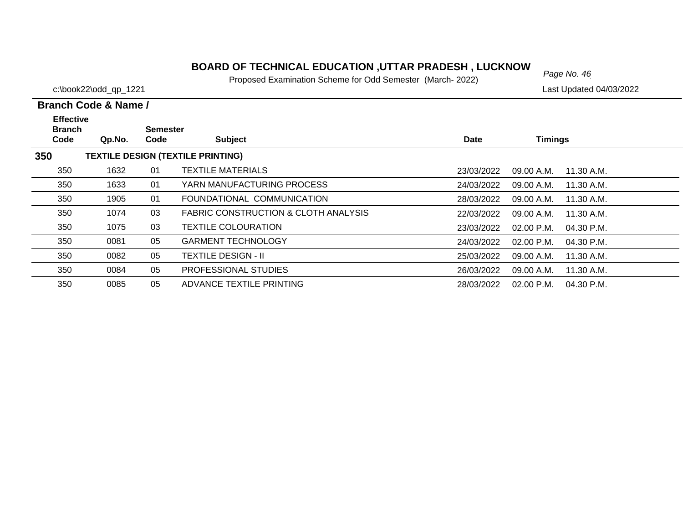# *Page No. 46* **BOARD OF TECHNICAL EDUCATION ,UTTAR PRADESH , LUCKNOW**

Proposed Examination Scheme for Odd Semester (March- 2022)

|                                           | Branch Code & Name / |                         |                                                 |            |                            |  |
|-------------------------------------------|----------------------|-------------------------|-------------------------------------------------|------------|----------------------------|--|
| <b>Effective</b><br><b>Branch</b><br>Code | Qp.No.               | <b>Semester</b><br>Code | <b>Subject</b>                                  | Date       | <b>Timings</b>             |  |
| 350                                       |                      |                         | <b>TEXTILE DESIGN (TEXTILE PRINTING)</b>        |            |                            |  |
| 350                                       | 1632                 | 01                      | <b>TEXTILE MATERIALS</b>                        | 23/03/2022 | 09.00 A.M.<br>11.30 A.M.   |  |
| 350                                       | 1633                 | 01                      | YARN MANUFACTURING PROCESS                      | 24/03/2022 | 09.00 A.M.<br>11.30 A.M.   |  |
| 350                                       | 1905                 | 01                      | FOUNDATIONAL COMMUNICATION                      | 28/03/2022 | 09.00 A.M.<br>11.30 A.M.   |  |
| 350                                       | 1074                 | 03                      | <b>FABRIC CONSTRUCTION &amp; CLOTH ANALYSIS</b> | 22/03/2022 | 11.30 A.M.<br>09.00 A.M.   |  |
| 350                                       | 1075                 | 03                      | <b>TEXTILE COLOURATION</b>                      | 23/03/2022 | 02.00 P.M.<br>04.30 P.M.   |  |
| 350                                       | 0081                 | 05                      | <b>GARMENT TECHNOLOGY</b>                       | 24/03/2022 | $02.00$ P.M.<br>04.30 P.M. |  |
| 350                                       | 0082                 | 05                      | <b>TEXTILE DESIGN - II</b>                      | 25/03/2022 | 11.30 A.M.<br>09.00 A.M.   |  |
| 350                                       | 0084                 | 05                      | PROFESSIONAL STUDIES                            | 26/03/2022 | 09.00 A.M.<br>11.30 A.M.   |  |
| 350                                       | 0085                 | 05                      | ADVANCE TEXTILE PRINTING                        | 28/03/2022 | $02.00$ P.M.<br>04.30 P.M. |  |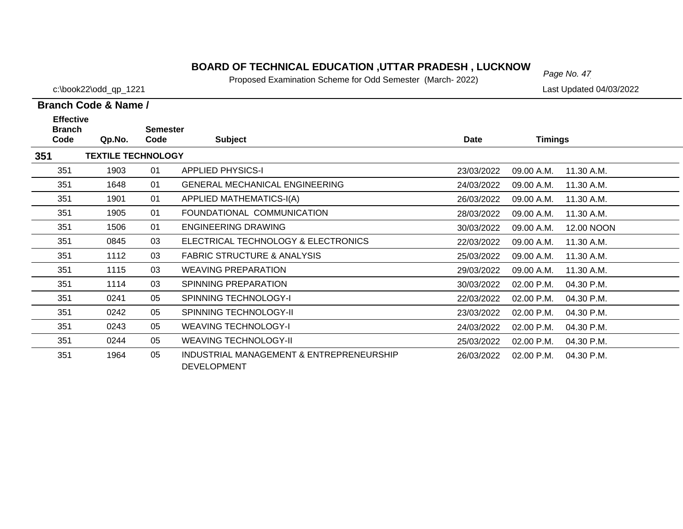# *Page No. 47* **BOARD OF TECHNICAL EDUCATION ,UTTAR PRADESH , LUCKNOW**

Proposed Examination Scheme for Odd Semester (March- 2022)

c:\book22\odd\_qp\_1221 Last Updated 04/03/2022

| <b>Effective</b>      |                           |                         |                                                                |            |                |            |
|-----------------------|---------------------------|-------------------------|----------------------------------------------------------------|------------|----------------|------------|
| <b>Branch</b><br>Code | Qp.No.                    | <b>Semester</b><br>Code | <b>Subject</b>                                                 | Date       | <b>Timings</b> |            |
| 351                   | <b>TEXTILE TECHNOLOGY</b> |                         |                                                                |            |                |            |
| 351                   | 1903                      | 01                      | <b>APPLIED PHYSICS-I</b>                                       | 23/03/2022 | 09.00 A.M.     | 11.30 A.M. |
| 351                   | 1648                      | 01                      | <b>GENERAL MECHANICAL ENGINEERING</b>                          | 24/03/2022 | 09.00 A.M.     | 11.30 A.M. |
| 351                   | 1901                      | 01                      | APPLIED MATHEMATICS-I(A)                                       | 26/03/2022 | 09.00 A.M.     | 11.30 A.M. |
| 351                   | 1905                      | 01                      | FOUNDATIONAL COMMUNICATION                                     | 28/03/2022 | 09.00 A.M.     | 11.30 A.M. |
| 351                   | 1506                      | 01                      | ENGINEERING DRAWING                                            | 30/03/2022 | 09.00 A.M.     | 12.00 NOON |
| 351                   | 0845                      | 03                      | ELECTRICAL TECHNOLOGY & ELECTRONICS                            | 22/03/2022 | 09.00 A.M.     | 11.30 A.M. |
| 351                   | 1112                      | 03                      | <b>FABRIC STRUCTURE &amp; ANALYSIS</b>                         | 25/03/2022 | 09.00 A.M.     | 11.30 A.M. |
| 351                   | 1115                      | 03                      | <b>WEAVING PREPARATION</b>                                     | 29/03/2022 | 09.00 A.M.     | 11.30 A.M. |
| 351                   | 1114                      | 03                      | <b>SPINNING PREPARATION</b>                                    | 30/03/2022 | 02.00 P.M.     | 04.30 P.M. |
| 351                   | 0241                      | 05                      | <b>SPINNING TECHNOLOGY-I</b>                                   | 22/03/2022 | 02.00 P.M.     | 04.30 P.M. |
| 351                   | 0242                      | 05                      | <b>SPINNING TECHNOLOGY-II</b>                                  | 23/03/2022 | 02.00 P.M.     | 04.30 P.M. |
| 351                   | 0243                      | 05                      | <b>WEAVING TECHNOLOGY-I</b>                                    | 24/03/2022 | 02.00 P.M.     | 04.30 P.M. |
| 351                   | 0244                      | 05                      | <b>WEAVING TECHNOLOGY-II</b>                                   | 25/03/2022 | 02.00 P.M.     | 04.30 P.M. |
| 351                   | 1964                      | 05                      | INDUSTRIAL MANAGEMENT & ENTREPRENEURSHIP<br><b>DEVELOPMENT</b> | 26/03/2022 | 02.00 P.M.     | 04.30 P.M. |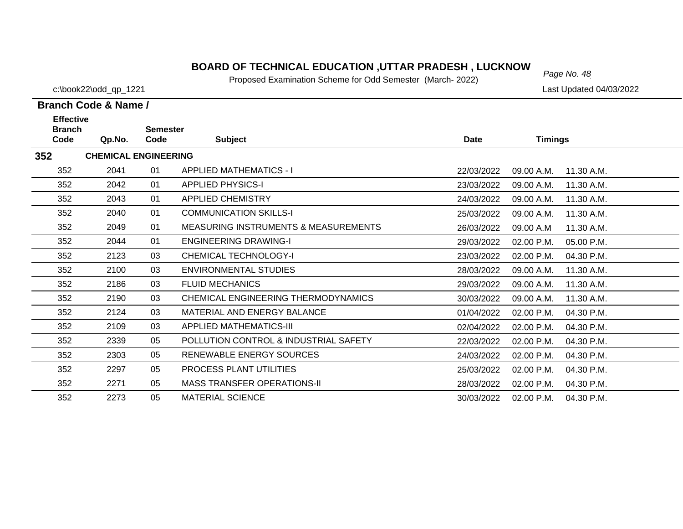# *Page No. 48* **BOARD OF TECHNICAL EDUCATION ,UTTAR PRADESH , LUCKNOW**

Proposed Examination Scheme for Odd Semester (March- 2022)

c:\book22\odd\_qp\_1221 Last Updated 04/03/2022

| <b>Effective</b>      |                             |                         |                                                 |            |                          |  |
|-----------------------|-----------------------------|-------------------------|-------------------------------------------------|------------|--------------------------|--|
| <b>Branch</b><br>Code | Qp.No.                      | <b>Semester</b><br>Code | <b>Subject</b>                                  | Date       | <b>Timings</b>           |  |
| 352                   | <b>CHEMICAL ENGINEERING</b> |                         |                                                 |            |                          |  |
| 352                   | 2041                        | 01                      | APPLIED MATHEMATICS - I                         | 22/03/2022 | 11.30 A.M.<br>09.00 A.M. |  |
| 352                   | 2042                        | 01                      | <b>APPLIED PHYSICS-I</b>                        | 23/03/2022 | 09.00 A.M.<br>11.30 A.M. |  |
| 352                   | 2043                        | 01                      | <b>APPLIED CHEMISTRY</b>                        | 24/03/2022 | 09.00 A.M.<br>11.30 A.M. |  |
| 352                   | 2040                        | 01                      | <b>COMMUNICATION SKILLS-I</b>                   | 25/03/2022 | 09.00 A.M.<br>11.30 A.M. |  |
| 352                   | 2049                        | 01                      | <b>MEASURING INSTRUMENTS &amp; MEASUREMENTS</b> | 26/03/2022 | 09.00 A.M<br>11.30 A.M.  |  |
| 352                   | 2044                        | 01                      | <b>ENGINEERING DRAWING-I</b>                    | 29/03/2022 | 02.00 P.M.<br>05.00 P.M. |  |
| 352                   | 2123                        | 03                      | CHEMICAL TECHNOLOGY-I                           | 23/03/2022 | 02.00 P.M.<br>04.30 P.M. |  |
| 352                   | 2100                        | 03                      | ENVIRONMENTAL STUDIES                           | 28/03/2022 | 09.00 A.M.<br>11.30 A.M. |  |
| 352                   | 2186                        | 03                      | <b>FLUID MECHANICS</b>                          | 29/03/2022 | 09.00 A.M.<br>11.30 A.M. |  |
| 352                   | 2190                        | 03                      | CHEMICAL ENGINEERING THERMODYNAMICS             | 30/03/2022 | 09.00 A.M.<br>11.30 A.M. |  |
| 352                   | 2124                        | 03                      | MATERIAL AND ENERGY BALANCE                     | 01/04/2022 | 02.00 P.M.<br>04.30 P.M. |  |
| 352                   | 2109                        | 03                      | APPLIED MATHEMATICS-III                         | 02/04/2022 | 04.30 P.M.<br>02.00 P.M. |  |
| 352                   | 2339                        | 05                      | POLLUTION CONTROL & INDUSTRIAL SAFETY           | 22/03/2022 | 02.00 P.M.<br>04.30 P.M. |  |
| 352                   | 2303                        | 05                      | RENEWABLE ENERGY SOURCES                        | 24/03/2022 | 04.30 P.M.<br>02.00 P.M. |  |
| 352                   | 2297                        | 05                      | <b>PROCESS PLANT UTILITIES</b>                  | 25/03/2022 | 04.30 P.M.<br>02.00 P.M. |  |
| 352                   | 2271                        | 05                      | <b>MASS TRANSFER OPERATIONS-II</b>              | 28/03/2022 | 02.00 P.M.<br>04.30 P.M. |  |
| 352                   | 2273                        | 05                      | <b>MATERIAL SCIENCE</b>                         | 30/03/2022 | 02.00 P.M.<br>04.30 P.M. |  |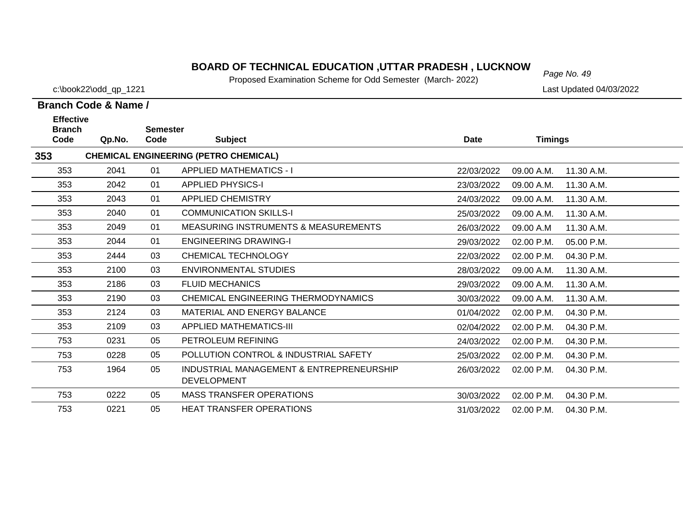# *Page No. 49* **BOARD OF TECHNICAL EDUCATION ,UTTAR PRADESH , LUCKNOW**

Proposed Examination Scheme for Odd Semester (March- 2022)

c:\book22\odd\_qp\_1221 Last Updated 04/03/2022

| <b>Effective</b><br><b>Branch</b> |        | <b>Semester</b> |                                                                |             |                |            |
|-----------------------------------|--------|-----------------|----------------------------------------------------------------|-------------|----------------|------------|
| Code                              | Qp.No. | Code            | <b>Subject</b>                                                 | <b>Date</b> | <b>Timings</b> |            |
| 353                               |        |                 | <b>CHEMICAL ENGINEERING (PETRO CHEMICAL)</b>                   |             |                |            |
| 353                               | 2041   | 01              | <b>APPLIED MATHEMATICS - I</b>                                 | 22/03/2022  | 09.00 A.M.     | 11.30 A.M. |
| 353                               | 2042   | 01              | <b>APPLIED PHYSICS-I</b>                                       | 23/03/2022  | 09.00 A.M.     | 11.30 A.M. |
| 353                               | 2043   | 01              | <b>APPLIED CHEMISTRY</b>                                       | 24/03/2022  | 09.00 A.M.     | 11.30 A.M. |
| 353                               | 2040   | 01              | <b>COMMUNICATION SKILLS-I</b>                                  | 25/03/2022  | 09.00 A.M.     | 11.30 A.M. |
| 353                               | 2049   | 01              | <b>MEASURING INSTRUMENTS &amp; MEASUREMENTS</b>                | 26/03/2022  | 09.00 A.M      | 11.30 A.M. |
| 353                               | 2044   | 01              | <b>ENGINEERING DRAWING-I</b>                                   | 29/03/2022  | 02.00 P.M.     | 05.00 P.M. |
| 353                               | 2444   | 03              | <b>CHEMICAL TECHNOLOGY</b>                                     | 22/03/2022  | 02.00 P.M.     | 04.30 P.M. |
| 353                               | 2100   | 03              | <b>ENVIRONMENTAL STUDIES</b>                                   | 28/03/2022  | 09.00 A.M.     | 11.30 A.M. |
| 353                               | 2186   | 03              | <b>FLUID MECHANICS</b>                                         | 29/03/2022  | 09.00 A.M.     | 11.30 A.M. |
| 353                               | 2190   | 03              | CHEMICAL ENGINEERING THERMODYNAMICS                            | 30/03/2022  | 09.00 A.M.     | 11.30 A.M. |
| 353                               | 2124   | 03              | MATERIAL AND ENERGY BALANCE                                    | 01/04/2022  | 02.00 P.M.     | 04.30 P.M. |
| 353                               | 2109   | 03              | <b>APPLIED MATHEMATICS-III</b>                                 | 02/04/2022  | 02.00 P.M.     | 04.30 P.M. |
| 753                               | 0231   | 05              | PETROLEUM REFINING                                             | 24/03/2022  | 02.00 P.M.     | 04.30 P.M. |
| 753                               | 0228   | 05              | POLLUTION CONTROL & INDUSTRIAL SAFETY                          | 25/03/2022  | 02.00 P.M.     | 04.30 P.M. |
| 753                               | 1964   | 05              | INDUSTRIAL MANAGEMENT & ENTREPRENEURSHIP<br><b>DEVELOPMENT</b> | 26/03/2022  | 02.00 P.M.     | 04.30 P.M. |
| 753                               | 0222   | 05              | <b>MASS TRANSFER OPERATIONS</b>                                | 30/03/2022  | 02.00 P.M.     | 04.30 P.M. |
| 753                               | 0221   | 05              | <b>HEAT TRANSFER OPERATIONS</b>                                | 31/03/2022  | 02.00 P.M.     | 04.30 P.M. |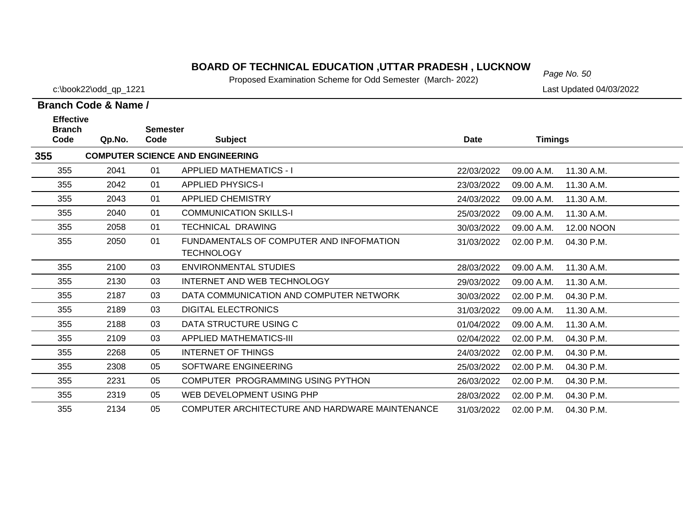#### **BOARD OF TECHNICAL EDUCATION ,UTTAR PRADESH , LUCKNOW**  $_{Page No. 50}$

Proposed Examination Scheme for Odd Semester (March- 2022)

**Code Qp.No.**

**Branch** 

355

355

**355**

**Effective** 

c:\book22\odd\_qp\_1221 Last Updated 04/03/2022

11.30 A.M.

11.30 A.M.

# **Semester Code Subject Date Timings COMPUTER SCIENCE AND ENGINEERING** 2041 01 APPLIED MATHEMATICS - I 22/03/2022 09.00 A.M. 2042 01 APPLIED PHYSICS-I 23/03/2022 09.00 A.M.

| 355 | 2043 | 01 | <b>APPLIED CHEMISTRY</b>                                      | 24/03/2022 | 09.00 A.M.   | 11.30 A.M. |
|-----|------|----|---------------------------------------------------------------|------------|--------------|------------|
| 355 | 2040 | 01 | <b>COMMUNICATION SKILLS-I</b>                                 | 25/03/2022 | 09.00 A.M.   | 11.30 A.M. |
| 355 | 2058 | 01 | TECHNICAL DRAWING                                             | 30/03/2022 | 09.00 A.M.   | 12.00 NOON |
| 355 | 2050 | 01 | FUNDAMENTALS OF COMPUTER AND INFOFMATION<br><b>TECHNOLOGY</b> | 31/03/2022 | $02.00$ P.M. | 04.30 P.M. |
| 355 | 2100 | 03 | ENVIRONMENTAL STUDIES                                         | 28/03/2022 | 09.00 A.M.   | 11.30 A.M. |
| 355 | 2130 | 03 | INTERNET AND WEB TECHNOLOGY                                   | 29/03/2022 | 09.00 A.M.   | 11.30 A.M. |
| 355 | 2187 | 03 | DATA COMMUNICATION AND COMPUTER NETWORK                       | 30/03/2022 | 02.00 P.M.   | 04.30 P.M. |
| 355 | 2189 | 03 | DIGITAL ELECTRONICS                                           | 31/03/2022 | 09.00 A.M.   | 11.30 A.M. |
| 355 | 2188 | 03 | DATA STRUCTURE USING C                                        | 01/04/2022 | 09.00 A.M.   | 11.30 A.M. |
| 355 | 2109 | 03 | APPLIED MATHEMATICS-III                                       | 02/04/2022 | 02.00 P.M.   | 04.30 P.M. |
| 355 | 2268 | 05 | INTERNET OF THINGS                                            | 24/03/2022 | 02.00 P.M.   | 04.30 P.M. |
| 355 | 2308 | 05 | SOFTWARE ENGINEERING                                          | 25/03/2022 | $02.00$ P.M. | 04.30 P.M. |
| 355 | 2231 | 05 | COMPUTER PROGRAMMING USING PYTHON                             | 26/03/2022 | 02.00 P.M.   | 04.30 P.M. |
| 355 | 2319 | 05 | WEB DEVELOPMENT USING PHP                                     | 28/03/2022 | 02.00 P.M.   | 04.30 P.M. |
| 355 | 2134 | 05 | COMPUTER ARCHITECTURE AND HARDWARE MAINTENANCE                | 31/03/2022 | 02.00 P.M.   | 04.30 P.M. |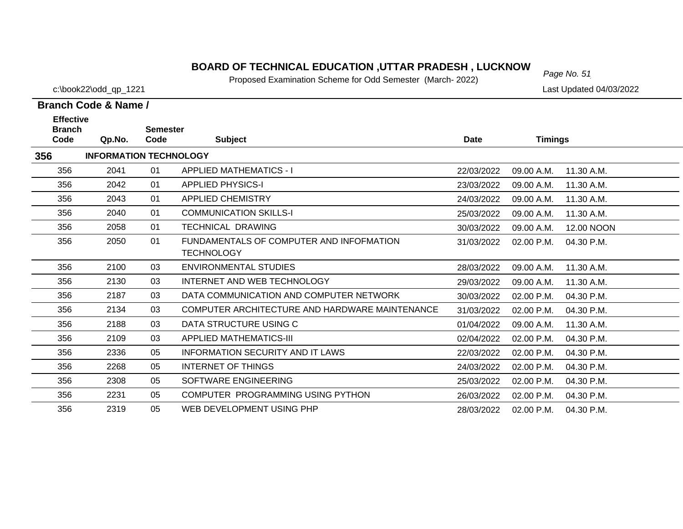# *Page No. 51* **BOARD OF TECHNICAL EDUCATION ,UTTAR PRADESH , LUCKNOW**

Proposed Examination Scheme for Odd Semester (March- 2022)

c:\book22\odd\_qp\_1221 Last Updated 04/03/2022

| <b>Effective</b><br><b>Branch</b> |                               | <b>Semester</b> |                                                |             |                |              |
|-----------------------------------|-------------------------------|-----------------|------------------------------------------------|-------------|----------------|--------------|
| Code                              | Qp.No.                        | Code            | <b>Subject</b>                                 | <b>Date</b> | <b>Timings</b> |              |
| 356                               | <b>INFORMATION TECHNOLOGY</b> |                 |                                                |             |                |              |
| 356                               | 2041                          | 01              | <b>APPLIED MATHEMATICS - I</b>                 | 22/03/2022  | 09.00 A.M.     | 11.30 A.M.   |
| 356                               | 2042                          | 01              | <b>APPLIED PHYSICS-I</b>                       | 23/03/2022  | 09.00 A.M.     | 11.30 A.M.   |
| 356                               | 2043                          | 01              | <b>APPLIED CHEMISTRY</b>                       | 24/03/2022  | 09.00 A.M.     | 11.30 A.M.   |
| 356                               | 2040                          | 01              | <b>COMMUNICATION SKILLS-I</b>                  | 25/03/2022  | 09.00 A.M.     | 11.30 A.M.   |
| 356                               | 2058                          | 01              | <b>TECHNICAL DRAWING</b>                       | 30/03/2022  | 09.00 A.M.     | 12.00 NOON   |
| 356                               | 2050                          | 01              | FUNDAMENTALS OF COMPUTER AND INFOFMATION       | 31/03/2022  | 02.00 P.M.     | 04.30 P.M.   |
|                                   |                               |                 | <b>TECHNOLOGY</b>                              |             |                |              |
| 356                               | 2100                          | 03              | ENVIRONMENTAL STUDIES                          | 28/03/2022  | 09.00 A.M.     | 11.30 A.M.   |
| 356                               | 2130                          | 03              | INTERNET AND WEB TECHNOLOGY                    | 29/03/2022  | 09.00 A.M.     | 11.30 A.M.   |
| 356                               | 2187                          | 03              | DATA COMMUNICATION AND COMPUTER NETWORK        | 30/03/2022  | 02.00 P.M.     | 04.30 P.M.   |
| 356                               | 2134                          | 03              | COMPUTER ARCHITECTURE AND HARDWARE MAINTENANCE | 31/03/2022  | 02.00 P.M.     | 04.30 P.M.   |
| 356                               | 2188                          | 03              | DATA STRUCTURE USING C                         | 01/04/2022  | 09.00 A.M.     | 11.30 A.M.   |
| 356                               | 2109                          | 03              | APPLIED MATHEMATICS-III                        | 02/04/2022  | 02.00 P.M.     | 04.30 P.M.   |
| 356                               | 2336                          | 05              | <b>INFORMATION SECURITY AND IT LAWS</b>        | 22/03/2022  | 02.00 P.M.     | 04.30 P.M.   |
| 356                               | 2268                          | 05              | <b>INTERNET OF THINGS</b>                      | 24/03/2022  | 02.00 P.M.     | $04.30$ P.M. |
| 356                               | 2308                          | 05              | SOFTWARE ENGINEERING                           | 25/03/2022  | 02.00 P.M.     | 04.30 P.M.   |
| 356                               | 2231                          | 05              | COMPUTER PROGRAMMING USING PYTHON              | 26/03/2022  | 02.00 P.M.     | 04.30 P.M.   |
| 356                               | 2319                          | 05              | WEB DEVELOPMENT USING PHP                      | 28/03/2022  | 02.00 P.M.     | 04.30 P.M.   |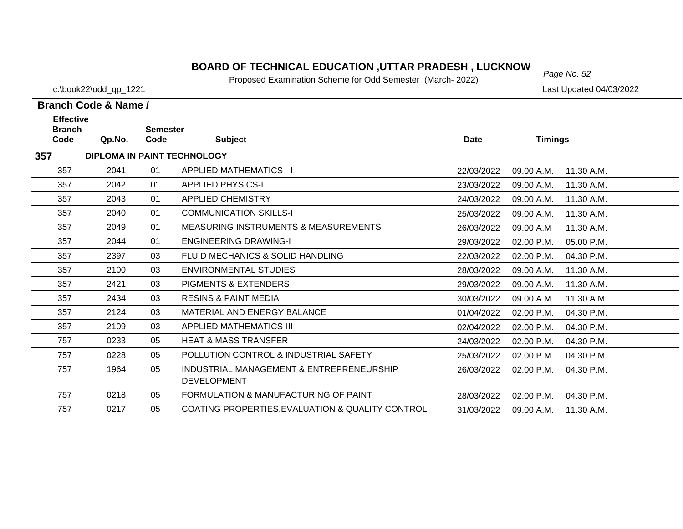# *Page No. 52* **BOARD OF TECHNICAL EDUCATION ,UTTAR PRADESH , LUCKNOW**

Proposed Examination Scheme for Odd Semester (March- 2022)

c:\book22\odd\_qp\_1221 Last Updated 04/03/2022

| <b>Effective</b><br><b>Branch</b> |        | <b>Semester</b> |                                                                |             |                |            |
|-----------------------------------|--------|-----------------|----------------------------------------------------------------|-------------|----------------|------------|
| Code                              | Qp.No. | Code            | <b>Subject</b>                                                 | <b>Date</b> | <b>Timings</b> |            |
| 357                               |        |                 | <b>DIPLOMA IN PAINT TECHNOLOGY</b>                             |             |                |            |
| 357                               | 2041   | 01              | <b>APPLIED MATHEMATICS - I</b>                                 | 22/03/2022  | 09.00 A.M.     | 11.30 A.M. |
| 357                               | 2042   | 01              | <b>APPLIED PHYSICS-I</b>                                       | 23/03/2022  | 09.00 A.M.     | 11.30 A.M. |
| 357                               | 2043   | 01              | <b>APPLIED CHEMISTRY</b>                                       | 24/03/2022  | 09.00 A.M.     | 11.30 A.M. |
| 357                               | 2040   | 01              | <b>COMMUNICATION SKILLS-I</b>                                  | 25/03/2022  | 09.00 A.M.     | 11.30 A.M. |
| 357                               | 2049   | 01              | <b>MEASURING INSTRUMENTS &amp; MEASUREMENTS</b>                | 26/03/2022  | 09.00 A.M      | 11.30 A.M. |
| 357                               | 2044   | 01              | <b>ENGINEERING DRAWING-I</b>                                   | 29/03/2022  | 02.00 P.M.     | 05.00 P.M. |
| 357                               | 2397   | 03              | FLUID MECHANICS & SOLID HANDLING                               | 22/03/2022  | 02.00 P.M.     | 04.30 P.M. |
| 357                               | 2100   | 03              | ENVIRONMENTAL STUDIES                                          | 28/03/2022  | 09.00 A.M.     | 11.30 A.M. |
| 357                               | 2421   | 03              | <b>PIGMENTS &amp; EXTENDERS</b>                                | 29/03/2022  | 09.00 A.M.     | 11.30 A.M. |
| 357                               | 2434   | 03              | <b>RESINS &amp; PAINT MEDIA</b>                                | 30/03/2022  | 09.00 A.M.     | 11.30 A.M. |
| 357                               | 2124   | 03              | MATERIAL AND ENERGY BALANCE                                    | 01/04/2022  | 02.00 P.M.     | 04.30 P.M. |
| 357                               | 2109   | 03              | <b>APPLIED MATHEMATICS-III</b>                                 | 02/04/2022  | 02.00 P.M.     | 04.30 P.M. |
| 757                               | 0233   | 05              | <b>HEAT &amp; MASS TRANSFER</b>                                | 24/03/2022  | 02.00 P.M.     | 04.30 P.M. |
| 757                               | 0228   | 05              | POLLUTION CONTROL & INDUSTRIAL SAFETY                          | 25/03/2022  | 02.00 P.M.     | 04.30 P.M. |
| 757                               | 1964   | 05              | INDUSTRIAL MANAGEMENT & ENTREPRENEURSHIP<br><b>DEVELOPMENT</b> | 26/03/2022  | 02.00 P.M.     | 04.30 P.M. |
| 757                               | 0218   | 05              | FORMULATION & MANUFACTURING OF PAINT                           | 28/03/2022  | 02.00 P.M.     | 04.30 P.M. |
| 757                               | 0217   | 05              | COATING PROPERTIES, EVALUATION & QUALITY CONTROL               | 31/03/2022  | 09.00 A.M.     | 11.30 A.M. |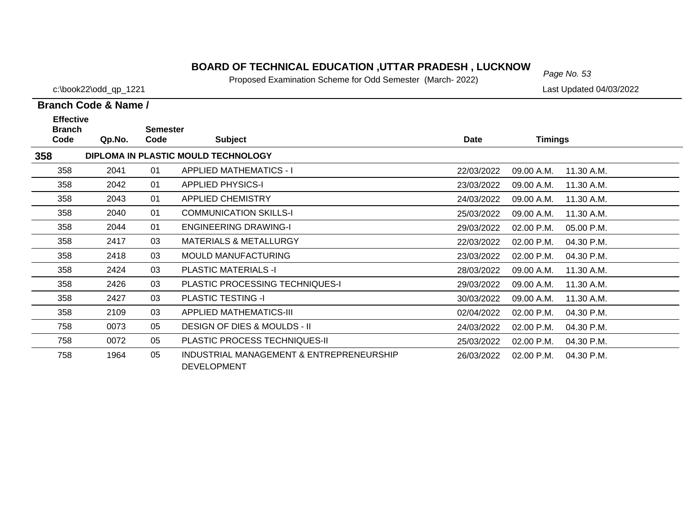# *Page No. 53* **BOARD OF TECHNICAL EDUCATION ,UTTAR PRADESH , LUCKNOW**

Proposed Examination Scheme for Odd Semester (March- 2022)

c:\book22\odd\_qp\_1221 Last Updated 04/03/2022

| <b>Effective</b><br><b>Branch</b> |                                     | <b>Semester</b> |                                                                |            |                |            |  |  |
|-----------------------------------|-------------------------------------|-----------------|----------------------------------------------------------------|------------|----------------|------------|--|--|
| Code                              | Qp.No.                              | Code            | <b>Subject</b>                                                 | Date       | <b>Timings</b> |            |  |  |
| 358                               | DIPLOMA IN PLASTIC MOULD TECHNOLOGY |                 |                                                                |            |                |            |  |  |
| 358                               | 2041                                | 01              | <b>APPLIED MATHEMATICS - I</b>                                 | 22/03/2022 | 09.00 A.M.     | 11.30 A.M. |  |  |
| 358                               | 2042                                | 01              | <b>APPLIED PHYSICS-I</b>                                       | 23/03/2022 | 09.00 A.M.     | 11.30 A.M. |  |  |
| 358                               | 2043                                | 01              | <b>APPLIED CHEMISTRY</b>                                       | 24/03/2022 | 09.00 A.M.     | 11.30 A.M. |  |  |
| 358                               | 2040                                | 01              | <b>COMMUNICATION SKILLS-I</b>                                  | 25/03/2022 | 09.00 A.M.     | 11.30 A.M. |  |  |
| 358                               | 2044                                | 01              | <b>ENGINEERING DRAWING-I</b>                                   | 29/03/2022 | 02.00 P.M.     | 05.00 P.M. |  |  |
| 358                               | 2417                                | 03              | <b>MATERIALS &amp; METALLURGY</b>                              | 22/03/2022 | 02.00 P.M.     | 04.30 P.M. |  |  |
| 358                               | 2418                                | 03              | <b>MOULD MANUFACTURING</b>                                     | 23/03/2022 | 02.00 P.M.     | 04.30 P.M. |  |  |
| 358                               | 2424                                | 03              | <b>PLASTIC MATERIALS -I</b>                                    | 28/03/2022 | 09.00 A.M.     | 11.30 A.M. |  |  |
| 358                               | 2426                                | 03              | <b>PLASTIC PROCESSING TECHNIQUES-I</b>                         | 29/03/2022 | 09.00 A.M.     | 11.30 A.M. |  |  |
| 358                               | 2427                                | 03              | <b>PLASTIC TESTING -I</b>                                      | 30/03/2022 | 09.00 A.M.     | 11.30 A.M. |  |  |
| 358                               | 2109                                | 03              | <b>APPLIED MATHEMATICS-III</b>                                 | 02/04/2022 | 02.00 P.M.     | 04.30 P.M. |  |  |
| 758                               | 0073                                | 05              | <b>DESIGN OF DIES &amp; MOULDS - II</b>                        | 24/03/2022 | 02.00 P.M.     | 04.30 P.M. |  |  |
| 758                               | 0072                                | 05              | <b>PLASTIC PROCESS TECHNIQUES-II</b>                           | 25/03/2022 | 02.00 P.M.     | 04.30 P.M. |  |  |
| 758                               | 1964                                | 05              | INDUSTRIAL MANAGEMENT & ENTREPRENEURSHIP<br><b>DEVELOPMENT</b> | 26/03/2022 | 02.00 P.M.     | 04.30 P.M. |  |  |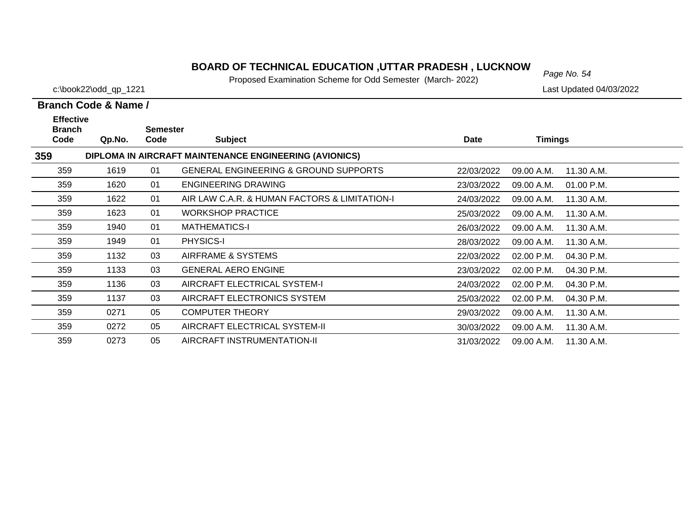# *Page No. 54* **BOARD OF TECHNICAL EDUCATION ,UTTAR PRADESH , LUCKNOW**

Proposed Examination Scheme for Odd Semester (March- 2022)

c:\book22\odd\_qp\_1221 Last Updated 04/03/2022

| <b>Effective</b><br><b>Branch</b> |        | <b>Semester</b> |                                                        |            |                            |  |
|-----------------------------------|--------|-----------------|--------------------------------------------------------|------------|----------------------------|--|
| Code                              | Qp.No. | Code            | <b>Subject</b>                                         | Date       | <b>Timings</b>             |  |
| 359                               |        |                 | DIPLOMA IN AIRCRAFT MAINTENANCE ENGINEERING (AVIONICS) |            |                            |  |
| 359                               | 1619   | 01              | <b>GENERAL ENGINEERING &amp; GROUND SUPPORTS</b>       | 22/03/2022 | 09.00 A.M.<br>11.30 A.M.   |  |
| 359                               | 1620   | 01              | <b>ENGINEERING DRAWING</b>                             | 23/03/2022 | 01.00 P.M.<br>09.00 A.M.   |  |
| 359                               | 1622   | 01              | AIR LAW C.A.R. & HUMAN FACTORS & LIMITATION-I          | 24/03/2022 | 09.00 A.M.<br>11.30 A.M.   |  |
| 359                               | 1623   | 01              | <b>WORKSHOP PRACTICE</b>                               | 25/03/2022 | 11.30 A.M.<br>09.00 A.M.   |  |
| 359                               | 1940   | 01              | <b>MATHEMATICS-I</b>                                   | 26/03/2022 | 09.00 A.M.<br>11.30 A.M.   |  |
| 359                               | 1949   | 01              | <b>PHYSICS-I</b>                                       | 28/03/2022 | 11.30 A.M.<br>09.00 A.M.   |  |
| 359                               | 1132   | 03              | AIRFRAME & SYSTEMS                                     | 22/03/2022 | 02.00 P.M.<br>04.30 P.M.   |  |
| 359                               | 1133   | 03              | <b>GENERAL AERO ENGINE</b>                             | 23/03/2022 | 02.00 P.M.<br>04.30 P.M.   |  |
| 359                               | 1136   | 03              | AIRCRAFT ELECTRICAL SYSTEM-I                           | 24/03/2022 | $02.00$ P.M.<br>04.30 P.M. |  |
| 359                               | 1137   | 03              | AIRCRAFT ELECTRONICS SYSTEM                            | 25/03/2022 | 02.00 P.M.<br>04.30 P.M.   |  |
| 359                               | 0271   | 05              | <b>COMPUTER THEORY</b>                                 | 29/03/2022 | 09.00 A.M.<br>11.30 A.M.   |  |
| 359                               | 0272   | 05              | AIRCRAFT ELECTRICAL SYSTEM-II                          | 30/03/2022 | 09.00 A.M.<br>11.30 A.M.   |  |
| 359                               | 0273   | 05              | AIRCRAFT INSTRUMENTATION-II                            | 31/03/2022 | 11.30 A.M.<br>09.00 A.M.   |  |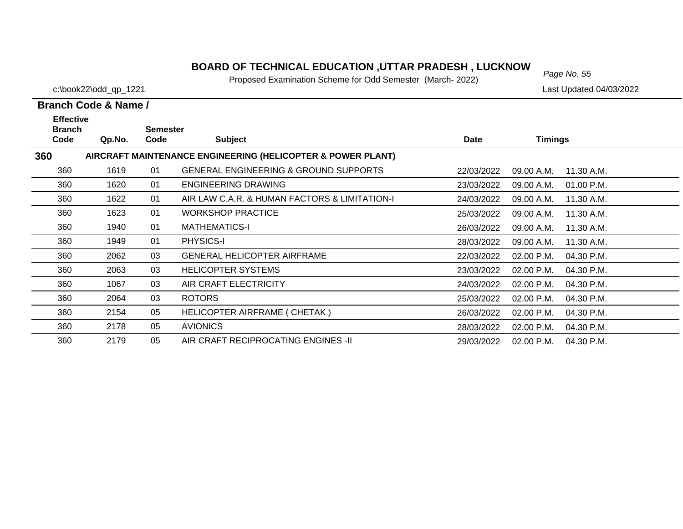# *Page No. 55* **BOARD OF TECHNICAL EDUCATION ,UTTAR PRADESH , LUCKNOW**

Proposed Examination Scheme for Odd Semester (March- 2022)

c:\book22\odd\_qp\_1221 Last Updated 04/03/2022

| <b>Effective</b><br><b>Branch</b> |        | <b>Semester</b> |                                                             |            |                            |  |
|-----------------------------------|--------|-----------------|-------------------------------------------------------------|------------|----------------------------|--|
| Code                              | Qp.No. | Code            | <b>Subject</b>                                              | Date       | <b>Timings</b>             |  |
| 360                               |        |                 | AIRCRAFT MAINTENANCE ENGINEERING (HELICOPTER & POWER PLANT) |            |                            |  |
| 360                               | 1619   | 01              | <b>GENERAL ENGINEERING &amp; GROUND SUPPORTS</b>            | 22/03/2022 | 11.30 A.M.<br>09.00 A.M.   |  |
| 360                               | 1620   | 01              | ENGINEERING DRAWING                                         | 23/03/2022 | 09.00 A.M.<br>01.00 P.M.   |  |
| 360                               | 1622   | 01              | AIR LAW C.A.R. & HUMAN FACTORS & LIMITATION-I               | 24/03/2022 | 11.30 A.M.<br>09.00 A.M.   |  |
| 360                               | 1623   | 01              | <b>WORKSHOP PRACTICE</b>                                    | 25/03/2022 | 09.00 A.M.<br>11.30 A.M.   |  |
| 360                               | 1940   | 01              | <b>MATHEMATICS-I</b>                                        | 26/03/2022 | 09.00 A.M.<br>11.30 A.M.   |  |
| 360                               | 1949   | 01              | PHYSICS-I                                                   | 28/03/2022 | 11.30 A.M.<br>09.00 A.M.   |  |
| 360                               | 2062   | 03              | <b>GENERAL HELICOPTER AIRFRAME</b>                          | 22/03/2022 | 02.00 P.M.<br>04.30 P.M.   |  |
| 360                               | 2063   | 03              | <b>HELICOPTER SYSTEMS</b>                                   | 23/03/2022 | 02.00 P.M.<br>04.30 P.M.   |  |
| 360                               | 1067   | 03              | AIR CRAFT ELECTRICITY                                       | 24/03/2022 | 02.00 P.M.<br>04.30 P.M.   |  |
| 360                               | 2064   | 03              | <b>ROTORS</b>                                               | 25/03/2022 | $02.00$ P.M.<br>04.30 P.M. |  |
| 360                               | 2154   | 05              | HELICOPTER AIRFRAME ( CHETAK )                              | 26/03/2022 | $02.00$ P.M.<br>04.30 P.M. |  |
| 360                               | 2178   | 05              | <b>AVIONICS</b>                                             | 28/03/2022 | 02.00 P.M.<br>04.30 P.M.   |  |
| 360                               | 2179   | 05              | AIR CRAFT RECIPROCATING ENGINES -II                         | 29/03/2022 | 02.00 P.M.<br>04.30 P.M.   |  |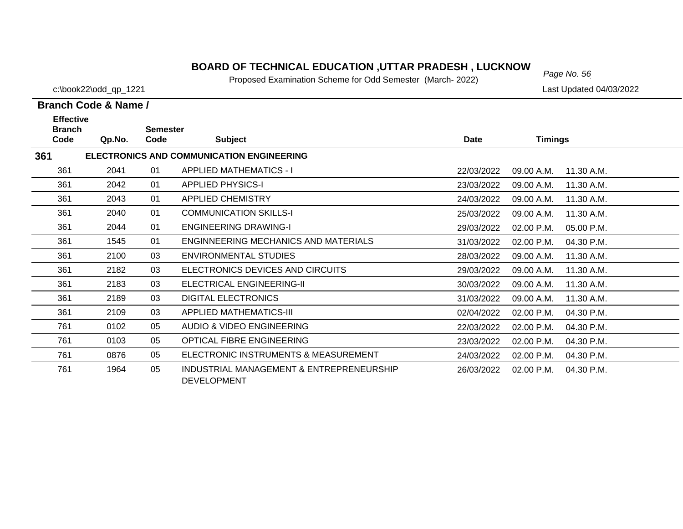# *Page No. 56* **BOARD OF TECHNICAL EDUCATION ,UTTAR PRADESH , LUCKNOW**

Proposed Examination Scheme for Odd Semester (March- 2022)

c:\book22\odd\_qp\_1221 Last Updated 04/03/2022

| <b>Effective</b><br><b>Branch</b>                |        | <b>Semester</b> |                                                                |             |                |            |  |  |
|--------------------------------------------------|--------|-----------------|----------------------------------------------------------------|-------------|----------------|------------|--|--|
| Code                                             | Qp.No. | Code            | <b>Subject</b>                                                 | <b>Date</b> | <b>Timings</b> |            |  |  |
| 361<br>ELECTRONICS AND COMMUNICATION ENGINEERING |        |                 |                                                                |             |                |            |  |  |
| 361                                              | 2041   | 01              | <b>APPLIED MATHEMATICS - I</b>                                 | 22/03/2022  | 09.00 A.M.     | 11.30 A.M. |  |  |
| 361                                              | 2042   | 01              | <b>APPLIED PHYSICS-I</b>                                       | 23/03/2022  | 09.00 A.M.     | 11.30 A.M. |  |  |
| 361                                              | 2043   | 01              | <b>APPLIED CHEMISTRY</b>                                       | 24/03/2022  | 09.00 A.M.     | 11.30 A.M. |  |  |
| 361                                              | 2040   | 01              | <b>COMMUNICATION SKILLS-I</b>                                  | 25/03/2022  | 09.00 A.M.     | 11.30 A.M. |  |  |
| 361                                              | 2044   | 01              | <b>ENGINEERING DRAWING-I</b>                                   | 29/03/2022  | 02.00 P.M.     | 05.00 P.M. |  |  |
| 361                                              | 1545   | 01              | ENGINNEERING MECHANICS AND MATERIALS                           | 31/03/2022  | 02.00 P.M.     | 04.30 P.M. |  |  |
| 361                                              | 2100   | 03              | ENVIRONMENTAL STUDIES                                          | 28/03/2022  | 09.00 A.M.     | 11.30 A.M. |  |  |
| 361                                              | 2182   | 03              | ELECTRONICS DEVICES AND CIRCUITS                               | 29/03/2022  | 09.00 A.M.     | 11.30 A.M. |  |  |
| 361                                              | 2183   | 03              | ELECTRICAL ENGINEERING-II                                      | 30/03/2022  | 09.00 A.M.     | 11.30 A.M. |  |  |
| 361                                              | 2189   | 03              | <b>DIGITAL ELECTRONICS</b>                                     | 31/03/2022  | 09.00 A.M.     | 11.30 A.M. |  |  |
| 361                                              | 2109   | 03              | <b>APPLIED MATHEMATICS-III</b>                                 | 02/04/2022  | 02.00 P.M.     | 04.30 P.M. |  |  |
| 761                                              | 0102   | 05              | AUDIO & VIDEO ENGINEERING                                      | 22/03/2022  | 02.00 P.M.     | 04.30 P.M. |  |  |
| 761                                              | 0103   | 05              | <b>OPTICAL FIBRE ENGINEERING</b>                               | 23/03/2022  | 02.00 P.M.     | 04.30 P.M. |  |  |
| 761                                              | 0876   | 05              | ELECTRONIC INSTRUMENTS & MEASUREMENT                           | 24/03/2022  | 02.00 P.M.     | 04.30 P.M. |  |  |
| 761                                              | 1964   | 05              | INDUSTRIAL MANAGEMENT & ENTREPRENEURSHIP<br><b>DEVELOPMENT</b> | 26/03/2022  | 02.00 P.M.     | 04.30 P.M. |  |  |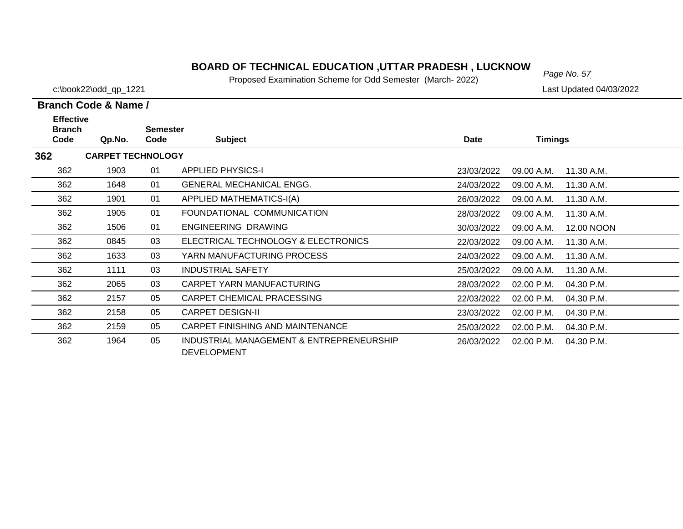# *Page No. 57* **BOARD OF TECHNICAL EDUCATION ,UTTAR PRADESH , LUCKNOW**

Proposed Examination Scheme for Odd Semester (March- 2022)

c:\book22\odd\_qp\_1221 Last Updated 04/03/2022

| <b>Effective</b>      |                          |                         |                                                                |            |                |            |
|-----------------------|--------------------------|-------------------------|----------------------------------------------------------------|------------|----------------|------------|
| <b>Branch</b><br>Code | Qp.No.                   | <b>Semester</b><br>Code | <b>Subject</b>                                                 | Date       | <b>Timings</b> |            |
| 362                   | <b>CARPET TECHNOLOGY</b> |                         |                                                                |            |                |            |
| 362                   | 1903                     | 01                      | <b>APPLIED PHYSICS-I</b>                                       | 23/03/2022 | 09.00 A.M.     | 11.30 A.M. |
| 362                   | 1648                     | 01                      | <b>GENERAL MECHANICAL ENGG.</b>                                | 24/03/2022 | 09.00 A.M.     | 11.30 A.M. |
| 362                   | 1901                     | 01                      | APPLIED MATHEMATICS-I(A)                                       | 26/03/2022 | 09.00 A.M.     | 11.30 A.M. |
| 362                   | 1905                     | 01                      | FOUNDATIONAL COMMUNICATION                                     | 28/03/2022 | 09.00 A.M.     | 11.30 A.M. |
| 362                   | 1506                     | 01                      | ENGINEERING DRAWING                                            | 30/03/2022 | 09.00 A.M.     | 12.00 NOON |
| 362                   | 0845                     | 03                      | ELECTRICAL TECHNOLOGY & ELECTRONICS                            | 22/03/2022 | 09.00 A.M.     | 11.30 A.M. |
| 362                   | 1633                     | 03                      | YARN MANUFACTURING PROCESS                                     | 24/03/2022 | 09.00 A.M.     | 11.30 A.M. |
| 362                   | 1111                     | 03                      | <b>INDUSTRIAL SAFETY</b>                                       | 25/03/2022 | 09.00 A.M.     | 11.30 A.M. |
| 362                   | 2065                     | 03                      | CARPET YARN MANUFACTURING                                      | 28/03/2022 | 02.00 P.M.     | 04.30 P.M. |
| 362                   | 2157                     | 05                      | CARPET CHEMICAL PRACESSING                                     | 22/03/2022 | 02.00 P.M.     | 04.30 P.M. |
| 362                   | 2158                     | 05                      | <b>CARPET DESIGN-II</b>                                        | 23/03/2022 | 02.00 P.M.     | 04.30 P.M. |
| 362                   | 2159                     | 05                      | CARPET FINISHING AND MAINTENANCE                               | 25/03/2022 | 02.00 P.M.     | 04.30 P.M. |
| 362                   | 1964                     | 05                      | INDUSTRIAL MANAGEMENT & ENTREPRENEURSHIP<br><b>DEVELOPMENT</b> | 26/03/2022 | 02.00 P.M.     | 04.30 P.M. |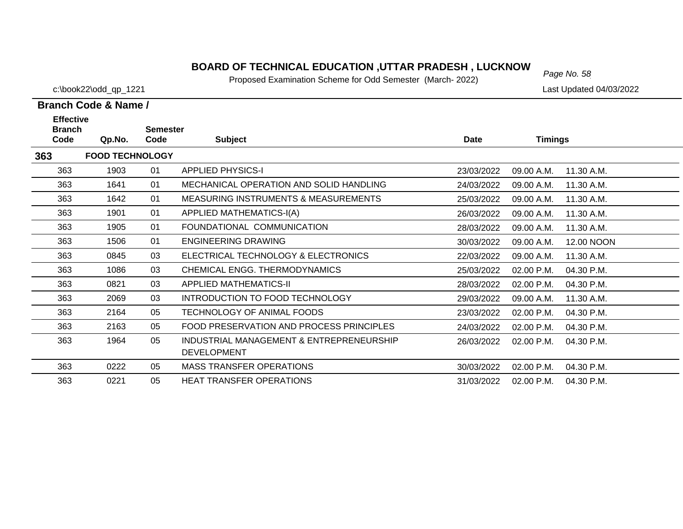# *Page No. 58* **BOARD OF TECHNICAL EDUCATION ,UTTAR PRADESH , LUCKNOW**

Proposed Examination Scheme for Odd Semester (March- 2022)

c:\book22\odd\_qp\_1221 Last Updated 04/03/2022

| <b>Effective</b>      |                        |                         |                                                                |            |                |            |
|-----------------------|------------------------|-------------------------|----------------------------------------------------------------|------------|----------------|------------|
| <b>Branch</b><br>Code | Qp.No.                 | <b>Semester</b><br>Code | <b>Subject</b>                                                 | Date       | <b>Timings</b> |            |
| 363                   | <b>FOOD TECHNOLOGY</b> |                         |                                                                |            |                |            |
| 363                   | 1903                   | 01                      | <b>APPLIED PHYSICS-I</b>                                       | 23/03/2022 | 09.00 A.M.     | 11.30 A.M. |
| 363                   | 1641                   | 01                      | MECHANICAL OPERATION AND SOLID HANDLING                        | 24/03/2022 | 09.00 A.M.     | 11.30 A.M. |
| 363                   | 1642                   | 01                      | <b>MEASURING INSTRUMENTS &amp; MEASUREMENTS</b>                | 25/03/2022 | 09.00 A.M.     | 11.30 A.M. |
| 363                   | 1901                   | 01                      | APPLIED MATHEMATICS-I(A)                                       | 26/03/2022 | 09.00 A.M.     | 11.30 A.M. |
| 363                   | 1905                   | 01                      | FOUNDATIONAL COMMUNICATION                                     | 28/03/2022 | 09.00 A.M.     | 11.30 A.M. |
| 363                   | 1506                   | 01                      | <b>ENGINEERING DRAWING</b>                                     | 30/03/2022 | 09.00 A.M.     | 12.00 NOON |
| 363                   | 0845                   | 03                      | ELECTRICAL TECHNOLOGY & ELECTRONICS                            | 22/03/2022 | 09.00 A.M.     | 11.30 A.M. |
| 363                   | 1086                   | 03                      | CHEMICAL ENGG. THERMODYNAMICS                                  | 25/03/2022 | 02.00 P.M.     | 04.30 P.M. |
| 363                   | 0821                   | 03                      | <b>APPLIED MATHEMATICS-II</b>                                  | 28/03/2022 | 02.00 P.M.     | 04.30 P.M. |
| 363                   | 2069                   | 03                      | INTRODUCTION TO FOOD TECHNOLOGY                                | 29/03/2022 | 09.00 A.M.     | 11.30 A.M. |
| 363                   | 2164                   | 05                      | TECHNOLOGY OF ANIMAL FOODS                                     | 23/03/2022 | 02.00 P.M.     | 04.30 P.M. |
| 363                   | 2163                   | 05                      | FOOD PRESERVATION AND PROCESS PRINCIPLES                       | 24/03/2022 | 02.00 P.M.     | 04.30 P.M. |
| 363                   | 1964                   | 05                      | INDUSTRIAL MANAGEMENT & ENTREPRENEURSHIP<br><b>DEVELOPMENT</b> | 26/03/2022 | 02.00 P.M.     | 04.30 P.M. |
| 363                   | 0222                   | 05                      | <b>MASS TRANSFER OPERATIONS</b>                                | 30/03/2022 | 02.00 P.M.     | 04.30 P.M. |
| 363                   | 0221                   | 05                      | <b>HEAT TRANSFER OPERATIONS</b>                                | 31/03/2022 | 02.00 P.M.     | 04.30 P.M. |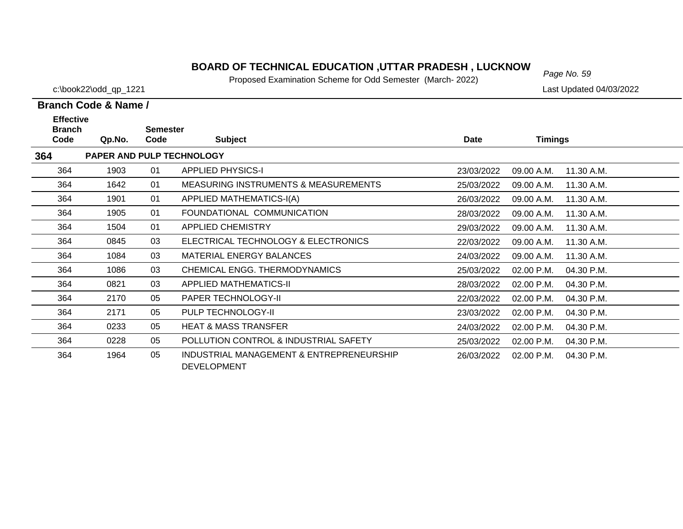# *Page No. 59* **BOARD OF TECHNICAL EDUCATION ,UTTAR PRADESH , LUCKNOW**

Proposed Examination Scheme for Odd Semester (March- 2022)

c:\book22\odd\_qp\_1221 Last Updated 04/03/2022

| <b>Effective</b><br><b>Branch</b> |        | <b>Semester</b> |                                                                |            |            |            |
|-----------------------------------|--------|-----------------|----------------------------------------------------------------|------------|------------|------------|
| Code                              | Qp.No. | Code            | <b>Subject</b>                                                 | Date       | Timings    |            |
| 364                               |        |                 | PAPER AND PULP TECHNOLOGY                                      |            |            |            |
| 364                               | 1903   | 01              | <b>APPLIED PHYSICS-I</b>                                       | 23/03/2022 | 09.00 A.M. | 11.30 A.M. |
| 364                               | 1642   | 01              | <b>MEASURING INSTRUMENTS &amp; MEASUREMENTS</b>                | 25/03/2022 | 09.00 A.M. | 11.30 A.M. |
| 364                               | 1901   | 01              | APPLIED MATHEMATICS-I(A)                                       | 26/03/2022 | 09.00 A.M. | 11.30 A.M. |
| 364                               | 1905   | 01              | FOUNDATIONAL COMMUNICATION                                     | 28/03/2022 | 09.00 A.M. | 11.30 A.M. |
| 364                               | 1504   | 01              | <b>APPLIED CHEMISTRY</b>                                       | 29/03/2022 | 09.00 A.M. | 11.30 A.M. |
| 364                               | 0845   | 03              | ELECTRICAL TECHNOLOGY & ELECTRONICS                            | 22/03/2022 | 09.00 A.M. | 11.30 A.M. |
| 364                               | 1084   | 03              | MATERIAL ENERGY BALANCES                                       | 24/03/2022 | 09.00 A.M. | 11.30 A.M. |
| 364                               | 1086   | 03              | CHEMICAL ENGG. THERMODYNAMICS                                  | 25/03/2022 | 02.00 P.M. | 04.30 P.M. |
| 364                               | 0821   | 03              | APPLIED MATHEMATICS-II                                         | 28/03/2022 | 02.00 P.M. | 04.30 P.M. |
| 364                               | 2170   | 05              | PAPER TECHNOLOGY-II                                            | 22/03/2022 | 02.00 P.M. | 04.30 P.M. |
| 364                               | 2171   | 05              | PULP TECHNOLOGY-II                                             | 23/03/2022 | 02.00 P.M. | 04.30 P.M. |
| 364                               | 0233   | 05              | <b>HEAT &amp; MASS TRANSFER</b>                                | 24/03/2022 | 02.00 P.M. | 04.30 P.M. |
| 364                               | 0228   | 05              | POLLUTION CONTROL & INDUSTRIAL SAFETY                          | 25/03/2022 | 02.00 P.M. | 04.30 P.M. |
| 364                               | 1964   | 05              | INDUSTRIAL MANAGEMENT & ENTREPRENEURSHIP<br><b>DEVELOPMENT</b> | 26/03/2022 | 02.00 P.M. | 04.30 P.M. |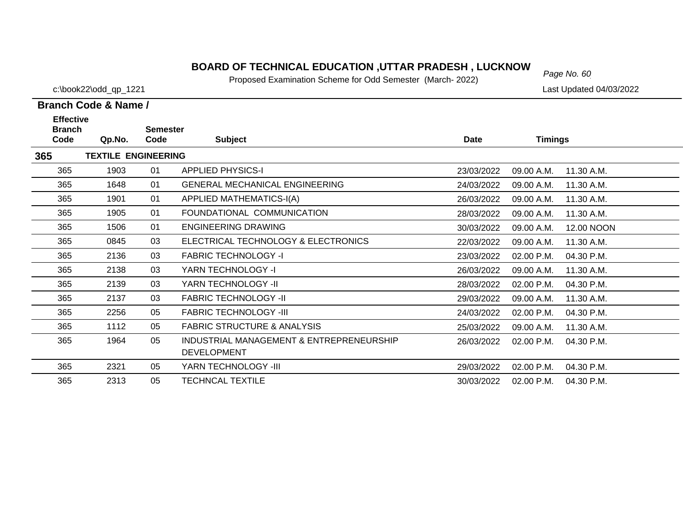# *Page No. 60* **BOARD OF TECHNICAL EDUCATION ,UTTAR PRADESH , LUCKNOW**

Proposed Examination Scheme for Odd Semester (March- 2022)

c:\book22\odd\_qp\_1221 Last Updated 04/03/2022

| <b>Effective</b>      |                            |                         |                                                                |             |                |            |
|-----------------------|----------------------------|-------------------------|----------------------------------------------------------------|-------------|----------------|------------|
| <b>Branch</b><br>Code | Qp.No.                     | <b>Semester</b><br>Code | <b>Subject</b>                                                 | <b>Date</b> | <b>Timings</b> |            |
| 365                   | <b>TEXTILE ENGINEERING</b> |                         |                                                                |             |                |            |
| 365                   | 1903                       | 01                      | <b>APPLIED PHYSICS-I</b>                                       | 23/03/2022  | 09.00 A.M.     | 11.30 A.M. |
| 365                   | 1648                       | 01                      | <b>GENERAL MECHANICAL ENGINEERING</b>                          | 24/03/2022  | 09.00 A.M.     | 11.30 A.M. |
| 365                   | 1901                       | 01                      | APPLIED MATHEMATICS-I(A)                                       | 26/03/2022  | 09.00 A.M.     | 11.30 A.M. |
| 365                   | 1905                       | 01                      | FOUNDATIONAL COMMUNICATION                                     | 28/03/2022  | 09.00 A.M.     | 11.30 A.M. |
| 365                   | 1506                       | 01                      | ENGINEERING DRAWING                                            | 30/03/2022  | 09.00 A.M.     | 12.00 NOON |
| 365                   | 0845                       | 03                      | ELECTRICAL TECHNOLOGY & ELECTRONICS                            | 22/03/2022  | 09.00 A.M.     | 11.30 A.M. |
| 365                   | 2136                       | 03                      | <b>FABRIC TECHNOLOGY -I</b>                                    | 23/03/2022  | 02.00 P.M.     | 04.30 P.M. |
| 365                   | 2138                       | 03                      | YARN TECHNOLOGY -I                                             | 26/03/2022  | 09.00 A.M.     | 11.30 A.M. |
| 365                   | 2139                       | 03                      | YARN TECHNOLOGY -II                                            | 28/03/2022  | 02.00 P.M.     | 04.30 P.M. |
| 365                   | 2137                       | 03                      | <b>FABRIC TECHNOLOGY -II</b>                                   | 29/03/2022  | 09.00 A.M.     | 11.30 A.M. |
| 365                   | 2256                       | 05                      | <b>FABRIC TECHNOLOGY -III</b>                                  | 24/03/2022  | 02.00 P.M.     | 04.30 P.M. |
| 365                   | 1112                       | 05                      | <b>FABRIC STRUCTURE &amp; ANALYSIS</b>                         | 25/03/2022  | 09.00 A.M.     | 11.30 A.M. |
| 365                   | 1964                       | 05                      | INDUSTRIAL MANAGEMENT & ENTREPRENEURSHIP<br><b>DEVELOPMENT</b> | 26/03/2022  | 02.00 P.M.     | 04.30 P.M. |
| 365                   | 2321                       | 05                      | YARN TECHNOLOGY - III                                          | 29/03/2022  | 02.00 P.M.     | 04.30 P.M. |
| 365                   | 2313                       | 05                      | <b>TECHNCAL TEXTILE</b>                                        | 30/03/2022  | 02.00 P.M.     | 04.30 P.M. |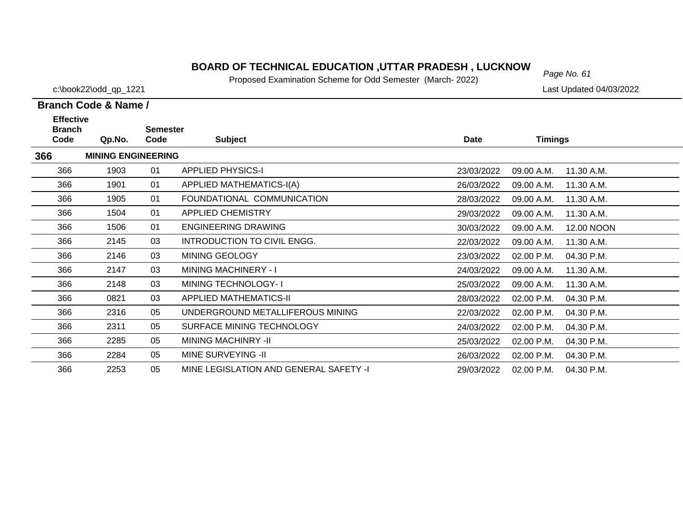# *Page No. 61* **BOARD OF TECHNICAL EDUCATION ,UTTAR PRADESH , LUCKNOW**

Proposed Examination Scheme for Odd Semester (March- 2022)

c:\book22\odd\_qp\_1221 Last Updated 04/03/2022

| <b>Effective</b>      |                           |                         |                                        |             |                |            |
|-----------------------|---------------------------|-------------------------|----------------------------------------|-------------|----------------|------------|
| <b>Branch</b><br>Code | Qp.No.                    | <b>Semester</b><br>Code | <b>Subject</b>                         | <b>Date</b> | <b>Timings</b> |            |
| 366                   | <b>MINING ENGINEERING</b> |                         |                                        |             |                |            |
| 366                   | 1903                      | 01                      | <b>APPLIED PHYSICS-I</b>               | 23/03/2022  | 09.00 A.M.     | 11.30 A.M. |
| 366                   | 1901                      | 01                      | APPLIED MATHEMATICS-I(A)               | 26/03/2022  | 09.00 A.M.     | 11.30 A.M. |
| 366                   | 1905                      | 01                      | FOUNDATIONAL COMMUNICATION             | 28/03/2022  | 09.00 A.M.     | 11.30 A.M. |
| 366                   | 1504                      | 01                      | <b>APPLIED CHEMISTRY</b>               | 29/03/2022  | 09.00 A.M.     | 11.30 A.M. |
| 366                   | 1506                      | 01                      | <b>ENGINEERING DRAWING</b>             | 30/03/2022  | 09.00 A.M.     | 12.00 NOON |
| 366                   | 2145                      | 03                      | INTRODUCTION TO CIVIL ENGG.            | 22/03/2022  | 09.00 A.M.     | 11.30 A.M. |
| 366                   | 2146                      | 03                      | MINING GEOLOGY                         | 23/03/2022  | 02.00 P.M.     | 04.30 P.M. |
| 366                   | 2147                      | 03                      | <b>MINING MACHINERY - I</b>            | 24/03/2022  | 09.00 A.M.     | 11.30 A.M. |
| 366                   | 2148                      | 03                      | <b>MINING TECHNOLOGY-1</b>             | 25/03/2022  | 09.00 A.M.     | 11.30 A.M. |
| 366                   | 0821                      | 03                      | <b>APPLIED MATHEMATICS-II</b>          | 28/03/2022  | 02.00 P.M.     | 04.30 P.M. |
| 366                   | 2316                      | 05                      | UNDERGROUND METALLIFEROUS MINING       | 22/03/2022  | 02.00 P.M.     | 04.30 P.M. |
| 366                   | 2311                      | 05                      | SURFACE MINING TECHNOLOGY              | 24/03/2022  | 02.00 P.M.     | 04.30 P.M. |
| 366                   | 2285                      | 05                      | <b>MINING MACHINRY -II</b>             | 25/03/2022  | 02.00 P.M.     | 04.30 P.M. |
| 366                   | 2284                      | 05                      | <b>MINE SURVEYING -II</b>              | 26/03/2022  | 02.00 P.M.     | 04.30 P.M. |
| 366                   | 2253                      | 05                      | MINE LEGISLATION AND GENERAL SAFETY -I | 29/03/2022  | 02.00 P.M.     | 04.30 P.M. |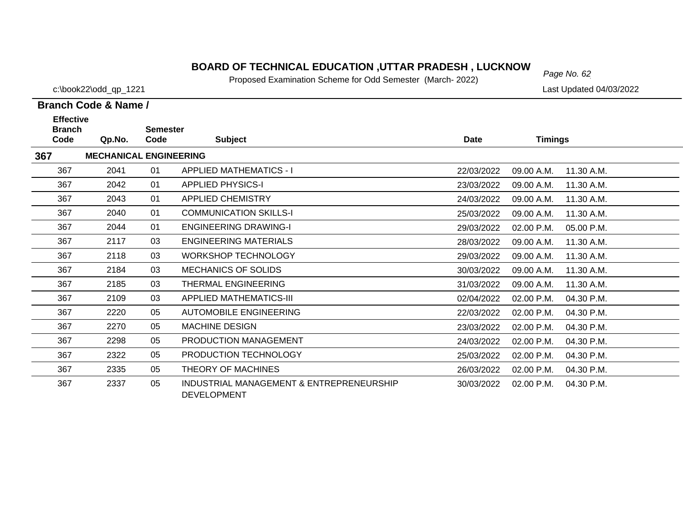# *Page No. 62* **BOARD OF TECHNICAL EDUCATION ,UTTAR PRADESH , LUCKNOW**

Proposed Examination Scheme for Odd Semester (March- 2022)

c:\book22\odd\_qp\_1221 Last Updated 04/03/2022

| <b>Effective</b>      |                               |                         |                                                                |             |                          |            |
|-----------------------|-------------------------------|-------------------------|----------------------------------------------------------------|-------------|--------------------------|------------|
| <b>Branch</b><br>Code | Qp.No.                        | <b>Semester</b><br>Code | <b>Subject</b>                                                 | <b>Date</b> | <b>Timings</b>           |            |
| 367                   | <b>MECHANICAL ENGINEERING</b> |                         |                                                                |             |                          |            |
| 367                   | 2041                          | 01                      | <b>APPLIED MATHEMATICS - I</b>                                 | 22/03/2022  | 09.00 A.M.               | 11.30 A.M. |
| 367                   | 2042                          | 01                      | <b>APPLIED PHYSICS-I</b>                                       | 23/03/2022  | 09.00 A.M.               | 11.30 A.M. |
| 367                   | 2043                          | 01                      | <b>APPLIED CHEMISTRY</b>                                       | 24/03/2022  | 09.00 A.M.               | 11.30 A.M. |
| 367                   | 2040                          | 01                      | <b>COMMUNICATION SKILLS-I</b>                                  | 25/03/2022  | 09.00 A.M.               | 11.30 A.M. |
| 367                   | 2044                          | 01                      | <b>ENGINEERING DRAWING-I</b>                                   | 29/03/2022  | 02.00 P.M.               | 05.00 P.M. |
| 367                   | 2117                          | 03                      | <b>ENGINEERING MATERIALS</b>                                   | 28/03/2022  | 09.00 A.M.               | 11.30 A.M. |
| 367                   | 2118                          | 03                      | <b>WORKSHOP TECHNOLOGY</b>                                     | 29/03/2022  | 09.00 A.M.               | 11.30 A.M. |
| 367                   | 2184                          | 03                      | <b>MECHANICS OF SOLIDS</b>                                     | 30/03/2022  | 09.00 A.M.               | 11.30 A.M. |
| 367                   | 2185                          | 03                      | <b>THERMAL ENGINEERING</b>                                     | 31/03/2022  | 09.00 A.M.               | 11.30 A.M. |
| 367                   | 2109                          | 03                      | <b>APPLIED MATHEMATICS-III</b>                                 | 02/04/2022  | 02.00 P.M.               | 04.30 P.M. |
| 367                   | 2220                          | 05                      | AUTOMOBILE ENGINEERING                                         | 22/03/2022  | 02.00 P.M.               | 04.30 P.M. |
| 367                   | 2270                          | 05                      | <b>MACHINE DESIGN</b>                                          | 23/03/2022  | 02.00 P.M.               | 04.30 P.M. |
| 367                   | 2298                          | 05                      | PRODUCTION MANAGEMENT                                          | 24/03/2022  | 02.00 P.M.               | 04.30 P.M. |
| 367                   | 2322                          | 05                      | PRODUCTION TECHNOLOGY                                          | 25/03/2022  | 02.00 P.M.               | 04.30 P.M. |
| 367                   | 2335                          | 05                      | THEORY OF MACHINES                                             | 26/03/2022  | 02.00 P.M.<br>04.30 P.M. |            |
| 367                   | 2337                          | 05                      | INDUSTRIAL MANAGEMENT & ENTREPRENEURSHIP<br><b>DEVELOPMENT</b> | 30/03/2022  | 04.30 P.M.<br>02.00 P.M. |            |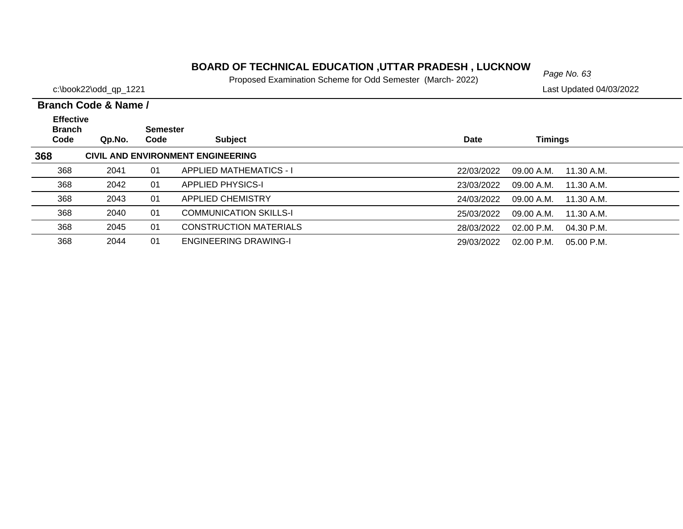#### **BOARD OF TECHNICAL EDUCATION ,UTTAR PRADESH , LUCKNOW**<br>Page No. 63

Proposed Examination Scheme for Odd Semester (March- 2022)

c:\book22\odd\_qp\_1221 Last Updated 04/03/2022

 $\overline{\phantom{0}}$  $\overline{\phantom{0}}$  $\overline{\phantom{0}}$  $\overline{\phantom{0}}$ 

|                                           | Branch Code & Name / |                         |                                   |            |                              |  |  |  |  |  |
|-------------------------------------------|----------------------|-------------------------|-----------------------------------|------------|------------------------------|--|--|--|--|--|
| <b>Effective</b><br><b>Branch</b><br>Code | Qp.No.               | <b>Semester</b><br>Code | <b>Subject</b>                    | Date       | <b>Timings</b>               |  |  |  |  |  |
| 368                                       |                      |                         | CIVIL AND ENVIRONMENT ENGINEERING |            |                              |  |  |  |  |  |
| 368                                       | 2041                 | 01                      | <b>APPLIED MATHEMATICS - I</b>    | 22/03/2022 | 09.00 A.M.<br>11.30 A.M.     |  |  |  |  |  |
| 368                                       | 2042                 | 01                      | <b>APPLIED PHYSICS-I</b>          | 23/03/2022 | 09.00 A.M.<br>11.30 A.M.     |  |  |  |  |  |
| 368                                       | 2043                 | 01                      | <b>APPLIED CHEMISTRY</b>          | 24/03/2022 | 09.00 A.M.<br>11.30 A.M.     |  |  |  |  |  |
| 368                                       | 2040                 | 01                      | <b>COMMUNICATION SKILLS-I</b>     | 25/03/2022 | 09.00 A.M.<br>11.30 A.M.     |  |  |  |  |  |
| 368                                       | 2045                 | 01                      | <b>CONSTRUCTION MATERIALS</b>     | 28/03/2022 | $02.00$ P.M.<br>$04.30$ P.M. |  |  |  |  |  |
| 368                                       | 2044                 | 01                      | <b>ENGINEERING DRAWING-I</b>      | 29/03/2022 | $02.00$ P.M.<br>$05.00$ P.M. |  |  |  |  |  |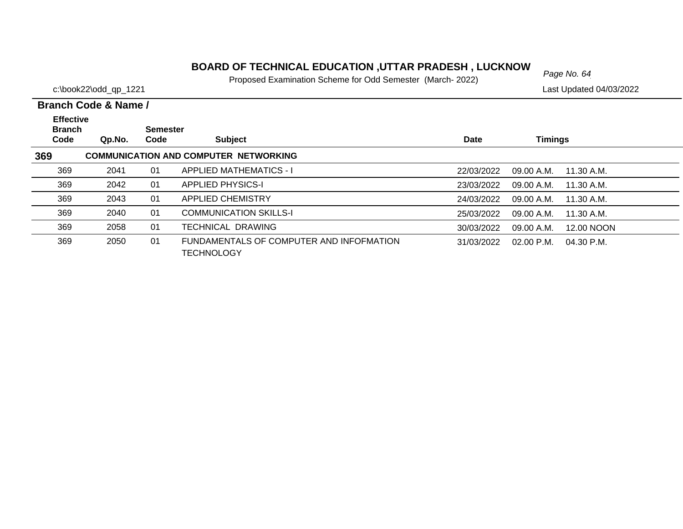# *Page No. 64* **BOARD OF TECHNICAL EDUCATION ,UTTAR PRADESH , LUCKNOW**

Proposed Examination Scheme for Odd Semester (March- 2022)

c:\book22\odd\_qp\_1221 Last Updated 04/03/2022

| <b>Effective</b><br><b>Branch</b><br>Code | Qp.No. | <b>Semester</b><br>Code | <b>Subject</b>                                                | Date       | <b>Timings</b> |              |
|-------------------------------------------|--------|-------------------------|---------------------------------------------------------------|------------|----------------|--------------|
| 369                                       |        |                         | <b>COMMUNICATION AND COMPUTER NETWORKING</b>                  |            |                |              |
| 369                                       | 2041   | 01                      | <b>APPLIED MATHEMATICS - I</b>                                | 22/03/2022 | 09.00 A.M.     | 11.30 A.M.   |
| 369                                       | 2042   | 01                      | <b>APPLIED PHYSICS-I</b>                                      | 23/03/2022 | 09.00 A.M.     | 11.30 A.M.   |
| 369                                       | 2043   | 01                      | <b>APPLIED CHEMISTRY</b>                                      | 24/03/2022 | 09.00 A.M.     | 11.30 A.M.   |
| 369                                       | 2040   | 01                      | <b>COMMUNICATION SKILLS-I</b>                                 | 25/03/2022 | 09.00 A.M.     | 11.30 A.M.   |
| 369                                       | 2058   | 01                      | <b>TECHNICAL DRAWING</b>                                      | 30/03/2022 | 09.00 A.M.     | 12.00 NOON   |
| 369                                       | 2050   | 01                      | FUNDAMENTALS OF COMPUTER AND INFOFMATION<br><b>TECHNOLOGY</b> | 31/03/2022 | 02.00 P.M.     | $04.30$ P.M. |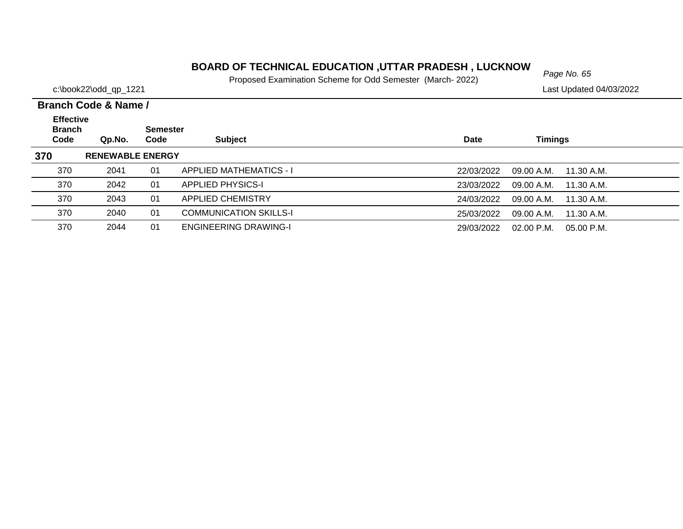# *Page No. 65* **BOARD OF TECHNICAL EDUCATION ,UTTAR PRADESH , LUCKNOW**

Proposed Examination Scheme for Odd Semester (March- 2022)

c:\book22\odd\_qp\_1221 Last Updated 04/03/2022

| <b>Effective</b><br><b>Branch</b> |                         | <b>Semester</b> |                                |             |            |            |
|-----------------------------------|-------------------------|-----------------|--------------------------------|-------------|------------|------------|
| Code                              | Qp.No.                  | Code            | <b>Subject</b>                 | <b>Date</b> | Timings    |            |
| 370                               | <b>RENEWABLE ENERGY</b> |                 |                                |             |            |            |
| 370                               | 2041                    | 01              | <b>APPLIED MATHEMATICS - I</b> | 22/03/2022  | 09.00 A.M. | 11.30 A.M. |
| 370                               | 2042                    | 01              | <b>APPLIED PHYSICS-I</b>       | 23/03/2022  | 09.00 A.M. | 11.30 A.M. |
| 370                               | 2043                    | 01              | <b>APPLIED CHEMISTRY</b>       | 24/03/2022  | 09.00 A.M. | 11.30 A.M. |
| 370                               | 2040                    | 01              | <b>COMMUNICATION SKILLS-I</b>  | 25/03/2022  | 09.00 A.M. | 11.30 A.M. |
| 370                               | 2044                    | 01              | <b>ENGINEERING DRAWING-I</b>   | 29/03/2022  | 02.00 P.M. | 05.00 P.M. |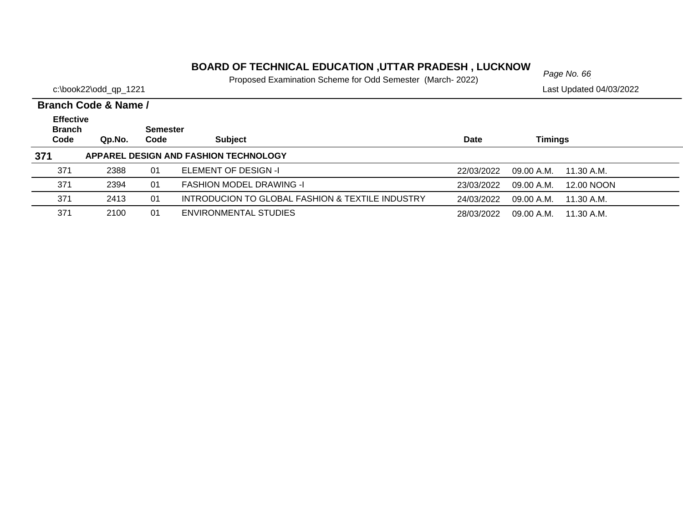# *Page No. 66* **BOARD OF TECHNICAL EDUCATION ,UTTAR PRADESH , LUCKNOW**

Proposed Examination Scheme for Odd Semester (March- 2022)

|                                           | Branch Code & Name / |                         |                                                  |             |                           |  |
|-------------------------------------------|----------------------|-------------------------|--------------------------------------------------|-------------|---------------------------|--|
| <b>Effective</b><br><b>Branch</b><br>Code | Qp.No.               | <b>Semester</b><br>Code | <b>Subject</b>                                   | <b>Date</b> | Timings                   |  |
| 371                                       |                      |                         | APPAREL DESIGN AND FASHION TECHNOLOGY            |             |                           |  |
| 371                                       | 2388                 | 01                      | ELEMENT OF DESIGN -I                             | 22/03/2022  | 09.00 A.M.<br>11.30 A.M.  |  |
| 371                                       | 2394                 | 01                      | <b>FASHION MODEL DRAWING -I</b>                  | 23/03/2022  | 12.00 NOON<br>09.00 A.M.  |  |
| 371                                       | 2413                 | 01                      | INTRODUCION TO GLOBAL FASHION & TEXTILE INDUSTRY | 24/03/2022  | 09.00 A.M.<br>11.30 A.M.  |  |
| 371                                       | 2100                 | 01                      | ENVIRONMENTAL STUDIES                            | 28/03/2022  | $09.00$ A.M. $11.30$ A.M. |  |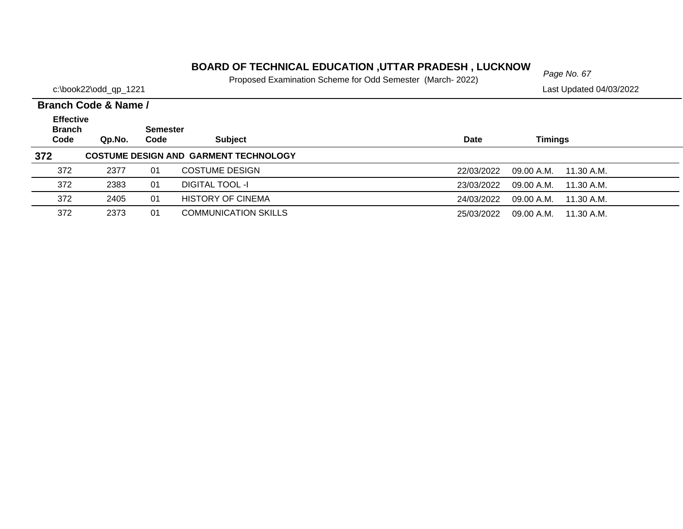# *Page No. 67* **BOARD OF TECHNICAL EDUCATION ,UTTAR PRADESH , LUCKNOW**

Proposed Examination Scheme for Odd Semester (March- 2022)

|                                           | Branch Code & Name / |                         |                                              |            |                          |  |
|-------------------------------------------|----------------------|-------------------------|----------------------------------------------|------------|--------------------------|--|
| <b>Effective</b><br><b>Branch</b><br>Code | Qp.No.               | <b>Semester</b><br>Code | <b>Subject</b>                               | Date       | <b>Timings</b>           |  |
| 372                                       |                      |                         | <b>COSTUME DESIGN AND GARMENT TECHNOLOGY</b> |            |                          |  |
| 372                                       | 2377                 | 01                      | <b>COSTUME DESIGN</b>                        | 22/03/2022 | 09.00 A.M.<br>11.30 A.M. |  |
| 372                                       | 2383                 | 01                      | <b>DIGITAL TOOL -I</b>                       | 23/03/2022 | 09.00 A.M.<br>11.30 A.M. |  |
| 372                                       | 2405                 | 01                      | <b>HISTORY OF CINEMA</b>                     | 24/03/2022 | 09.00 A.M.<br>11.30 A.M. |  |
| 372                                       | 2373                 | 01                      | <b>COMMUNICATION SKILLS</b>                  | 25/03/2022 | 09.00 A.M.<br>11.30 A.M. |  |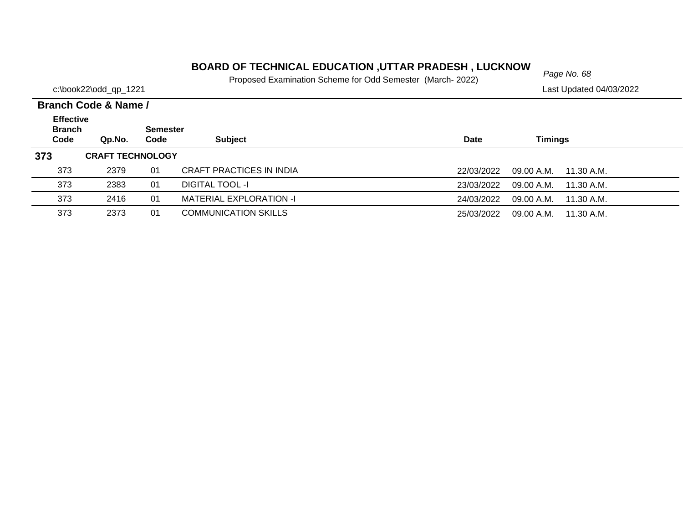# *Page No. 68* **BOARD OF TECHNICAL EDUCATION ,UTTAR PRADESH , LUCKNOW**

Proposed Examination Scheme for Odd Semester (March- 2022)

|                                           | Branch Code & Name /    |                         |                             |            |                          |  |  |  |  |
|-------------------------------------------|-------------------------|-------------------------|-----------------------------|------------|--------------------------|--|--|--|--|
| <b>Effective</b><br><b>Branch</b><br>Code | Qp.No.                  | <b>Semester</b><br>Code | <b>Subject</b>              | Date       | Timings                  |  |  |  |  |
| 373                                       | <b>CRAFT TECHNOLOGY</b> |                         |                             |            |                          |  |  |  |  |
| 373                                       | 2379                    | 01                      | CRAFT PRACTICES IN INDIA    | 22/03/2022 | 09.00 A.M.<br>11.30 A.M. |  |  |  |  |
| 373                                       | 2383                    | 01                      | <b>DIGITAL TOOL -I</b>      | 23/03/2022 | 09.00 A.M.<br>11.30 A.M. |  |  |  |  |
| 373                                       | 2416                    | 01                      | MATERIAL EXPLORATION -I     | 24/03/2022 | 09.00 A.M.<br>11.30 A.M. |  |  |  |  |
| 373                                       | 2373                    | 01                      | <b>COMMUNICATION SKILLS</b> | 25/03/2022 | 11.30 A.M.<br>09.00 A.M. |  |  |  |  |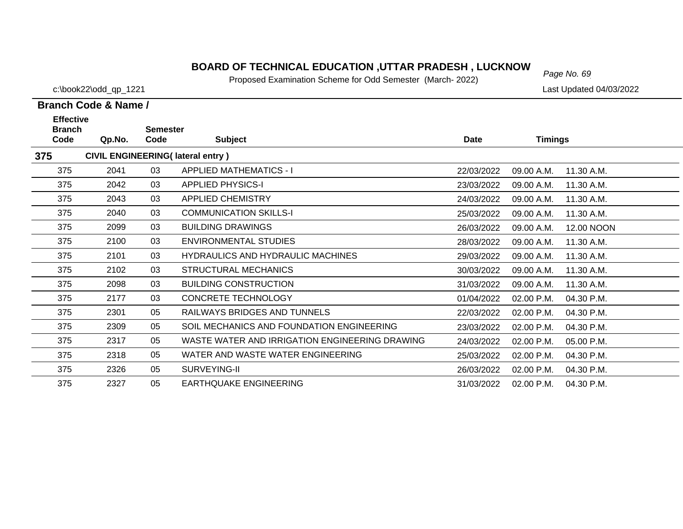# *Page No. 69* **BOARD OF TECHNICAL EDUCATION ,UTTAR PRADESH , LUCKNOW**

Proposed Examination Scheme for Odd Semester (March- 2022)

c:\book22\odd\_qp\_1221 Last Updated 04/03/2022

| <b>Effective</b><br><b>Branch</b> |        | <b>Semester</b> |                                                |            |                |            |
|-----------------------------------|--------|-----------------|------------------------------------------------|------------|----------------|------------|
| Code                              | Qp.No. | Code            | <b>Subject</b>                                 | Date       | <b>Timings</b> |            |
| 375                               |        |                 | <b>CIVIL ENGINEERING(Iateral entry)</b>        |            |                |            |
| 375                               | 2041   | 03              | <b>APPLIED MATHEMATICS - I</b>                 | 22/03/2022 | 09.00 A.M.     | 11.30 A.M. |
| 375                               | 2042   | 03              | <b>APPLIED PHYSICS-I</b>                       | 23/03/2022 | 09.00 A.M.     | 11.30 A.M. |
| 375                               | 2043   | 03              | <b>APPLIED CHEMISTRY</b>                       | 24/03/2022 | 09.00 A.M.     | 11.30 A.M. |
| 375                               | 2040   | 03              | <b>COMMUNICATION SKILLS-I</b>                  | 25/03/2022 | 09.00 A.M.     | 11.30 A.M. |
| 375                               | 2099   | 03              | <b>BUILDING DRAWINGS</b>                       | 26/03/2022 | 09.00 A.M.     | 12.00 NOON |
| 375                               | 2100   | 03              | ENVIRONMENTAL STUDIES                          | 28/03/2022 | 09.00 A.M.     | 11.30 A.M. |
| 375                               | 2101   | 03              | <b>HYDRAULICS AND HYDRAULIC MACHINES</b>       | 29/03/2022 | 09.00 A.M.     | 11.30 A.M. |
| 375                               | 2102   | 03              | <b>STRUCTURAL MECHANICS</b>                    | 30/03/2022 | 09.00 A.M.     | 11.30 A.M. |
| 375                               | 2098   | 03              | <b>BUILDING CONSTRUCTION</b>                   | 31/03/2022 | 09.00 A.M.     | 11.30 A.M. |
| 375                               | 2177   | 03              | CONCRETE TECHNOLOGY                            | 01/04/2022 | 02.00 P.M.     | 04.30 P.M. |
| 375                               | 2301   | 05              | RAILWAYS BRIDGES AND TUNNELS                   | 22/03/2022 | 02.00 P.M.     | 04.30 P.M. |
| 375                               | 2309   | 05              | SOIL MECHANICS AND FOUNDATION ENGINEERING      | 23/03/2022 | 02.00 P.M.     | 04.30 P.M. |
| 375                               | 2317   | 05              | WASTE WATER AND IRRIGATION ENGINEERING DRAWING | 24/03/2022 | 02.00 P.M.     | 05.00 P.M. |
| 375                               | 2318   | 05              | WATER AND WASTE WATER ENGINEERING              | 25/03/2022 | 02.00 P.M.     | 04.30 P.M. |
| 375                               | 2326   | 05              | SURVEYING-II                                   | 26/03/2022 | 02.00 P.M.     | 04.30 P.M. |
| 375                               | 2327   | 05              | <b>EARTHQUAKE ENGINEERING</b>                  | 31/03/2022 | 02.00 P.M.     | 04.30 P.M. |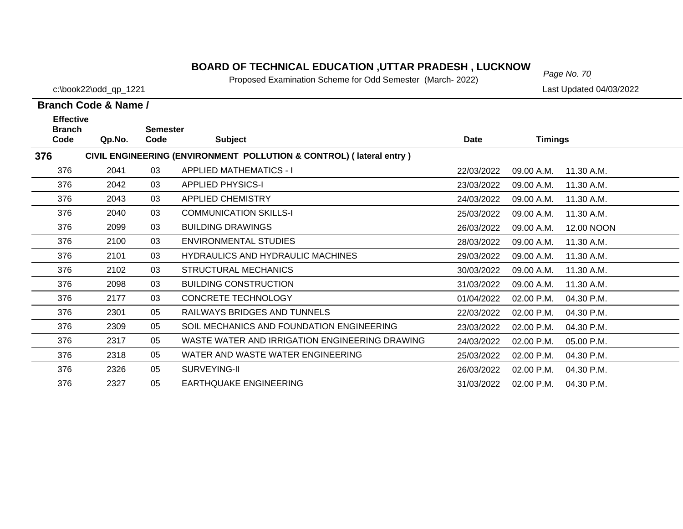# *Page No. 70* **BOARD OF TECHNICAL EDUCATION ,UTTAR PRADESH , LUCKNOW**

Proposed Examination Scheme for Odd Semester (March- 2022)

c:\book22\odd\_qp\_1221 Last Updated 04/03/2022

| <b>Effective</b><br><b>Branch</b> |        | <b>Semester</b> |                                                                     |            |                |            |
|-----------------------------------|--------|-----------------|---------------------------------------------------------------------|------------|----------------|------------|
| Code                              | Qp.No. | Code            | <b>Subject</b>                                                      | Date       | <b>Timings</b> |            |
| 376                               |        |                 | CIVIL ENGINEERING (ENVIRONMENT POLLUTION & CONTROL) (lateral entry) |            |                |            |
| 376                               | 2041   | 03              | <b>APPLIED MATHEMATICS - I</b>                                      | 22/03/2022 | 09.00 A.M.     | 11.30 A.M. |
| 376                               | 2042   | 03              | <b>APPLIED PHYSICS-I</b>                                            | 23/03/2022 | 09.00 A.M.     | 11.30 A.M. |
| 376                               | 2043   | 03              | <b>APPLIED CHEMISTRY</b>                                            | 24/03/2022 | 09.00 A.M.     | 11.30 A.M. |
| 376                               | 2040   | 03              | <b>COMMUNICATION SKILLS-I</b>                                       | 25/03/2022 | 09.00 A.M.     | 11.30 A.M. |
| 376                               | 2099   | 03              | <b>BUILDING DRAWINGS</b>                                            | 26/03/2022 | 09.00 A.M.     | 12.00 NOON |
| 376                               | 2100   | 03              | <b>ENVIRONMENTAL STUDIES</b>                                        | 28/03/2022 | 09.00 A.M.     | 11.30 A.M. |
| 376                               | 2101   | 03              | <b>HYDRAULICS AND HYDRAULIC MACHINES</b>                            | 29/03/2022 | 09.00 A.M.     | 11.30 A.M. |
| 376                               | 2102   | 03              | <b>STRUCTURAL MECHANICS</b>                                         | 30/03/2022 | 09.00 A.M.     | 11.30 A.M. |
| 376                               | 2098   | 03              | <b>BUILDING CONSTRUCTION</b>                                        | 31/03/2022 | 09.00 A.M.     | 11.30 A.M. |
| 376                               | 2177   | 03              | <b>CONCRETE TECHNOLOGY</b>                                          | 01/04/2022 | 02.00 P.M.     | 04.30 P.M. |
| 376                               | 2301   | 05              | <b>RAILWAYS BRIDGES AND TUNNELS</b>                                 | 22/03/2022 | 02.00 P.M.     | 04.30 P.M. |
| 376                               | 2309   | 05              | SOIL MECHANICS AND FOUNDATION ENGINEERING                           | 23/03/2022 | 02.00 P.M.     | 04.30 P.M. |
| 376                               | 2317   | 05              | WASTE WATER AND IRRIGATION ENGINEERING DRAWING                      | 24/03/2022 | 02.00 P.M.     | 05.00 P.M. |
| 376                               | 2318   | 05              | WATER AND WASTE WATER ENGINEERING                                   | 25/03/2022 | 02.00 P.M.     | 04.30 P.M. |
| 376                               | 2326   | 05              | SURVEYING-II                                                        | 26/03/2022 | 02.00 P.M.     | 04.30 P.M. |
| 376                               | 2327   | 05              | <b>EARTHQUAKE ENGINEERING</b>                                       | 31/03/2022 | 02.00 P.M.     | 04.30 P.M. |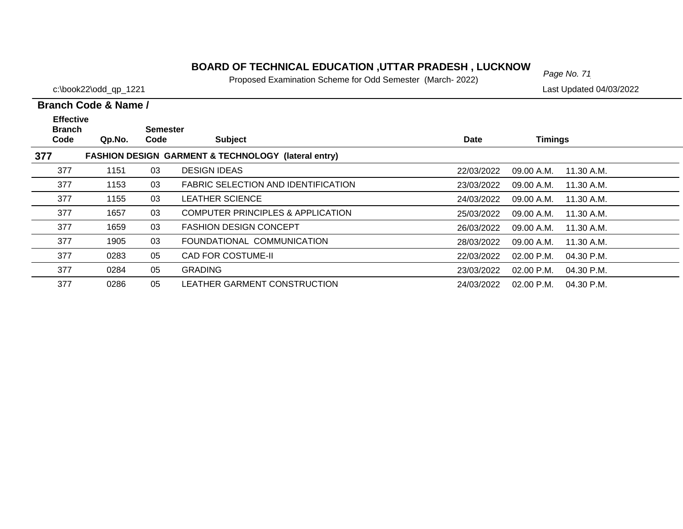# *Page No. 71* **BOARD OF TECHNICAL EDUCATION ,UTTAR PRADESH , LUCKNOW**

Proposed Examination Scheme for Odd Semester (March- 2022)

c:\book22\odd\_qp\_1221 Last Updated 04/03/2022

| <b>Effective</b><br><b>Branch</b> |                                                     | <b>Semester</b> |                                              |             |                              |  |  |  |  |  |
|-----------------------------------|-----------------------------------------------------|-----------------|----------------------------------------------|-------------|------------------------------|--|--|--|--|--|
| Code                              | Qp.No.                                              | Code            | <b>Subject</b>                               | <b>Date</b> | <b>Timings</b>               |  |  |  |  |  |
| 377                               | FASHION DESIGN GARMENT & TECHNOLOGY (lateral entry) |                 |                                              |             |                              |  |  |  |  |  |
| 377                               | 1151                                                | 03              | <b>DESIGN IDEAS</b>                          | 22/03/2022  | 09.00 A.M.<br>11.30 A.M.     |  |  |  |  |  |
| 377                               | 1153                                                | 03              | <b>FABRIC SELECTION AND IDENTIFICATION</b>   | 23/03/2022  | 09.00 A.M.<br>11.30 A.M.     |  |  |  |  |  |
| 377                               | 1155                                                | 03              | <b>LEATHER SCIENCE</b>                       | 24/03/2022  | 09.00 A.M.<br>11.30 A.M.     |  |  |  |  |  |
| 377                               | 1657                                                | 03              | <b>COMPUTER PRINCIPLES &amp; APPLICATION</b> | 25/03/2022  | 09.00 A.M.<br>11.30 A.M.     |  |  |  |  |  |
| 377                               | 1659                                                | 03              | <b>FASHION DESIGN CONCEPT</b>                | 26/03/2022  | 09.00 A.M.<br>11.30 A.M.     |  |  |  |  |  |
| 377                               | 1905                                                | 03              | FOUNDATIONAL COMMUNICATION                   | 28/03/2022  | 11.30 A.M.<br>09.00 A.M.     |  |  |  |  |  |
| 377                               | 0283                                                | 05              | <b>CAD FOR COSTUME-II</b>                    | 22/03/2022  | $02.00$ P.M.<br>04.30 P.M.   |  |  |  |  |  |
| 377                               | 0284                                                | 05              | <b>GRADING</b>                               | 23/03/2022  | $02.00$ P.M.<br>04.30 P.M.   |  |  |  |  |  |
| 377                               | 0286                                                | 05              | LEATHER GARMENT CONSTRUCTION                 | 24/03/2022  | $02.00$ P.M.<br>$04.30$ P.M. |  |  |  |  |  |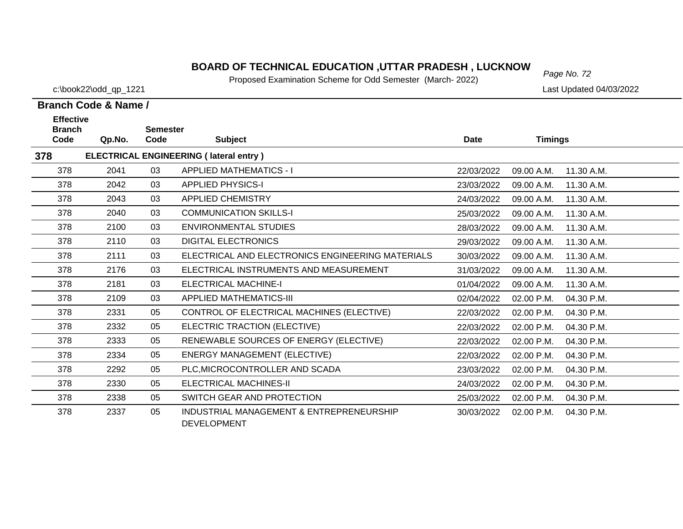# *Page No. 72* **BOARD OF TECHNICAL EDUCATION ,UTTAR PRADESH , LUCKNOW**

Proposed Examination Scheme for Odd Semester (March- 2022)

 $\overline{\phantom{0}}$ 

#### c:\book22\odd\_qp\_1221 Last Updated 04/03/2022

| Branch Code & Name / |        |                 |                                                  |             |                |            |  |
|----------------------|--------|-----------------|--------------------------------------------------|-------------|----------------|------------|--|
| <b>Effective</b>     |        |                 |                                                  |             |                |            |  |
| <b>Branch</b>        |        | <b>Semester</b> |                                                  |             |                |            |  |
| Code                 | Qp.No. | Code            | <b>Subject</b>                                   | <b>Date</b> | <b>Timings</b> |            |  |
| 378                  |        |                 | <b>ELECTRICAL ENGINEERING (Iateral entry)</b>    |             |                |            |  |
| 378                  | 2041   | 03              | <b>APPLIED MATHEMATICS - I</b>                   | 22/03/2022  | 09.00 A.M.     | 11.30 A.M. |  |
| 378                  | 2042   | 03              | <b>APPLIED PHYSICS-I</b>                         | 23/03/2022  | 09.00 A.M.     | 11.30 A.M. |  |
| 378                  | 2043   | 03              | <b>APPLIED CHEMISTRY</b>                         | 24/03/2022  | 09.00 A.M.     | 11.30 A.M. |  |
| 378                  | 2040   | 03              | <b>COMMUNICATION SKILLS-I</b>                    | 25/03/2022  | 09.00 A.M.     | 11.30 A.M. |  |
| 378                  | 2100   | 03              | <b>ENVIRONMENTAL STUDIES</b>                     | 28/03/2022  | 09.00 A.M.     | 11.30 A.M. |  |
| 378                  | 2110   | 03              | <b>DIGITAL ELECTRONICS</b>                       | 29/03/2022  | 09.00 A.M.     | 11.30 A.M. |  |
| 378                  | 2111   | 03              | ELECTRICAL AND ELECTRONICS ENGINEERING MATERIALS | 30/03/2022  | 09.00 A.M.     | 11.30 A.M. |  |
| 378                  | 2176   | 03              | ELECTRICAL INSTRUMENTS AND MEASUREMENT           | 31/03/2022  | 09.00 A.M.     | 11.30 A.M. |  |
| 378                  | 2181   | 03              | <b>ELECTRICAL MACHINE-I</b>                      | 01/04/2022  | 09.00 A.M.     | 11.30 A.M. |  |
| 378                  | 2109   | 03              | <b>APPLIED MATHEMATICS-III</b>                   | 02/04/2022  | 02.00 P.M.     | 04.30 P.M. |  |
| 378                  | 2331   | 05              | CONTROL OF ELECTRICAL MACHINES (ELECTIVE)        | 22/03/2022  | 02.00 P.M.     | 04.30 P.M. |  |
| 378                  | 2332   | 05              | ELECTRIC TRACTION (ELECTIVE)                     | 22/03/2022  | 02.00 P.M.     | 04.30 P.M. |  |
| 378                  | 2333   | 05              | RENEWABLE SOURCES OF ENERGY (ELECTIVE)           | 22/03/2022  | 02.00 P.M.     | 04.30 P.M. |  |
| 378                  | 2334   | 05              | <b>ENERGY MANAGEMENT (ELECTIVE)</b>              | 22/03/2022  | 02.00 P.M.     | 04.30 P.M. |  |
| 378                  | 2292   | 05              | PLC, MICROCONTROLLER AND SCADA                   | 23/03/2022  | 02.00 P.M.     | 04.30 P.M. |  |
| 378                  | 2330   | 05              | <b>ELECTRICAL MACHINES-II</b>                    | 24/03/2022  | 02.00 P.M.     | 04.30 P.M. |  |
| 378                  | 2338   | 05              | SWITCH GEAR AND PROTECTION                       | 25/03/2022  | 02.00 P.M.     | 04.30 P.M. |  |
| 378                  | 2337   | 05              | INDUSTRIAL MANAGEMENT & ENTREPRENEURSHIP         | 30/03/2022  | 02.00 P.M.     | 04.30 P.M. |  |

DEVELOPMENT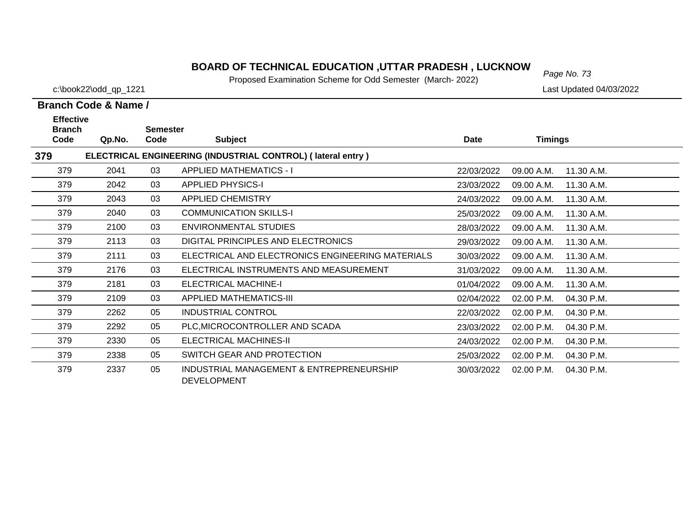# *Page No. 73* **BOARD OF TECHNICAL EDUCATION ,UTTAR PRADESH , LUCKNOW**

Proposed Examination Scheme for Odd Semester (March- 2022)

c:\book22\odd\_qp\_1221 Last Updated 04/03/2022

| <b>Effective</b><br><b>Branch</b> |        |                         |                                                                |             |                |            |
|-----------------------------------|--------|-------------------------|----------------------------------------------------------------|-------------|----------------|------------|
| Code                              | Qp.No. | <b>Semester</b><br>Code | <b>Subject</b>                                                 | <b>Date</b> | <b>Timings</b> |            |
| 379                               |        |                         | ELECTRICAL ENGINEERING (INDUSTRIAL CONTROL) (lateral entry)    |             |                |            |
| 379                               | 2041   | 03                      | <b>APPLIED MATHEMATICS - I</b>                                 | 22/03/2022  | 09.00 A.M.     | 11.30 A.M. |
| 379                               | 2042   | 03                      | <b>APPLIED PHYSICS-I</b>                                       | 23/03/2022  | 09.00 A.M.     | 11.30 A.M. |
| 379                               | 2043   | 03                      | APPLIED CHEMISTRY                                              | 24/03/2022  | 09.00 A.M.     | 11.30 A.M. |
| 379                               | 2040   | 03                      | <b>COMMUNICATION SKILLS-I</b>                                  | 25/03/2022  | 09.00 A.M.     | 11.30 A.M. |
| 379                               | 2100   | 03                      | <b>ENVIRONMENTAL STUDIES</b>                                   | 28/03/2022  | 09.00 A.M.     | 11.30 A.M. |
| 379                               | 2113   | 03                      | DIGITAL PRINCIPLES AND ELECTRONICS                             | 29/03/2022  | 09.00 A.M.     | 11.30 A.M. |
| 379                               | 2111   | 03                      | ELECTRICAL AND ELECTRONICS ENGINEERING MATERIALS               | 30/03/2022  | 09.00 A.M.     | 11.30 A.M. |
| 379                               | 2176   | 03                      | ELECTRICAL INSTRUMENTS AND MEASUREMENT                         | 31/03/2022  | 09.00 A.M.     | 11.30 A.M. |
| 379                               | 2181   | 03                      | <b>ELECTRICAL MACHINE-I</b>                                    | 01/04/2022  | 09.00 A.M.     | 11.30 A.M. |
| 379                               | 2109   | 03                      | <b>APPLIED MATHEMATICS-III</b>                                 | 02/04/2022  | 02.00 P.M.     | 04.30 P.M. |
| 379                               | 2262   | 05                      | <b>INDUSTRIAL CONTROL</b>                                      | 22/03/2022  | 02.00 P.M.     | 04.30 P.M. |
| 379                               | 2292   | 05                      | PLC, MICROCONTROLLER AND SCADA                                 | 23/03/2022  | 02.00 P.M.     | 04.30 P.M. |
| 379                               | 2330   | 05                      | ELECTRICAL MACHINES-II                                         | 24/03/2022  | 02.00 P.M.     | 04.30 P.M. |
| 379                               | 2338   | 05                      | SWITCH GEAR AND PROTECTION                                     | 25/03/2022  | 02.00 P.M.     | 04.30 P.M. |
| 379                               | 2337   | 05                      | INDUSTRIAL MANAGEMENT & ENTREPRENEURSHIP<br><b>DEVELOPMENT</b> | 30/03/2022  | 02.00 P.M.     | 04.30 P.M. |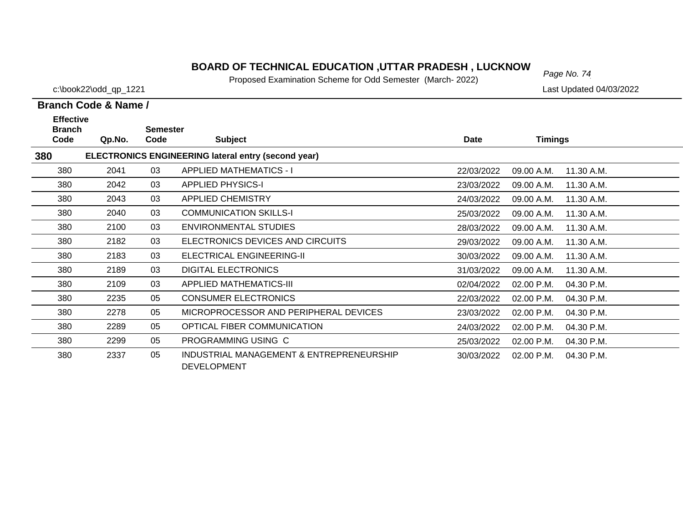# *Page No. 74* **BOARD OF TECHNICAL EDUCATION ,UTTAR PRADESH , LUCKNOW**

Proposed Examination Scheme for Odd Semester (March- 2022)

c:\book22\odd\_qp\_1221 Last Updated 04/03/2022

| <b>Effective</b><br><b>Branch</b> |        | <b>Semester</b> |                                                                |             |                |            |
|-----------------------------------|--------|-----------------|----------------------------------------------------------------|-------------|----------------|------------|
| Code                              | Qp.No. | Code            | <b>Subject</b>                                                 | <b>Date</b> | <b>Timings</b> |            |
| 380                               |        |                 | <b>ELECTRONICS ENGINEERING lateral entry (second year)</b>     |             |                |            |
| 380                               | 2041   | 03              | <b>APPLIED MATHEMATICS - I</b>                                 | 22/03/2022  | 09.00 A.M.     | 11.30 A.M. |
| 380                               | 2042   | 03              | <b>APPLIED PHYSICS-I</b>                                       | 23/03/2022  | 09.00 A.M.     | 11.30 A.M. |
| 380                               | 2043   | 03              | <b>APPLIED CHEMISTRY</b>                                       | 24/03/2022  | 09.00 A.M.     | 11.30 A.M. |
| 380                               | 2040   | 03              | <b>COMMUNICATION SKILLS-I</b>                                  | 25/03/2022  | 09.00 A.M.     | 11.30 A.M. |
| 380                               | 2100   | 03              | <b>ENVIRONMENTAL STUDIES</b>                                   | 28/03/2022  | 09.00 A.M.     | 11.30 A.M. |
| 380                               | 2182   | 03              | ELECTRONICS DEVICES AND CIRCUITS                               | 29/03/2022  | 09.00 A.M.     | 11.30 A.M. |
| 380                               | 2183   | 03              | ELECTRICAL ENGINEERING-II                                      | 30/03/2022  | 09.00 A.M.     | 11.30 A.M. |
| 380                               | 2189   | 03              | <b>DIGITAL ELECTRONICS</b>                                     | 31/03/2022  | 09.00 A.M.     | 11.30 A.M. |
| 380                               | 2109   | 03              | <b>APPLIED MATHEMATICS-III</b>                                 | 02/04/2022  | 02.00 P.M.     | 04.30 P.M. |
| 380                               | 2235   | 05              | <b>CONSUMER ELECTRONICS</b>                                    | 22/03/2022  | 02.00 P.M.     | 04.30 P.M. |
| 380                               | 2278   | 05              | MICROPROCESSOR AND PERIPHERAL DEVICES                          | 23/03/2022  | 02.00 P.M.     | 04.30 P.M. |
| 380                               | 2289   | 05              | OPTICAL FIBER COMMUNICATION                                    | 24/03/2022  | 02.00 P.M.     | 04.30 P.M. |
| 380                               | 2299   | 05              | PROGRAMMING USING C                                            | 25/03/2022  | 02.00 P.M.     | 04.30 P.M. |
| 380                               | 2337   | 05              | INDUSTRIAL MANAGEMENT & ENTREPRENEURSHIP<br><b>DEVELOPMENT</b> | 30/03/2022  | 02.00 P.M.     | 04.30 P.M. |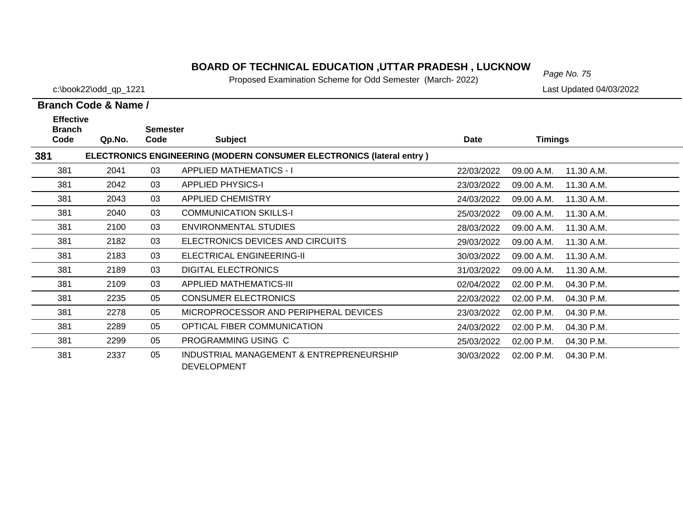# *Page No. 75* **BOARD OF TECHNICAL EDUCATION ,UTTAR PRADESH , LUCKNOW**

Proposed Examination Scheme for Odd Semester (March- 2022)

c:\book22\odd\_qp\_1221 Last Updated 04/03/2022

| <b>Effective</b>      |        |                         |                                                                             |            |                |            |
|-----------------------|--------|-------------------------|-----------------------------------------------------------------------------|------------|----------------|------------|
| <b>Branch</b><br>Code | Qp.No. | <b>Semester</b><br>Code | <b>Subject</b>                                                              | Date       | <b>Timings</b> |            |
| 381                   |        |                         | <b>ELECTRONICS ENGINEERING (MODERN CONSUMER ELECTRONICS (lateral entry)</b> |            |                |            |
| 381                   | 2041   | 03                      | <b>APPLIED MATHEMATICS - I</b>                                              | 22/03/2022 | 09.00 A.M.     | 11.30 A.M. |
| 381                   | 2042   | 03                      | <b>APPLIED PHYSICS-I</b>                                                    | 23/03/2022 | 09.00 A.M.     | 11.30 A.M. |
| 381                   | 2043   | 03                      | <b>APPLIED CHEMISTRY</b>                                                    | 24/03/2022 | 09.00 A.M.     | 11.30 A.M. |
| 381                   | 2040   | 03                      | <b>COMMUNICATION SKILLS-I</b>                                               | 25/03/2022 | 09.00 A.M.     | 11.30 A.M. |
| 381                   | 2100   | 03                      | <b>ENVIRONMENTAL STUDIES</b>                                                | 28/03/2022 | 09.00 A.M.     | 11.30 A.M. |
| 381                   | 2182   | 03                      | ELECTRONICS DEVICES AND CIRCUITS                                            | 29/03/2022 | 09.00 A.M.     | 11.30 A.M. |
| 381                   | 2183   | 03                      | ELECTRICAL ENGINEERING-II                                                   | 30/03/2022 | 09.00 A.M.     | 11.30 A.M. |
| 381                   | 2189   | 03                      | <b>DIGITAL ELECTRONICS</b>                                                  | 31/03/2022 | 09.00 A.M.     | 11.30 A.M. |
| 381                   | 2109   | 03                      | <b>APPLIED MATHEMATICS-III</b>                                              | 02/04/2022 | 02.00 P.M.     | 04.30 P.M. |
| 381                   | 2235   | 05                      | <b>CONSUMER ELECTRONICS</b>                                                 | 22/03/2022 | 02.00 P.M.     | 04.30 P.M. |
| 381                   | 2278   | 05                      | MICROPROCESSOR AND PERIPHERAL DEVICES                                       | 23/03/2022 | 02.00 P.M.     | 04.30 P.M. |
| 381                   | 2289   | 05                      | OPTICAL FIBER COMMUNICATION                                                 | 24/03/2022 | 02.00 P.M.     | 04.30 P.M. |
| 381                   | 2299   | 05                      | PROGRAMMING USING C                                                         | 25/03/2022 | 02.00 P.M.     | 04.30 P.M. |
| 381                   | 2337   | 05                      | INDUSTRIAL MANAGEMENT & ENTREPRENEURSHIP<br><b>DEVELOPMENT</b>              | 30/03/2022 | 02.00 P.M.     | 04.30 P.M. |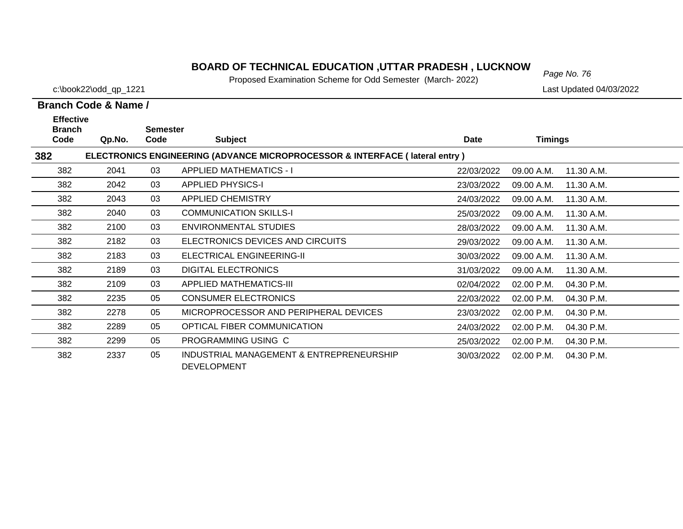# *Page No. 76* **BOARD OF TECHNICAL EDUCATION ,UTTAR PRADESH , LUCKNOW**

Proposed Examination Scheme for Odd Semester (March- 2022)

c:\book22\odd\_qp\_1221 Last Updated 04/03/2022

| <b>Effective</b>      |        |                         |                                                                                        |            |                |            |
|-----------------------|--------|-------------------------|----------------------------------------------------------------------------------------|------------|----------------|------------|
| <b>Branch</b><br>Code | Qp.No. | <b>Semester</b><br>Code | <b>Subject</b>                                                                         | Date       | <b>Timings</b> |            |
| 382                   |        |                         | <b>ELECTRONICS ENGINEERING (ADVANCE MICROPROCESSOR &amp; INTERFACE (lateral entry)</b> |            |                |            |
| 382                   | 2041   | 03                      | <b>APPLIED MATHEMATICS - I</b>                                                         | 22/03/2022 | 09.00 A.M.     | 11.30 A.M. |
| 382                   | 2042   | 03                      | <b>APPLIED PHYSICS-I</b>                                                               | 23/03/2022 | 09.00 A.M.     | 11.30 A.M. |
| 382                   | 2043   | 03                      | <b>APPLIED CHEMISTRY</b>                                                               | 24/03/2022 | 09.00 A.M.     | 11.30 A.M. |
| 382                   | 2040   | 03                      | <b>COMMUNICATION SKILLS-I</b>                                                          | 25/03/2022 | 09.00 A.M.     | 11.30 A.M. |
| 382                   | 2100   | 03                      | <b>ENVIRONMENTAL STUDIES</b>                                                           | 28/03/2022 | 09.00 A.M.     | 11.30 A.M. |
| 382                   | 2182   | 03                      | ELECTRONICS DEVICES AND CIRCUITS                                                       | 29/03/2022 | 09.00 A.M.     | 11.30 A.M. |
| 382                   | 2183   | 03                      | ELECTRICAL ENGINEERING-II                                                              | 30/03/2022 | 09.00 A.M.     | 11.30 A.M. |
| 382                   | 2189   | 03                      | <b>DIGITAL ELECTRONICS</b>                                                             | 31/03/2022 | 09.00 A.M.     | 11.30 A.M. |
| 382                   | 2109   | 03                      | <b>APPLIED MATHEMATICS-III</b>                                                         | 02/04/2022 | 02.00 P.M.     | 04.30 P.M. |
| 382                   | 2235   | 05                      | <b>CONSUMER ELECTRONICS</b>                                                            | 22/03/2022 | 02.00 P.M.     | 04.30 P.M. |
| 382                   | 2278   | 05                      | MICROPROCESSOR AND PERIPHERAL DEVICES                                                  | 23/03/2022 | 02.00 P.M.     | 04.30 P.M. |
| 382                   | 2289   | 05                      | OPTICAL FIBER COMMUNICATION                                                            | 24/03/2022 | 02.00 P.M.     | 04.30 P.M. |
| 382                   | 2299   | 05                      | PROGRAMMING USING C                                                                    | 25/03/2022 | 02.00 P.M.     | 04.30 P.M. |
| 382                   | 2337   | 05                      | INDUSTRIAL MANAGEMENT & ENTREPRENEURSHIP<br><b>DEVELOPMENT</b>                         | 30/03/2022 | 02.00 P.M.     | 04.30 P.M. |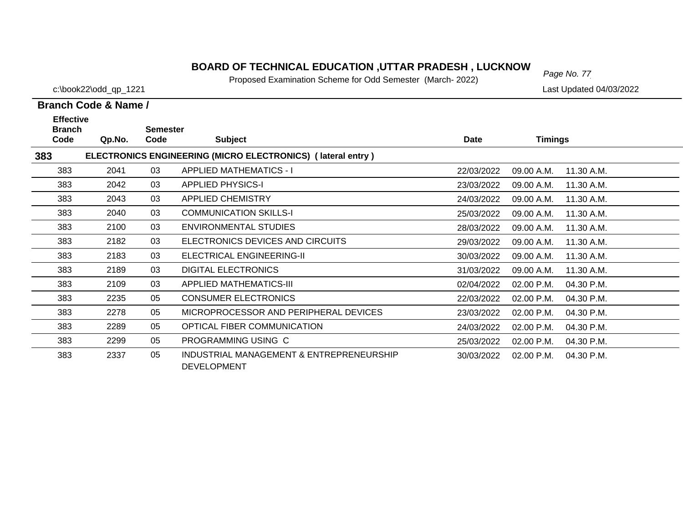# *Page No. 77* **BOARD OF TECHNICAL EDUCATION ,UTTAR PRADESH , LUCKNOW**

Proposed Examination Scheme for Odd Semester (March- 2022)

c:\book22\odd\_qp\_1221 Last Updated 04/03/2022

| <b>Effective</b><br><b>Branch</b>                                  |        | <b>Semester</b> |                                                                |             |                |            |  |  |  |
|--------------------------------------------------------------------|--------|-----------------|----------------------------------------------------------------|-------------|----------------|------------|--|--|--|
| Code                                                               | Qp.No. | Code            | <b>Subject</b>                                                 | <b>Date</b> | <b>Timings</b> |            |  |  |  |
| ELECTRONICS ENGINEERING (MICRO ELECTRONICS) (lateral entry)<br>383 |        |                 |                                                                |             |                |            |  |  |  |
| 383                                                                | 2041   | 03              | <b>APPLIED MATHEMATICS - I</b>                                 | 22/03/2022  | 09.00 A.M.     | 11.30 A.M. |  |  |  |
| 383                                                                | 2042   | 03              | <b>APPLIED PHYSICS-I</b>                                       | 23/03/2022  | 09.00 A.M.     | 11.30 A.M. |  |  |  |
| 383                                                                | 2043   | 03              | APPLIED CHEMISTRY                                              | 24/03/2022  | 09.00 A.M.     | 11.30 A.M. |  |  |  |
| 383                                                                | 2040   | 03              | <b>COMMUNICATION SKILLS-I</b>                                  | 25/03/2022  | 09.00 A.M.     | 11.30 A.M. |  |  |  |
| 383                                                                | 2100   | 03              | <b>ENVIRONMENTAL STUDIES</b>                                   | 28/03/2022  | 09.00 A.M.     | 11.30 A.M. |  |  |  |
| 383                                                                | 2182   | 03              | ELECTRONICS DEVICES AND CIRCUITS                               | 29/03/2022  | 09.00 A.M.     | 11.30 A.M. |  |  |  |
| 383                                                                | 2183   | 03              | ELECTRICAL ENGINEERING-II                                      | 30/03/2022  | 09.00 A.M.     | 11.30 A.M. |  |  |  |
| 383                                                                | 2189   | 03              | <b>DIGITAL ELECTRONICS</b>                                     | 31/03/2022  | 09.00 A.M.     | 11.30 A.M. |  |  |  |
| 383                                                                | 2109   | 03              | <b>APPLIED MATHEMATICS-III</b>                                 | 02/04/2022  | 02.00 P.M.     | 04.30 P.M. |  |  |  |
| 383                                                                | 2235   | 05              | <b>CONSUMER ELECTRONICS</b>                                    | 22/03/2022  | 02.00 P.M.     | 04.30 P.M. |  |  |  |
| 383                                                                | 2278   | 05              | MICROPROCESSOR AND PERIPHERAL DEVICES                          | 23/03/2022  | 02.00 P.M.     | 04.30 P.M. |  |  |  |
| 383                                                                | 2289   | 05              | OPTICAL FIBER COMMUNICATION                                    | 24/03/2022  | 02.00 P.M.     | 04.30 P.M. |  |  |  |
| 383                                                                | 2299   | 05              | PROGRAMMING USING C                                            | 25/03/2022  | 02.00 P.M.     | 04.30 P.M. |  |  |  |
| 383                                                                | 2337   | 05              | INDUSTRIAL MANAGEMENT & ENTREPRENEURSHIP<br><b>DEVELOPMENT</b> | 30/03/2022  | 02.00 P.M.     | 04.30 P.M. |  |  |  |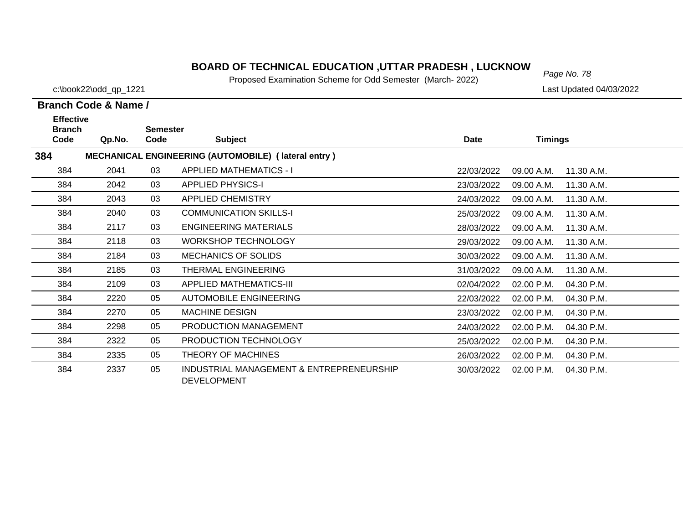# *Page No. 78* **BOARD OF TECHNICAL EDUCATION ,UTTAR PRADESH , LUCKNOW**

Proposed Examination Scheme for Odd Semester (March- 2022)

c:\book22\odd\_qp\_1221 Last Updated 04/03/2022

| <b>Effective</b><br><b>Branch</b> |        | <b>Semester</b> |                                                                |            |                |            |
|-----------------------------------|--------|-----------------|----------------------------------------------------------------|------------|----------------|------------|
| Code                              | Qp.No. | Code            | <b>Subject</b>                                                 | Date       | <b>Timings</b> |            |
| 384                               |        |                 | MECHANICAL ENGINEERING (AUTOMOBILE) (lateral entry)            |            |                |            |
| 384                               | 2041   | 03              | <b>APPLIED MATHEMATICS - I</b>                                 | 22/03/2022 | 09.00 A.M.     | 11.30 A.M. |
| 384                               | 2042   | 03              | <b>APPLIED PHYSICS-I</b>                                       | 23/03/2022 | 09.00 A.M.     | 11.30 A.M. |
| 384                               | 2043   | 03              | <b>APPLIED CHEMISTRY</b>                                       | 24/03/2022 | 09.00 A.M.     | 11.30 A.M. |
| 384                               | 2040   | 03              | <b>COMMUNICATION SKILLS-I</b>                                  | 25/03/2022 | 09.00 A.M.     | 11.30 A.M. |
| 384                               | 2117   | 03              | <b>ENGINEERING MATERIALS</b>                                   | 28/03/2022 | 09.00 A.M.     | 11.30 A.M. |
| 384                               | 2118   | 03              | <b>WORKSHOP TECHNOLOGY</b>                                     | 29/03/2022 | 09.00 A.M.     | 11.30 A.M. |
| 384                               | 2184   | 03              | <b>MECHANICS OF SOLIDS</b>                                     | 30/03/2022 | 09.00 A.M.     | 11.30 A.M. |
| 384                               | 2185   | 03              | THERMAL ENGINEERING                                            | 31/03/2022 | 09.00 A.M.     | 11.30 A.M. |
| 384                               | 2109   | 03              | <b>APPLIED MATHEMATICS-III</b>                                 | 02/04/2022 | 02.00 P.M.     | 04.30 P.M. |
| 384                               | 2220   | 05              | <b>AUTOMOBILE ENGINEERING</b>                                  | 22/03/2022 | 02.00 P.M.     | 04.30 P.M. |
| 384                               | 2270   | 05              | <b>MACHINE DESIGN</b>                                          | 23/03/2022 | 02.00 P.M.     | 04.30 P.M. |
| 384                               | 2298   | 05              | PRODUCTION MANAGEMENT                                          | 24/03/2022 | 02.00 P.M.     | 04.30 P.M. |
| 384                               | 2322   | 05              | PRODUCTION TECHNOLOGY                                          | 25/03/2022 | 02.00 P.M.     | 04.30 P.M. |
| 384                               | 2335   | 05              | THEORY OF MACHINES                                             | 26/03/2022 | 02.00 P.M.     | 04.30 P.M. |
| 384                               | 2337   | 05              | INDUSTRIAL MANAGEMENT & ENTREPRENEURSHIP<br><b>DEVELOPMENT</b> | 30/03/2022 | 02.00 P.M.     | 04.30 P.M. |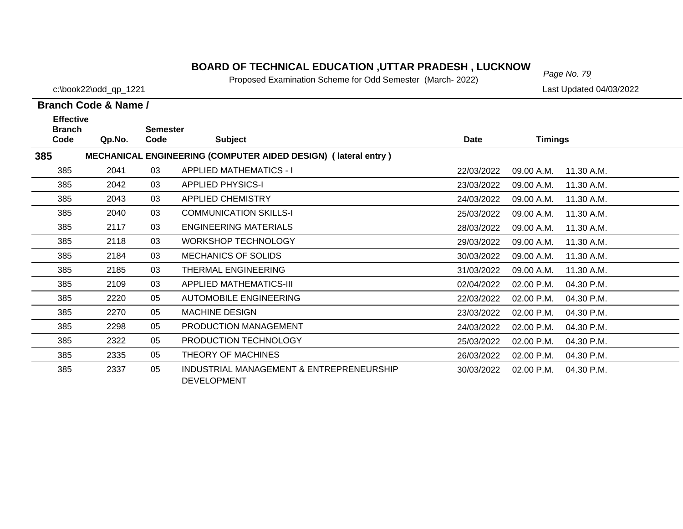# *Page No. 79* **BOARD OF TECHNICAL EDUCATION ,UTTAR PRADESH , LUCKNOW**

Proposed Examination Scheme for Odd Semester (March- 2022)

c:\book22\odd\_qp\_1221 Last Updated 04/03/2022

| <b>Effective</b>      |        |                         |                                                                       |             |                |            |
|-----------------------|--------|-------------------------|-----------------------------------------------------------------------|-------------|----------------|------------|
| <b>Branch</b><br>Code | Qp.No. | <b>Semester</b><br>Code | <b>Subject</b>                                                        | <b>Date</b> | <b>Timings</b> |            |
| 385                   |        |                         | <b>MECHANICAL ENGINEERING (COMPUTER AIDED DESIGN) (lateral entry)</b> |             |                |            |
| 385                   | 2041   | 03                      | <b>APPLIED MATHEMATICS - I</b>                                        | 22/03/2022  | 09.00 A.M.     | 11.30 A.M. |
| 385                   | 2042   | 03                      | <b>APPLIED PHYSICS-I</b>                                              | 23/03/2022  | 09.00 A.M.     | 11.30 A.M. |
| 385                   | 2043   | 03                      | <b>APPLIED CHEMISTRY</b>                                              | 24/03/2022  | 09.00 A.M.     | 11.30 A.M. |
| 385                   | 2040   | 03                      | <b>COMMUNICATION SKILLS-I</b>                                         | 25/03/2022  | 09.00 A.M.     | 11.30 A.M. |
| 385                   | 2117   | 03                      | <b>ENGINEERING MATERIALS</b>                                          | 28/03/2022  | 09.00 A.M.     | 11.30 A.M. |
| 385                   | 2118   | 03                      | <b>WORKSHOP TECHNOLOGY</b>                                            | 29/03/2022  | 09.00 A.M.     | 11.30 A.M. |
| 385                   | 2184   | 03                      | <b>MECHANICS OF SOLIDS</b>                                            | 30/03/2022  | 09.00 A.M.     | 11.30 A.M. |
| 385                   | 2185   | 03                      | THERMAL ENGINEERING                                                   | 31/03/2022  | 09.00 A.M.     | 11.30 A.M. |
| 385                   | 2109   | 03                      | <b>APPLIED MATHEMATICS-III</b>                                        | 02/04/2022  | 02.00 P.M.     | 04.30 P.M. |
| 385                   | 2220   | 05                      | <b>AUTOMOBILE ENGINEERING</b>                                         | 22/03/2022  | 02.00 P.M.     | 04.30 P.M. |
| 385                   | 2270   | 05                      | <b>MACHINE DESIGN</b>                                                 | 23/03/2022  | 02.00 P.M.     | 04.30 P.M. |
| 385                   | 2298   | 05                      | PRODUCTION MANAGEMENT                                                 | 24/03/2022  | 02.00 P.M.     | 04.30 P.M. |
| 385                   | 2322   | 05                      | PRODUCTION TECHNOLOGY                                                 | 25/03/2022  | 02.00 P.M.     | 04.30 P.M. |
| 385                   | 2335   | 05                      | THEORY OF MACHINES                                                    | 26/03/2022  | 02.00 P.M.     | 04.30 P.M. |
| 385                   | 2337   | 05                      | INDUSTRIAL MANAGEMENT & ENTREPRENEURSHIP<br><b>DEVELOPMENT</b>        | 30/03/2022  | 02.00 P.M.     | 04.30 P.M. |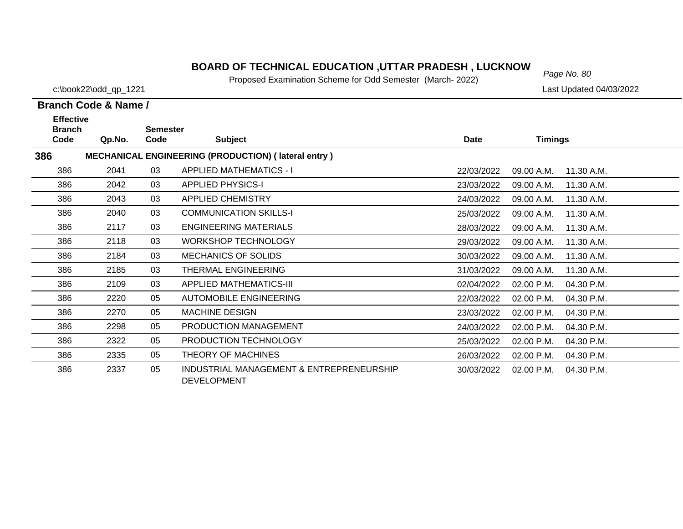# *Page No. 80* **BOARD OF TECHNICAL EDUCATION ,UTTAR PRADESH , LUCKNOW**

Proposed Examination Scheme for Odd Semester (March- 2022)

c:\book22\odd\_qp\_1221 Last Updated 04/03/2022

| <b>Effective</b><br><b>Branch</b> |        | <b>Semester</b> |                                                                |            |                |            |
|-----------------------------------|--------|-----------------|----------------------------------------------------------------|------------|----------------|------------|
| Code                              | Qp.No. | Code            | <b>Subject</b>                                                 | Date       | <b>Timings</b> |            |
| 386                               |        |                 | <b>MECHANICAL ENGINEERING (PRODUCTION) (lateral entry)</b>     |            |                |            |
| 386                               | 2041   | 03              | <b>APPLIED MATHEMATICS - I</b>                                 | 22/03/2022 | 09.00 A.M.     | 11.30 A.M. |
| 386                               | 2042   | 03              | <b>APPLIED PHYSICS-I</b>                                       | 23/03/2022 | 09.00 A.M.     | 11.30 A.M. |
| 386                               | 2043   | 03              | <b>APPLIED CHEMISTRY</b>                                       | 24/03/2022 | 09.00 A.M.     | 11.30 A.M. |
| 386                               | 2040   | 03              | <b>COMMUNICATION SKILLS-I</b>                                  | 25/03/2022 | 09.00 A.M.     | 11.30 A.M. |
| 386                               | 2117   | 03              | <b>ENGINEERING MATERIALS</b>                                   | 28/03/2022 | 09.00 A.M.     | 11.30 A.M. |
| 386                               | 2118   | 03              | <b>WORKSHOP TECHNOLOGY</b>                                     | 29/03/2022 | 09.00 A.M.     | 11.30 A.M. |
| 386                               | 2184   | 03              | <b>MECHANICS OF SOLIDS</b>                                     | 30/03/2022 | 09.00 A.M.     | 11.30 A.M. |
| 386                               | 2185   | 03              | THERMAL ENGINEERING                                            | 31/03/2022 | 09.00 A.M.     | 11.30 A.M. |
| 386                               | 2109   | 03              | <b>APPLIED MATHEMATICS-III</b>                                 | 02/04/2022 | 02.00 P.M.     | 04.30 P.M. |
| 386                               | 2220   | 05              | <b>AUTOMOBILE ENGINEERING</b>                                  | 22/03/2022 | 02.00 P.M.     | 04.30 P.M. |
| 386                               | 2270   | 05              | <b>MACHINE DESIGN</b>                                          | 23/03/2022 | 02.00 P.M.     | 04.30 P.M. |
| 386                               | 2298   | 05              | PRODUCTION MANAGEMENT                                          | 24/03/2022 | 02.00 P.M.     | 04.30 P.M. |
| 386                               | 2322   | 05              | PRODUCTION TECHNOLOGY                                          | 25/03/2022 | 02.00 P.M.     | 04.30 P.M. |
| 386                               | 2335   | 05              | THEORY OF MACHINES                                             | 26/03/2022 | 02.00 P.M.     | 04.30 P.M. |
| 386                               | 2337   | 05              | INDUSTRIAL MANAGEMENT & ENTREPRENEURSHIP<br><b>DEVELOPMENT</b> | 30/03/2022 | 02.00 P.M.     | 04.30 P.M. |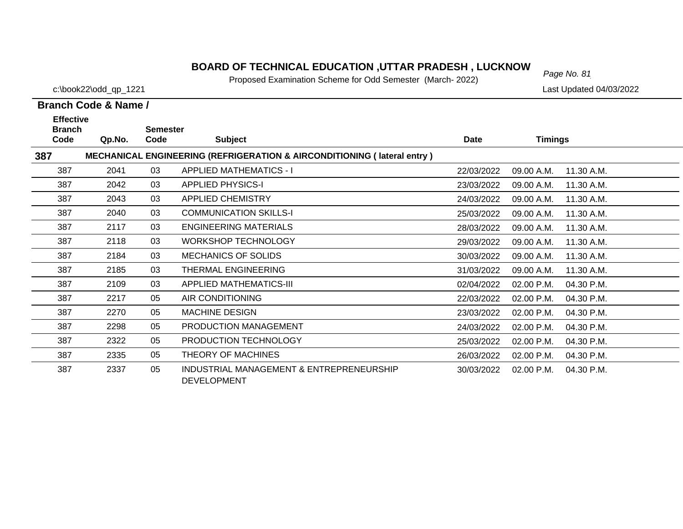# *Page No. 81* **BOARD OF TECHNICAL EDUCATION ,UTTAR PRADESH , LUCKNOW**

Proposed Examination Scheme for Odd Semester (March- 2022)

c:\book22\odd\_qp\_1221 Last Updated 04/03/2022

| <b>Effective</b><br><b>Branch</b> |        | <b>Semester</b> |                                                                                    |            |                |            |
|-----------------------------------|--------|-----------------|------------------------------------------------------------------------------------|------------|----------------|------------|
| Code                              | Qp.No. | Code            | <b>Subject</b>                                                                     | Date       | <b>Timings</b> |            |
| 387                               |        |                 | <b>MECHANICAL ENGINEERING (REFRIGERATION &amp; AIRCONDITIONING (Iateral entry)</b> |            |                |            |
| 387                               | 2041   | 03              | <b>APPLIED MATHEMATICS - I</b>                                                     | 22/03/2022 | 09.00 A.M.     | 11.30 A.M. |
| 387                               | 2042   | 03              | <b>APPLIED PHYSICS-I</b>                                                           | 23/03/2022 | 09.00 A.M.     | 11.30 A.M. |
| 387                               | 2043   | 03              | <b>APPLIED CHEMISTRY</b>                                                           | 24/03/2022 | 09.00 A.M.     | 11.30 A.M. |
| 387                               | 2040   | 03              | <b>COMMUNICATION SKILLS-I</b>                                                      | 25/03/2022 | 09.00 A.M.     | 11.30 A.M. |
| 387                               | 2117   | 03              | <b>ENGINEERING MATERIALS</b>                                                       | 28/03/2022 | 09.00 A.M.     | 11.30 A.M. |
| 387                               | 2118   | 03              | <b>WORKSHOP TECHNOLOGY</b>                                                         | 29/03/2022 | 09.00 A.M.     | 11.30 A.M. |
| 387                               | 2184   | 03              | <b>MECHANICS OF SOLIDS</b>                                                         | 30/03/2022 | 09.00 A.M.     | 11.30 A.M. |
| 387                               | 2185   | 03              | THERMAL ENGINEERING                                                                | 31/03/2022 | 09.00 A.M.     | 11.30 A.M. |
| 387                               | 2109   | 03              | <b>APPLIED MATHEMATICS-III</b>                                                     | 02/04/2022 | 02.00 P.M.     | 04.30 P.M. |
| 387                               | 2217   | 05              | AIR CONDITIONING                                                                   | 22/03/2022 | 02.00 P.M.     | 04.30 P.M. |
| 387                               | 2270   | 05              | <b>MACHINE DESIGN</b>                                                              | 23/03/2022 | 02.00 P.M.     | 04.30 P.M. |
| 387                               | 2298   | 05              | PRODUCTION MANAGEMENT                                                              | 24/03/2022 | 02.00 P.M.     | 04.30 P.M. |
| 387                               | 2322   | 05              | PRODUCTION TECHNOLOGY                                                              | 25/03/2022 | 02.00 P.M.     | 04.30 P.M. |
| 387                               | 2335   | 05              | THEORY OF MACHINES                                                                 | 26/03/2022 | 02.00 P.M.     | 04.30 P.M. |
| 387                               | 2337   | 05              | INDUSTRIAL MANAGEMENT & ENTREPRENEURSHIP<br><b>DEVELOPMENT</b>                     | 30/03/2022 | 02.00 P.M.     | 04.30 P.M. |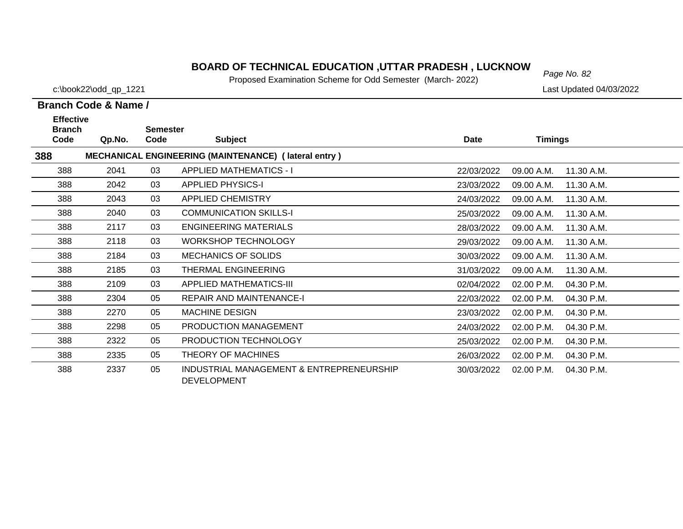# *Page No. 82* **BOARD OF TECHNICAL EDUCATION ,UTTAR PRADESH , LUCKNOW**

Proposed Examination Scheme for Odd Semester (March- 2022)

c:\book22\odd\_qp\_1221 Last Updated 04/03/2022

| <b>Effective</b><br><b>Branch</b> |        | <b>Semester</b> |                                                                |            |                |            |
|-----------------------------------|--------|-----------------|----------------------------------------------------------------|------------|----------------|------------|
| Code                              | Qp.No. | Code            | <b>Subject</b>                                                 | Date       | <b>Timings</b> |            |
| 388                               |        |                 | MECHANICAL ENGINEERING (MAINTENANCE) (lateral entry)           |            |                |            |
| 388                               | 2041   | 03              | <b>APPLIED MATHEMATICS - I</b>                                 | 22/03/2022 | 09.00 A.M.     | 11.30 A.M. |
| 388                               | 2042   | 03              | <b>APPLIED PHYSICS-I</b>                                       | 23/03/2022 | 09.00 A.M.     | 11.30 A.M. |
| 388                               | 2043   | 03              | APPLIED CHEMISTRY                                              | 24/03/2022 | 09.00 A.M.     | 11.30 A.M. |
| 388                               | 2040   | 03              | <b>COMMUNICATION SKILLS-I</b>                                  | 25/03/2022 | 09.00 A.M.     | 11.30 A.M. |
| 388                               | 2117   | 03              | <b>ENGINEERING MATERIALS</b>                                   | 28/03/2022 | 09.00 A.M.     | 11.30 A.M. |
| 388                               | 2118   | 03              | <b>WORKSHOP TECHNOLOGY</b>                                     | 29/03/2022 | 09.00 A.M.     | 11.30 A.M. |
| 388                               | 2184   | 03              | <b>MECHANICS OF SOLIDS</b>                                     | 30/03/2022 | 09.00 A.M.     | 11.30 A.M. |
| 388                               | 2185   | 03              | THERMAL ENGINEERING                                            | 31/03/2022 | 09.00 A.M.     | 11.30 A.M. |
| 388                               | 2109   | 03              | <b>APPLIED MATHEMATICS-III</b>                                 | 02/04/2022 | 02.00 P.M.     | 04.30 P.M. |
| 388                               | 2304   | 05              | <b>REPAIR AND MAINTENANCE-I</b>                                | 22/03/2022 | 02.00 P.M.     | 04.30 P.M. |
| 388                               | 2270   | 05              | <b>MACHINE DESIGN</b>                                          | 23/03/2022 | 02.00 P.M.     | 04.30 P.M. |
| 388                               | 2298   | 05              | PRODUCTION MANAGEMENT                                          | 24/03/2022 | 02.00 P.M.     | 04.30 P.M. |
| 388                               | 2322   | 05              | PRODUCTION TECHNOLOGY                                          | 25/03/2022 | 02.00 P.M.     | 04.30 P.M. |
| 388                               | 2335   | 05              | THEORY OF MACHINES                                             | 26/03/2022 | 02.00 P.M.     | 04.30 P.M. |
| 388                               | 2337   | 05              | INDUSTRIAL MANAGEMENT & ENTREPRENEURSHIP<br><b>DEVELOPMENT</b> | 30/03/2022 | 02.00 P.M.     | 04.30 P.M. |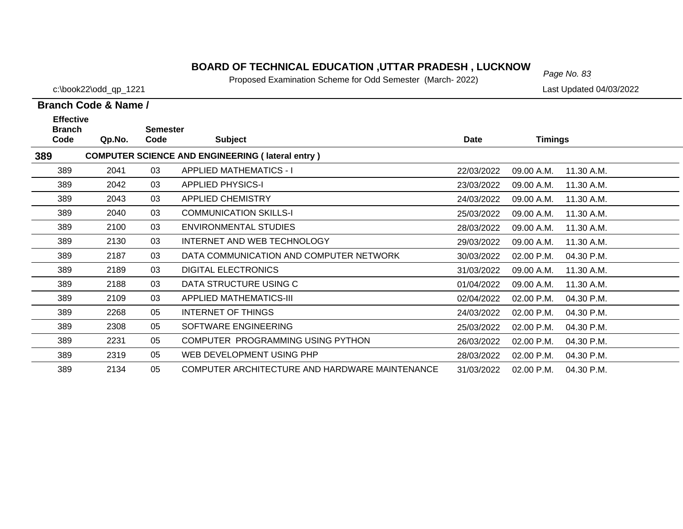# *Page No. 83* **BOARD OF TECHNICAL EDUCATION ,UTTAR PRADESH , LUCKNOW**

Proposed Examination Scheme for Odd Semester (March- 2022)

c:\book22\odd\_qp\_1221 Last Updated 04/03/2022

| <b>Effective</b>      |        |                         |                                                         |            |                |            |
|-----------------------|--------|-------------------------|---------------------------------------------------------|------------|----------------|------------|
| <b>Branch</b><br>Code | Qp.No. | <b>Semester</b><br>Code | <b>Subject</b>                                          | Date       | <b>Timings</b> |            |
| 389                   |        |                         | <b>COMPUTER SCIENCE AND ENGINEERING (lateral entry)</b> |            |                |            |
| 389                   | 2041   | 03                      | <b>APPLIED MATHEMATICS - I</b>                          | 22/03/2022 | 09.00 A.M.     | 11.30 A.M. |
| 389                   | 2042   | 03                      | <b>APPLIED PHYSICS-I</b>                                | 23/03/2022 | 09.00 A.M.     | 11.30 A.M. |
| 389                   | 2043   | 03                      | <b>APPLIED CHEMISTRY</b>                                | 24/03/2022 | 09.00 A.M.     | 11.30 A.M. |
| 389                   | 2040   | 03                      | <b>COMMUNICATION SKILLS-I</b>                           | 25/03/2022 | 09.00 A.M.     | 11.30 A.M. |
| 389                   | 2100   | 03                      | <b>ENVIRONMENTAL STUDIES</b>                            | 28/03/2022 | 09.00 A.M.     | 11.30 A.M. |
| 389                   | 2130   | 03                      | INTERNET AND WEB TECHNOLOGY                             | 29/03/2022 | 09.00 A.M.     | 11.30 A.M. |
| 389                   | 2187   | 03                      | DATA COMMUNICATION AND COMPUTER NETWORK                 | 30/03/2022 | 02.00 P.M.     | 04.30 P.M. |
| 389                   | 2189   | 03                      | <b>DIGITAL ELECTRONICS</b>                              | 31/03/2022 | 09.00 A.M.     | 11.30 A.M. |
| 389                   | 2188   | 03                      | DATA STRUCTURE USING C                                  | 01/04/2022 | 09.00 A.M.     | 11.30 A.M. |
| 389                   | 2109   | 03                      | <b>APPLIED MATHEMATICS-III</b>                          | 02/04/2022 | 02.00 P.M.     | 04.30 P.M. |
| 389                   | 2268   | 05                      | INTERNET OF THINGS                                      | 24/03/2022 | 02.00 P.M.     | 04.30 P.M. |
| 389                   | 2308   | 05                      | SOFTWARE ENGINEERING                                    | 25/03/2022 | 02.00 P.M.     | 04.30 P.M. |
| 389                   | 2231   | 05                      | COMPUTER PROGRAMMING USING PYTHON                       | 26/03/2022 | 02.00 P.M.     | 04.30 P.M. |
| 389                   | 2319   | 05                      | WEB DEVELOPMENT USING PHP                               | 28/03/2022 | 02.00 P.M.     | 04.30 P.M. |
| 389                   | 2134   | 05                      | COMPUTER ARCHITECTURE AND HARDWARE MAINTENANCE          | 31/03/2022 | 02.00 P.M.     | 04.30 P.M. |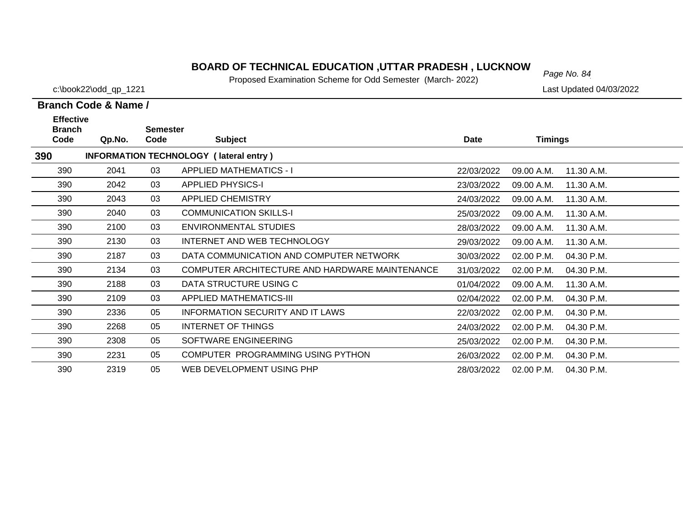# *Page No. 84* **BOARD OF TECHNICAL EDUCATION ,UTTAR PRADESH , LUCKNOW**

Proposed Examination Scheme for Odd Semester (March- 2022)

c:\book22\odd\_qp\_1221 Last Updated 04/03/2022

| <b>Effective</b><br><b>Branch</b> |                                               | <b>Semester</b> |                                                |            |                |            |  |  |  |  |  |
|-----------------------------------|-----------------------------------------------|-----------------|------------------------------------------------|------------|----------------|------------|--|--|--|--|--|
| Code                              | Qp.No.                                        | Code            | <b>Subject</b>                                 | Date       | <b>Timings</b> |            |  |  |  |  |  |
| 390                               | <b>INFORMATION TECHNOLOGY (lateral entry)</b> |                 |                                                |            |                |            |  |  |  |  |  |
| 390                               | 2041                                          | 03              | <b>APPLIED MATHEMATICS - I</b>                 | 22/03/2022 | 09.00 A.M.     | 11.30 A.M. |  |  |  |  |  |
| 390                               | 2042                                          | 03              | <b>APPLIED PHYSICS-I</b>                       | 23/03/2022 | 09.00 A.M.     | 11.30 A.M. |  |  |  |  |  |
| 390                               | 2043                                          | 03              | <b>APPLIED CHEMISTRY</b>                       | 24/03/2022 | 09.00 A.M.     | 11.30 A.M. |  |  |  |  |  |
| 390                               | 2040                                          | 03              | <b>COMMUNICATION SKILLS-I</b>                  | 25/03/2022 | 09.00 A.M.     | 11.30 A.M. |  |  |  |  |  |
| 390                               | 2100                                          | 03              | <b>ENVIRONMENTAL STUDIES</b>                   | 28/03/2022 | 09.00 A.M.     | 11.30 A.M. |  |  |  |  |  |
| 390                               | 2130                                          | 03              | INTERNET AND WEB TECHNOLOGY                    | 29/03/2022 | 09.00 A.M.     | 11.30 A.M. |  |  |  |  |  |
| 390                               | 2187                                          | 03              | DATA COMMUNICATION AND COMPUTER NETWORK        | 30/03/2022 | 02.00 P.M.     | 04.30 P.M. |  |  |  |  |  |
| 390                               | 2134                                          | 03              | COMPUTER ARCHITECTURE AND HARDWARE MAINTENANCE | 31/03/2022 | 02.00 P.M.     | 04.30 P.M. |  |  |  |  |  |
| 390                               | 2188                                          | 03              | DATA STRUCTURE USING C                         | 01/04/2022 | 09.00 A.M.     | 11.30 A.M. |  |  |  |  |  |
| 390                               | 2109                                          | 03              | <b>APPLIED MATHEMATICS-III</b>                 | 02/04/2022 | 02.00 P.M.     | 04.30 P.M. |  |  |  |  |  |
| 390                               | 2336                                          | 05              | INFORMATION SECURITY AND IT LAWS               | 22/03/2022 | 02.00 P.M.     | 04.30 P.M. |  |  |  |  |  |
| 390                               | 2268                                          | 05              | INTERNET OF THINGS                             | 24/03/2022 | 02.00 P.M.     | 04.30 P.M. |  |  |  |  |  |
| 390                               | 2308                                          | 05              | SOFTWARE ENGINEERING                           | 25/03/2022 | 02.00 P.M.     | 04.30 P.M. |  |  |  |  |  |
| 390                               | 2231                                          | 05              | COMPUTER PROGRAMMING USING PYTHON              | 26/03/2022 | 02.00 P.M.     | 04.30 P.M. |  |  |  |  |  |
| 390                               | 2319                                          | 05              | WEB DEVELOPMENT USING PHP                      | 28/03/2022 | 02.00 P.M.     | 04.30 P.M. |  |  |  |  |  |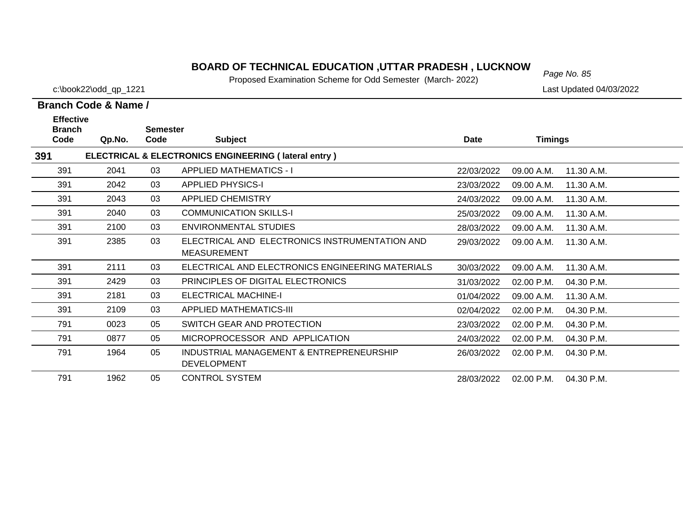# *Page No. 85* **BOARD OF TECHNICAL EDUCATION ,UTTAR PRADESH , LUCKNOW**

Proposed Examination Scheme for Odd Semester (March- 2022)

c:\book22\odd\_qp\_1221 Last Updated 04/03/2022

| <b>Effective</b><br><b>Branch</b> |        | <b>Semester</b> |                                                                      |            |                |            |
|-----------------------------------|--------|-----------------|----------------------------------------------------------------------|------------|----------------|------------|
| Code                              | Qp.No. | Code            | <b>Subject</b>                                                       | Date       | <b>Timings</b> |            |
| 391                               |        |                 | ELECTRICAL & ELECTRONICS ENGINEERING (lateral entry)                 |            |                |            |
| 391                               | 2041   | 03              | <b>APPLIED MATHEMATICS - I</b>                                       | 22/03/2022 | 09.00 A.M.     | 11.30 A.M. |
| 391                               | 2042   | 03              | <b>APPLIED PHYSICS-I</b>                                             | 23/03/2022 | 09.00 A.M.     | 11.30 A.M. |
| 391                               | 2043   | 03              | <b>APPLIED CHEMISTRY</b>                                             | 24/03/2022 | 09.00 A.M.     | 11.30 A.M. |
| 391                               | 2040   | 03              | <b>COMMUNICATION SKILLS-I</b>                                        | 25/03/2022 | 09.00 A.M.     | 11.30 A.M. |
| 391                               | 2100   | 03              | ENVIRONMENTAL STUDIES                                                | 28/03/2022 | 09.00 A.M.     | 11.30 A.M. |
| 391                               | 2385   | 03              | ELECTRICAL AND ELECTRONICS INSTRUMENTATION AND<br><b>MEASUREMENT</b> | 29/03/2022 | 09.00 A.M.     | 11.30 A.M. |
| 391                               | 2111   | 03              | ELECTRICAL AND ELECTRONICS ENGINEERING MATERIALS                     | 30/03/2022 | 09.00 A.M.     | 11.30 A.M. |
| 391                               | 2429   | 03              | PRINCIPLES OF DIGITAL ELECTRONICS                                    | 31/03/2022 | 02.00 P.M.     | 04.30 P.M. |
| 391                               | 2181   | 03              | <b>ELECTRICAL MACHINE-I</b>                                          | 01/04/2022 | 09.00 A.M.     | 11.30 A.M. |
| 391                               | 2109   | 03              | <b>APPLIED MATHEMATICS-III</b>                                       | 02/04/2022 | 02.00 P.M.     | 04.30 P.M. |
| 791                               | 0023   | 05              | SWITCH GEAR AND PROTECTION                                           | 23/03/2022 | 02.00 P.M.     | 04.30 P.M. |
| 791                               | 0877   | 05              | MICROPROCESSOR AND APPLICATION                                       | 24/03/2022 | 02.00 P.M.     | 04.30 P.M. |
| 791                               | 1964   | 05              | INDUSTRIAL MANAGEMENT & ENTREPRENEURSHIP<br><b>DEVELOPMENT</b>       | 26/03/2022 | 02.00 P.M.     | 04.30 P.M. |
| 791                               | 1962   | 05              | <b>CONTROL SYSTEM</b>                                                | 28/03/2022 | 02.00 P.M.     | 04.30 P.M. |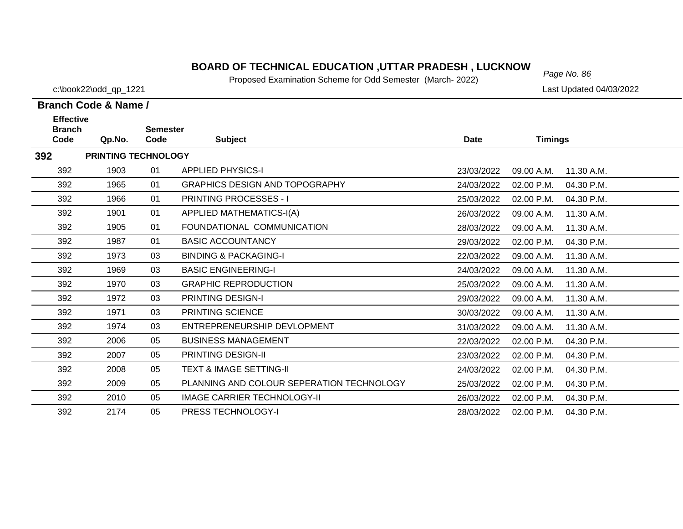# *Page No. 86* **BOARD OF TECHNICAL EDUCATION ,UTTAR PRADESH , LUCKNOW**

Proposed Examination Scheme for Odd Semester (March- 2022)

c:\book22\odd\_qp\_1221 Last Updated 04/03/2022

| <b>Effective</b>      |                            |                         |                                           |             |                          |  |
|-----------------------|----------------------------|-------------------------|-------------------------------------------|-------------|--------------------------|--|
| <b>Branch</b><br>Code | Qp.No.                     | <b>Semester</b><br>Code | <b>Subject</b>                            | <b>Date</b> | <b>Timings</b>           |  |
| 392                   | <b>PRINTING TECHNOLOGY</b> |                         |                                           |             |                          |  |
| 392                   | 1903                       | 01                      | <b>APPLIED PHYSICS-I</b>                  | 23/03/2022  | 11.30 A.M.<br>09.00 A.M. |  |
| 392                   | 1965                       | 01                      | <b>GRAPHICS DESIGN AND TOPOGRAPHY</b>     | 24/03/2022  | 02.00 P.M.<br>04.30 P.M. |  |
| 392                   | 1966                       | 01                      | <b>PRINTING PROCESSES - I</b>             | 25/03/2022  | 02.00 P.M.<br>04.30 P.M. |  |
| 392                   | 1901                       | 01                      | <b>APPLIED MATHEMATICS-I(A)</b>           | 26/03/2022  | 11.30 A.M.<br>09.00 A.M. |  |
| 392                   | 1905                       | 01                      | FOUNDATIONAL COMMUNICATION                | 28/03/2022  | 09.00 A.M.<br>11.30 A.M. |  |
| 392                   | 1987                       | 01                      | <b>BASIC ACCOUNTANCY</b>                  | 29/03/2022  | 02.00 P.M.<br>04.30 P.M. |  |
| 392                   | 1973                       | 03                      | <b>BINDING &amp; PACKAGING-I</b>          | 22/03/2022  | 09.00 A.M.<br>11.30 A.M. |  |
| 392                   | 1969                       | 03                      | <b>BASIC ENGINEERING-I</b>                | 24/03/2022  | 11.30 A.M.<br>09.00 A.M. |  |
| 392                   | 1970                       | 03                      | <b>GRAPHIC REPRODUCTION</b>               | 25/03/2022  | 09.00 A.M.<br>11.30 A.M. |  |
| 392                   | 1972                       | 03                      | PRINTING DESIGN-I                         | 29/03/2022  | 09.00 A.M.<br>11.30 A.M. |  |
| 392                   | 1971                       | 03                      | PRINTING SCIENCE                          | 30/03/2022  | 09.00 A.M.<br>11.30 A.M. |  |
| 392                   | 1974                       | 03                      | ENTREPRENEURSHIP DEVLOPMENT               | 31/03/2022  | 11.30 A.M.<br>09.00 A.M. |  |
| 392                   | 2006                       | 05                      | <b>BUSINESS MANAGEMENT</b>                | 22/03/2022  | 02.00 P.M.<br>04.30 P.M. |  |
| 392                   | 2007                       | 05                      | <b>PRINTING DESIGN-II</b>                 | 23/03/2022  | 02.00 P.M.<br>04.30 P.M. |  |
| 392                   | 2008                       | 05                      | <b>TEXT &amp; IMAGE SETTING-II</b>        | 24/03/2022  | 02.00 P.M.<br>04.30 P.M. |  |
| 392                   | 2009                       | 05                      | PLANNING AND COLOUR SEPERATION TECHNOLOGY | 25/03/2022  | 02.00 P.M.<br>04.30 P.M. |  |
| 392                   | 2010                       | 05                      | <b>IMAGE CARRIER TECHNOLOGY-II</b>        | 26/03/2022  | 02.00 P.M.<br>04.30 P.M. |  |
| 392                   | 2174                       | 05                      | PRESS TECHNOLOGY-I                        | 28/03/2022  | 02.00 P.M.<br>04.30 P.M. |  |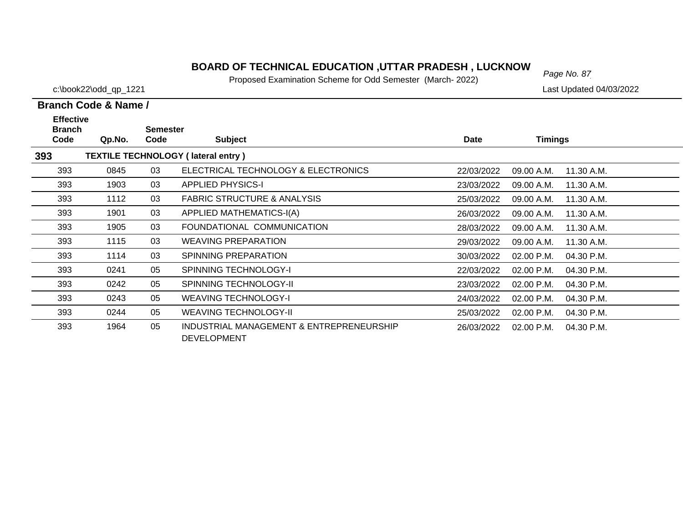# *Page No. 87* **BOARD OF TECHNICAL EDUCATION ,UTTAR PRADESH , LUCKNOW**

Proposed Examination Scheme for Odd Semester (March- 2022)

c:\book22\odd\_qp\_1221 Last Updated 04/03/2022

| <b>Effective</b><br><b>Branch</b> |        | <b>Semester</b> |                                                                |            |            |            |
|-----------------------------------|--------|-----------------|----------------------------------------------------------------|------------|------------|------------|
| Code                              | Qp.No. | Code            | <b>Subject</b>                                                 | Date       | Timings    |            |
| 393                               |        |                 | <b>TEXTILE TECHNOLOGY (lateral entry)</b>                      |            |            |            |
| 393                               | 0845   | 03              | ELECTRICAL TECHNOLOGY & ELECTRONICS                            | 22/03/2022 | 09.00 A.M. | 11.30 A.M. |
| 393                               | 1903   | 03              | <b>APPLIED PHYSICS-I</b>                                       | 23/03/2022 | 09.00 A.M. | 11.30 A.M. |
| 393                               | 1112   | 03              | <b>FABRIC STRUCTURE &amp; ANALYSIS</b>                         | 25/03/2022 | 09.00 A.M. | 11.30 A.M. |
| 393                               | 1901   | 03              | APPLIED MATHEMATICS-I(A)                                       | 26/03/2022 | 09.00 A.M. | 11.30 A.M. |
| 393                               | 1905   | 03              | FOUNDATIONAL COMMUNICATION                                     | 28/03/2022 | 09.00 A.M. | 11.30 A.M. |
| 393                               | 1115   | 03              | <b>WEAVING PREPARATION</b>                                     | 29/03/2022 | 09.00 A.M. | 11.30 A.M. |
| 393                               | 1114   | 03              | SPINNING PREPARATION                                           | 30/03/2022 | 02.00 P.M. | 04.30 P.M. |
| 393                               | 0241   | 05              | <b>SPINNING TECHNOLOGY-I</b>                                   | 22/03/2022 | 02.00 P.M. | 04.30 P.M. |
| 393                               | 0242   | 05              | <b>SPINNING TECHNOLOGY-II</b>                                  | 23/03/2022 | 02.00 P.M. | 04.30 P.M. |
| 393                               | 0243   | 05              | <b>WEAVING TECHNOLOGY-I</b>                                    | 24/03/2022 | 02.00 P.M. | 04.30 P.M. |
| 393                               | 0244   | 05              | <b>WEAVING TECHNOLOGY-II</b>                                   | 25/03/2022 | 02.00 P.M. | 04.30 P.M. |
| 393                               | 1964   | 05              | INDUSTRIAL MANAGEMENT & ENTREPRENEURSHIP<br><b>DEVELOPMENT</b> | 26/03/2022 | 02.00 P.M. | 04.30 P.M. |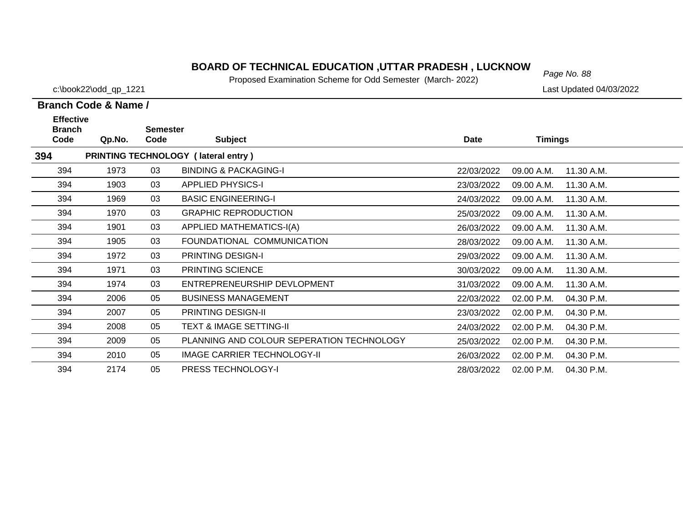## *Page No. 88* **BOARD OF TECHNICAL EDUCATION ,UTTAR PRADESH , LUCKNOW**

Proposed Examination Scheme for Odd Semester (March- 2022)

**Branch Code & Name /**

c:\book22\odd\_qp\_1221 Last Updated 04/03/2022

# **Branch SemesterCode Subject Date Timings Effective**

| ווטוש |        | UUIIIUJIUI |                                           |             |                |            |
|-------|--------|------------|-------------------------------------------|-------------|----------------|------------|
| Code  | Qp.No. | Code       | <b>Subject</b>                            | <b>Date</b> | <b>Timings</b> |            |
| 394   |        |            | PRINTING TECHNOLOGY (lateral entry)       |             |                |            |
| 394   | 1973   | 03         | <b>BINDING &amp; PACKAGING-I</b>          | 22/03/2022  | 09.00 A.M.     | 11.30 A.M. |
| 394   | 1903   | 03         | <b>APPLIED PHYSICS-I</b>                  | 23/03/2022  | 09.00 A.M.     | 11.30 A.M. |
| 394   | 1969   | 03         | <b>BASIC ENGINEERING-I</b>                | 24/03/2022  | 09.00 A.M.     | 11.30 A.M. |
| 394   | 1970   | 03         | <b>GRAPHIC REPRODUCTION</b>               | 25/03/2022  | 09.00 A.M.     | 11.30 A.M. |
| 394   | 1901   | 03         | APPLIED MATHEMATICS-I(A)                  | 26/03/2022  | 09.00 A.M.     | 11.30 A.M. |
| 394   | 1905   | 03         | FOUNDATIONAL COMMUNICATION                | 28/03/2022  | 09.00 A.M.     | 11.30 A.M. |
| 394   | 1972   | 03         | <b>PRINTING DESIGN-I</b>                  | 29/03/2022  | 09.00 A.M.     | 11.30 A.M. |
| 394   | 1971   | 03         | <b>PRINTING SCIENCE</b>                   | 30/03/2022  | 09.00 A.M.     | 11.30 A.M. |
| 394   | 1974   | 03         | ENTREPRENEURSHIP DEVLOPMENT               | 31/03/2022  | 09.00 A.M.     | 11.30 A.M. |
| 394   | 2006   | 05         | <b>BUSINESS MANAGEMENT</b>                | 22/03/2022  | 02.00 P.M.     | 04.30 P.M. |
| 394   | 2007   | 05         | <b>PRINTING DESIGN-II</b>                 | 23/03/2022  | $02.00$ P.M.   | 04.30 P.M. |
| 394   | 2008   | 05         | <b>TEXT &amp; IMAGE SETTING-II</b>        | 24/03/2022  | 02.00 P.M.     | 04.30 P.M. |
| 394   | 2009   | 05         | PLANNING AND COLOUR SEPERATION TECHNOLOGY | 25/03/2022  | 02.00 P.M.     | 04.30 P.M. |
| 394   | 2010   | 05         | IMAGE CARRIER TECHNOLOGY-II               | 26/03/2022  | $02.00$ P.M.   | 04.30 P.M. |
| 394   | 2174   | 05         | <b>PRESS TECHNOLOGY-I</b>                 | 28/03/2022  | 02.00 P.M.     | 04.30 P.M. |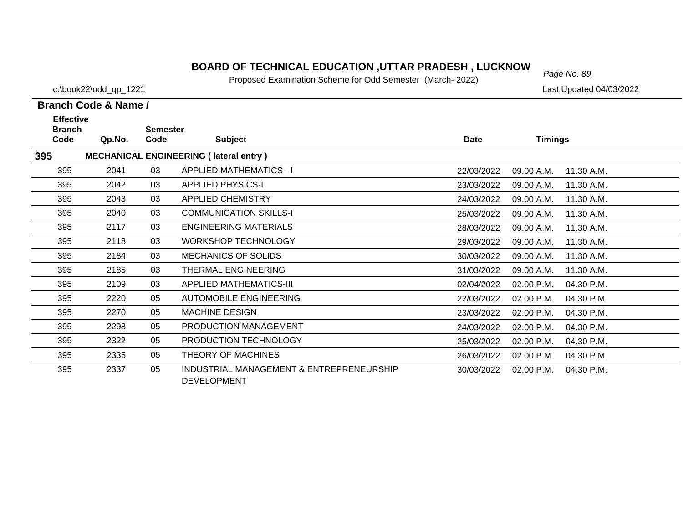# *Page No. 89* **BOARD OF TECHNICAL EDUCATION ,UTTAR PRADESH , LUCKNOW**

Proposed Examination Scheme for Odd Semester (March- 2022)

c:\book22\odd\_qp\_1221 Last Updated 04/03/2022

| <b>Effective</b>      |        |                         |                                                                |             |                |            |
|-----------------------|--------|-------------------------|----------------------------------------------------------------|-------------|----------------|------------|
| <b>Branch</b><br>Code | Qp.No. | <b>Semester</b><br>Code | <b>Subject</b>                                                 | <b>Date</b> | <b>Timings</b> |            |
| 395                   |        |                         | <b>MECHANICAL ENGINEERING (lateral entry)</b>                  |             |                |            |
| 395                   | 2041   | 03                      | <b>APPLIED MATHEMATICS - I</b>                                 | 22/03/2022  | 09.00 A.M.     | 11.30 A.M. |
| 395                   | 2042   | 03                      | <b>APPLIED PHYSICS-I</b>                                       | 23/03/2022  | 09.00 A.M.     | 11.30 A.M. |
| 395                   | 2043   | 03                      | APPLIED CHEMISTRY                                              | 24/03/2022  | 09.00 A.M.     | 11.30 A.M. |
| 395                   | 2040   | 03                      | <b>COMMUNICATION SKILLS-I</b>                                  | 25/03/2022  | 09.00 A.M.     | 11.30 A.M. |
| 395                   | 2117   | 03                      | <b>ENGINEERING MATERIALS</b>                                   | 28/03/2022  | 09.00 A.M.     | 11.30 A.M. |
| 395                   | 2118   | 03                      | <b>WORKSHOP TECHNOLOGY</b>                                     | 29/03/2022  | 09.00 A.M.     | 11.30 A.M. |
| 395                   | 2184   | 03                      | <b>MECHANICS OF SOLIDS</b>                                     | 30/03/2022  | 09.00 A.M.     | 11.30 A.M. |
| 395                   | 2185   | 03                      | THERMAL ENGINEERING                                            | 31/03/2022  | 09.00 A.M.     | 11.30 A.M. |
| 395                   | 2109   | 03                      | <b>APPLIED MATHEMATICS-III</b>                                 | 02/04/2022  | 02.00 P.M.     | 04.30 P.M. |
| 395                   | 2220   | 05                      | <b>AUTOMOBILE ENGINEERING</b>                                  | 22/03/2022  | 02.00 P.M.     | 04.30 P.M. |
| 395                   | 2270   | 05                      | <b>MACHINE DESIGN</b>                                          | 23/03/2022  | 02.00 P.M.     | 04.30 P.M. |
| 395                   | 2298   | 05                      | PRODUCTION MANAGEMENT                                          | 24/03/2022  | 02.00 P.M.     | 04.30 P.M. |
| 395                   | 2322   | 05                      | PRODUCTION TECHNOLOGY                                          | 25/03/2022  | 02.00 P.M.     | 04.30 P.M. |
| 395                   | 2335   | 05                      | THEORY OF MACHINES                                             | 26/03/2022  | 02.00 P.M.     | 04.30 P.M. |
| 395                   | 2337   | 05                      | INDUSTRIAL MANAGEMENT & ENTREPRENEURSHIP<br><b>DEVELOPMENT</b> | 30/03/2022  | 02.00 P.M.     | 04.30 P.M. |